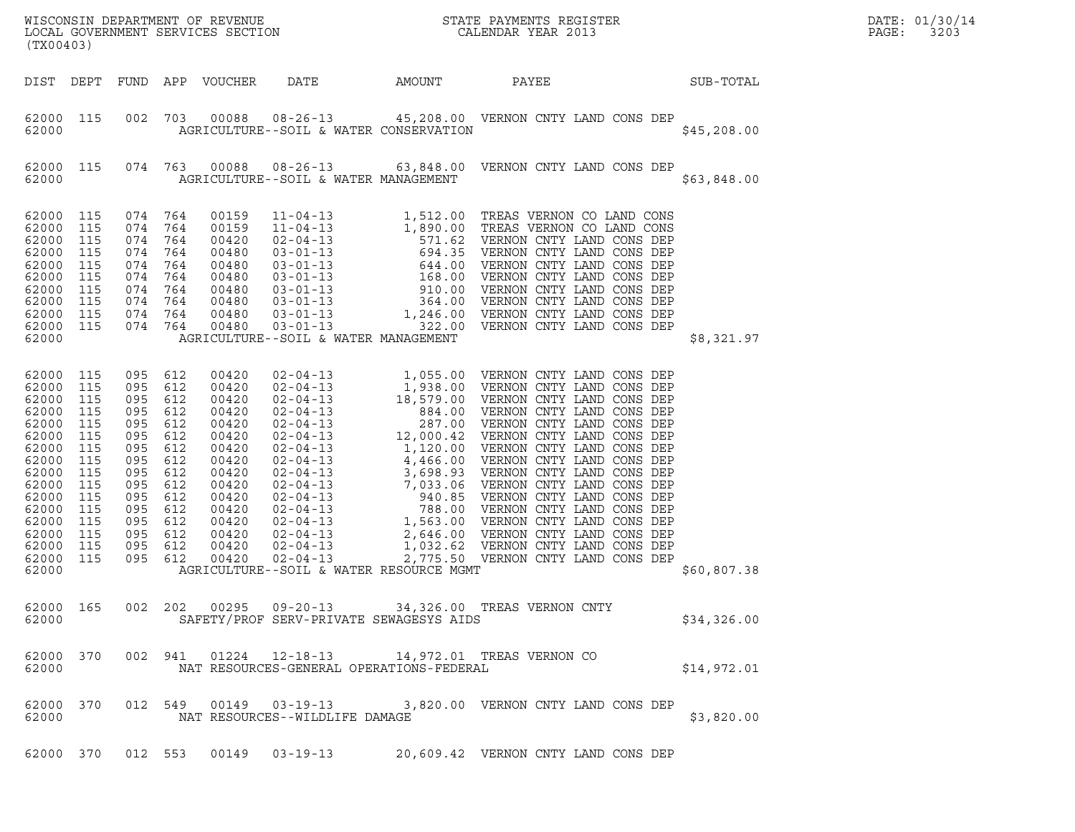| WISCONSIN DEPARTMENT OF REVENUE<br>LOCAL GOVERNMENT SERVICES SECTION<br>CALENDAR YEAR 2013<br>(TX00403)  |                                                                                                                                            |                                                                                                                          |                                                                                         |                                                                                                                                              |                                                                    |        |                                                            |             | DATE: 01/30/14<br>PAGE:<br>3203 |
|----------------------------------------------------------------------------------------------------------|--------------------------------------------------------------------------------------------------------------------------------------------|--------------------------------------------------------------------------------------------------------------------------|-----------------------------------------------------------------------------------------|----------------------------------------------------------------------------------------------------------------------------------------------|--------------------------------------------------------------------|--------|------------------------------------------------------------|-------------|---------------------------------|
|                                                                                                          | DIST DEPT                                                                                                                                  |                                                                                                                          |                                                                                         | FUND APP VOUCHER                                                                                                                             | DATE                                                               | AMOUNT | SUB-TOTAL<br>PAYEE                                         |             |                                 |
| 62000                                                                                                    | 62000 115                                                                                                                                  |                                                                                                                          |                                                                                         |                                                                                                                                              | AGRICULTURE--SOIL & WATER CONSERVATION                             |        | 002 703 00088 08-26-13 45,208.00 VERNON CNTY LAND CONS DEP | \$45,208.00 |                                 |
| 62000                                                                                                    | 62000 115                                                                                                                                  |                                                                                                                          |                                                                                         |                                                                                                                                              | AGRICULTURE--SOIL & WATER MANAGEMENT                               |        | 074 763 00088 08-26-13 63,848.00 VERNON CNTY LAND CONS DEP | \$63,848.00 |                                 |
| 62000<br>62000<br>62000<br>62000<br>62000                                                                | 62000 115<br>115<br>62000 115<br>115<br>62000 115<br>115<br>62000 115<br>115<br>62000 115<br>62000 115                                     | 074 764<br>074<br>074<br>074 764<br>074<br>074 764<br>074 764                                                            | 764<br>074 764<br>764<br>764<br>074 764<br>074 764                                      | 00159<br>00159<br>00420<br>00480<br>00480<br>00480<br>00480<br>00480<br>00480<br>00480                                                       | AGRICULTURE--SOIL & WATER MANAGEMENT                               |        |                                                            | \$8,321.97  |                                 |
| 62000<br>62000<br>62000<br>62000<br>62000<br>62000<br>62000<br>62000<br>62000<br>62000<br>62000<br>62000 | 62000 115<br>62000 115<br>115<br>62000 115<br>115<br>115<br>115<br>115<br>115<br>115<br>115<br>115<br>115<br>62000 115<br>115<br>62000 115 | 095<br>095 612<br>095<br>095<br>095<br>095<br>095<br>095<br>095<br>095<br>095<br>095<br>095<br>095 612<br>095<br>095 612 | 612<br>612<br>612<br>612<br>612<br>612<br>612<br>612<br>612<br>612<br>612<br>612<br>612 | 00420<br>00420<br>00420<br>00420<br>00420<br>00420<br>00420<br>00420<br>00420<br>00420<br>00420<br>00420<br>00420<br>00420<br>00420<br>00420 | AGRICULTURE--SOIL & WATER RESOURCE MGMT                            |        |                                                            | \$60,807.38 |                                 |
| 62000                                                                                                    | 62000 165                                                                                                                                  |                                                                                                                          |                                                                                         |                                                                                                                                              | SAFETY/PROF SERV-PRIVATE SEWAGESYS AIDS                            |        | 002  202  00295  09-20-13  34,326.00  TREAS VERNON CNTY    | \$34,326.00 |                                 |
| 62000                                                                                                    | 62000 370                                                                                                                                  |                                                                                                                          |                                                                                         |                                                                                                                                              | 002 941 01224 12-18-13<br>NAT RESOURCES-GENERAL OPERATIONS-FEDERAL |        | 14,972.01 TREAS VERNON CO                                  | \$14,972.01 |                                 |
| 62000                                                                                                    | 62000 370                                                                                                                                  |                                                                                                                          |                                                                                         |                                                                                                                                              | 012 549 00149 03-19-13<br>NAT RESOURCES--WILDLIFE DAMAGE           |        | 3,820.00 VERNON CNTY LAND CONS DEP                         | \$3,820.00  |                                 |
|                                                                                                          | 62000 370                                                                                                                                  |                                                                                                                          | 012 553                                                                                 | 00149                                                                                                                                        | $03 - 19 - 13$                                                     |        | 20,609.42 VERNON CNTY LAND CONS DEP                        |             |                                 |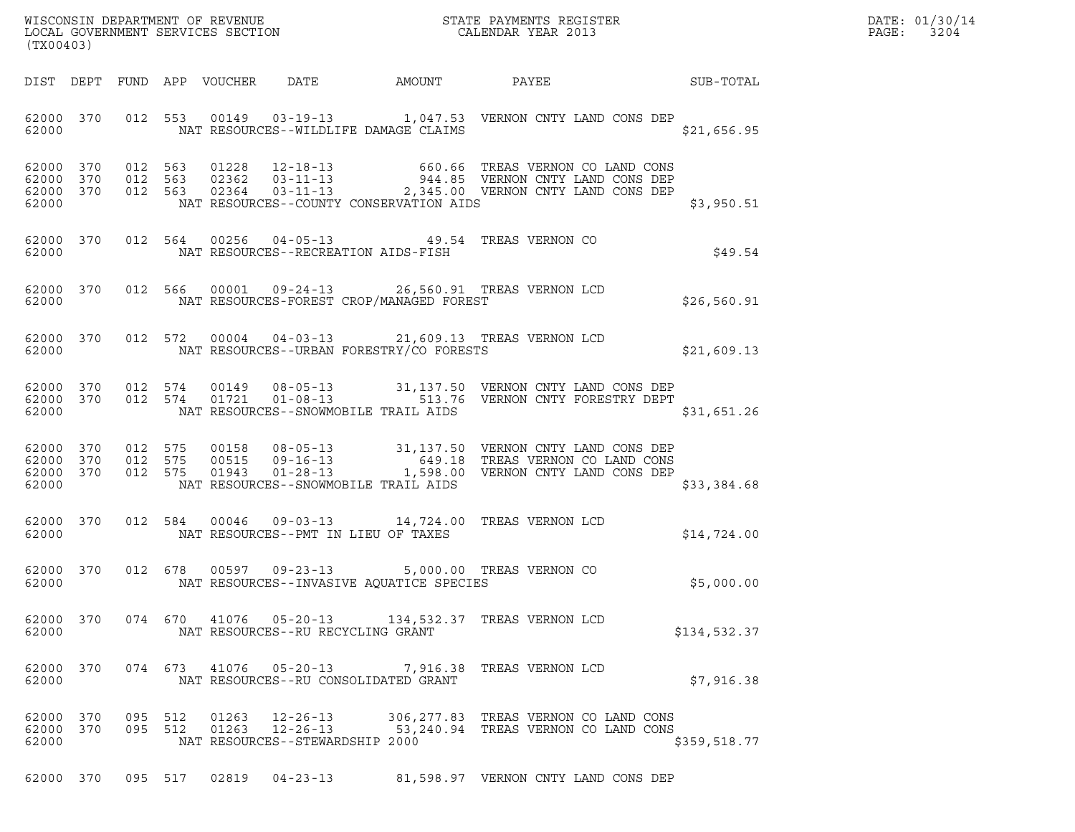| (TX00403)                       |           |                    | WISCONSIN DEPARTMENT OF REVENUE<br>LOCAL GOVERNMENT SERVICES SECTION<br>(TWOO1001) | DATE: 01/30/14<br>PAGE: 3204                                        |                                                |                                                                                                                                                                                                                                                                                                                  |                                                        |  |
|---------------------------------|-----------|--------------------|------------------------------------------------------------------------------------|---------------------------------------------------------------------|------------------------------------------------|------------------------------------------------------------------------------------------------------------------------------------------------------------------------------------------------------------------------------------------------------------------------------------------------------------------|--------------------------------------------------------|--|
|                                 |           |                    |                                                                                    |                                                                     |                                                |                                                                                                                                                                                                                                                                                                                  | DIST DEPT FUND APP VOUCHER DATE AMOUNT PAYEE SUB-TOTAL |  |
|                                 |           |                    |                                                                                    |                                                                     |                                                | 62000 370 012 553 00149 03-19-13 1,047.53 VERNON CNTY LAND CONS DEP<br>62000 NAT RESOURCES--WILDLIFE DAMAGE CLAIMS                                                                                                                                                                                               | \$21,656.95                                            |  |
| 62000                           |           |                    |                                                                                    |                                                                     | NAT RESOURCES--COUNTY CONSERVATION AIDS        | $\begin{array}{cccccccc} 62000 & 370 & 012 & 563 & 01228 & 12-18-13 & 660.66 & \text{TREAS VERNON CO LAND CONS} \\ 62000 & 370 & 012 & 563 & 02362 & 03-11-13 & 944.85 & \text{VERNON CNY LAND CONS DEP} \\ 62000 & 370 & 012 & 563 & 02364 & 03-11-13 & 2,345.00 & \text{VERNON CNY LAND CONS DEP} \end{array}$ | \$3,950.51                                             |  |
|                                 |           |                    |                                                                                    |                                                                     | 62000 NAT RESOURCES--RECREATION AIDS-FISH      | 62000 370 012 564 00256 04-05-13 49.54 TREAS VERNON CO                                                                                                                                                                                                                                                           | \$49.54                                                |  |
| 62000                           |           |                    |                                                                                    |                                                                     | NAT RESOURCES-FOREST CROP/MANAGED FOREST       | 62000 370 012 566 00001 09-24-13 26,560.91 TREAS VERNON LCD                                                                                                                                                                                                                                                      | \$26,560.91                                            |  |
|                                 |           |                    |                                                                                    |                                                                     | 62000 NAT RESOURCES--URBAN FORESTRY/CO FORESTS | 62000 370 012 572 00004 04-03-13 21,609.13 TREAS VERNON LCD                                                                                                                                                                                                                                                      | \$21,609.13                                            |  |
| 62000                           |           |                    |                                                                                    |                                                                     | NAT RESOURCES--SNOWMOBILE TRAIL AIDS           | $\begin{array}{cccccccc} 62000 & 370 & 012 & 574 & 00149 & 08-05-13 & 31,137.50 & VERNON CNTY LAND CONS DEP \\ 62000 & 370 & 012 & 574 & 01721 & 01-08-13 & 513.76 & VERNON CNTY FORESTRY DEPT \end{array}$                                                                                                      | \$31,651.26                                            |  |
| 62000                           |           |                    |                                                                                    |                                                                     | NAT RESOURCES--SNOWMOBILE TRAIL AIDS           |                                                                                                                                                                                                                                                                                                                  | \$33,384.68                                            |  |
|                                 |           |                    |                                                                                    |                                                                     |                                                | 62000 370 012 584 00046 09-03-13 14,724.00 TREAS VERNON LCD                                                                                                                                                                                                                                                      | \$14,724.00                                            |  |
| 62000                           |           |                    |                                                                                    |                                                                     |                                                | 62000 370 012 678 00597 09-23-13 5,000.00 TREAS VERNON CO<br>NAT RESOURCES--INVASIVE AQUATICE SPECIES                                                                                                                                                                                                            | \$5,000.00                                             |  |
| 62000                           | 62000 370 |                    |                                                                                    | NAT RESOURCES--RU RECYCLING GRANT                                   |                                                | 074  670  41076  05-20-13  134,532.37  TREAS VERNON LCD                                                                                                                                                                                                                                                          | \$134,532.37                                           |  |
| 62000 370<br>62000              |           |                    |                                                                                    | 074 673 41076 05-20-13                                              | NAT RESOURCES--RU CONSOLIDATED GRANT           | 7,916.38 TREAS VERNON LCD                                                                                                                                                                                                                                                                                        | \$7,916.38                                             |  |
| 62000 370<br>62000 370<br>62000 |           | 095 512<br>095 512 | 01263<br>01263                                                                     | $12 - 26 - 13$<br>$12 - 26 - 13$<br>NAT RESOURCES--STEWARDSHIP 2000 |                                                | 306, 277.83 TREAS VERNON CO LAND CONS<br>53,240.94 TREAS VERNON CO LAND CONS                                                                                                                                                                                                                                     | \$359,518.77                                           |  |
| 62000 370                       |           | 095 517            | 02819                                                                              | $04 - 23 - 13$                                                      |                                                | 81,598.97 VERNON CNTY LAND CONS DEP                                                                                                                                                                                                                                                                              |                                                        |  |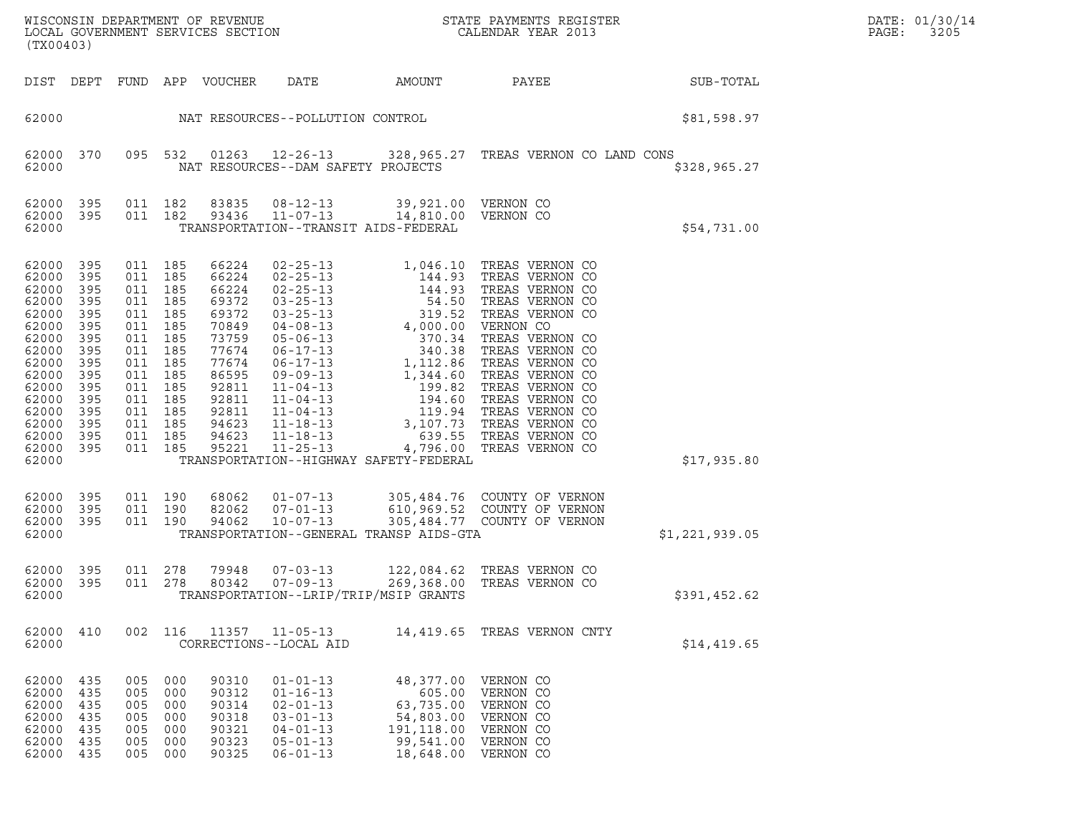| WISCONSIN DEPARTMENT OF REVENUE<br>LOCAL GOVERNMENT SERVICES SECTION | STATE PAYMENTS REGISTER<br>CALENDAR YEAR 2013 | DATE: 01/30/14<br>3205<br>PAGE: |
|----------------------------------------------------------------------|-----------------------------------------------|---------------------------------|

| (TX00403)                                                                                                                                             |                                                                                                              |                                                                                                                                                                   |                                               |                                                             |                                                                                                                            |                                                                                       | WISCONSIN DEPARTMENT OF REVENUE<br>LOCAL GOVERNMENT SERVICES SECTION THE SERVICES OF CALENDAR YEAR 2013                                         |                        | DATE: 01/30/14<br>PAGE:<br>3205 |
|-------------------------------------------------------------------------------------------------------------------------------------------------------|--------------------------------------------------------------------------------------------------------------|-------------------------------------------------------------------------------------------------------------------------------------------------------------------|-----------------------------------------------|-------------------------------------------------------------|----------------------------------------------------------------------------------------------------------------------------|---------------------------------------------------------------------------------------|-------------------------------------------------------------------------------------------------------------------------------------------------|------------------------|---------------------------------|
|                                                                                                                                                       |                                                                                                              |                                                                                                                                                                   |                                               | DIST DEPT FUND APP VOUCHER DATE                             |                                                                                                                            |                                                                                       |                                                                                                                                                 | AMOUNT PAYEE SUB-TOTAL |                                 |
| 62000                                                                                                                                                 |                                                                                                              |                                                                                                                                                                   |                                               |                                                             | NAT RESOURCES--POLLUTION CONTROL                                                                                           |                                                                                       |                                                                                                                                                 | \$81,598.97            |                                 |
| 62000                                                                                                                                                 |                                                                                                              |                                                                                                                                                                   |                                               |                                                             | NAT RESOURCES--DAM SAFETY PROJECTS                                                                                         |                                                                                       | 62000 370 095 532 01263 12-26-13 328,965.27 TREAS VERNON CO LAND CONS                                                                           | \$328,965.27           |                                 |
| 62000                                                                                                                                                 | 62000 395                                                                                                    | 62000 395 011 182<br>011 182                                                                                                                                      |                                               |                                                             | 83835  08-12-13  39,921.00  VERNON CO<br>93436 11-07-13 14,810.00 VERNON CO<br>TRANSPORTATION--TRANSIT AIDS-FEDERAL        |                                                                                       |                                                                                                                                                 | \$54,731.00            |                                 |
| 62000<br>62000<br>62000<br>62000<br>62000<br>62000<br>62000<br>62000<br>62000<br>62000<br>62000<br>62000<br>62000<br>62000<br>62000<br>62000<br>62000 | 395<br>395<br>395<br>395<br>395<br>395<br>395<br>395<br>395<br>395<br>395<br>395<br>395<br>395<br>395<br>395 | 011 185<br>011 185<br>011 185<br>011 185<br>011 185<br>011 185<br>011 185<br>011 185<br>011 185<br>011 185<br>011 185<br>011 185<br>011 185<br>011 185<br>011 185 | 011 185                                       |                                                             | TRANSPORTATION--HIGHWAY SAFETY-FEDERAL                                                                                     |                                                                                       |                                                                                                                                                 | \$17,935.80            |                                 |
| 62000 395<br>62000<br>62000 395<br>62000                                                                                                              | 395                                                                                                          | 011 190<br>011 190<br>011 190                                                                                                                                     |                                               |                                                             | TRANSPORTATION--GENERAL TRANSP AIDS-GTA                                                                                    |                                                                                       | 68062  01-07-13  305,484.76  COUNTY OF VERNON<br>82062  07-01-13  610,969.52  COUNTY OF VERNON<br>94062  10-07-13  305,484.77  COUNTY OF VERNON | \$1,221,939.05         |                                 |
| 62000<br>62000                                                                                                                                        | 395                                                                                                          | 62000 395 011 278<br>011 278                                                                                                                                      |                                               | 80342                                                       | TRANSPORTATION--LRIP/TRIP/MSIP GRANTS                                                                                      |                                                                                       | 79948  07-03-13  122,084.62  TREAS  VERNON  CO<br>80342  07-09-13  269,368.00  TREAS  VERNON  CO                                                | \$391,452.62           |                                 |
| 62000<br>62000                                                                                                                                        | 410                                                                                                          | 002 116                                                                                                                                                           |                                               | 11357                                                       | $11 - 05 - 13$<br>CORRECTIONS--LOCAL AID                                                                                   |                                                                                       | 14,419.65 TREAS VERNON CNTY                                                                                                                     | \$14,419.65            |                                 |
| 62000<br>62000<br>62000<br>62000<br>62000<br>62000<br>62000                                                                                           | 435<br>435<br>435<br>435<br>435<br>435<br>435                                                                | 005<br>005<br>005<br>005<br>005<br>005<br>005                                                                                                                     | 000<br>000<br>000<br>000<br>000<br>000<br>000 | 90310<br>90312<br>90314<br>90318<br>90321<br>90323<br>90325 | $01 - 01 - 13$<br>$01 - 16 - 13$<br>$02 - 01 - 13$<br>$03 - 01 - 13$<br>$04 - 01 - 13$<br>$05 - 01 - 13$<br>$06 - 01 - 13$ | 48,377.00<br>605.00<br>63,735.00<br>54,803.00<br>191,118.00<br>99,541.00<br>18,648.00 | VERNON CO<br>VERNON CO<br>VERNON CO<br>VERNON CO<br>VERNON CO<br>VERNON CO<br>VERNON CO                                                         |                        |                                 |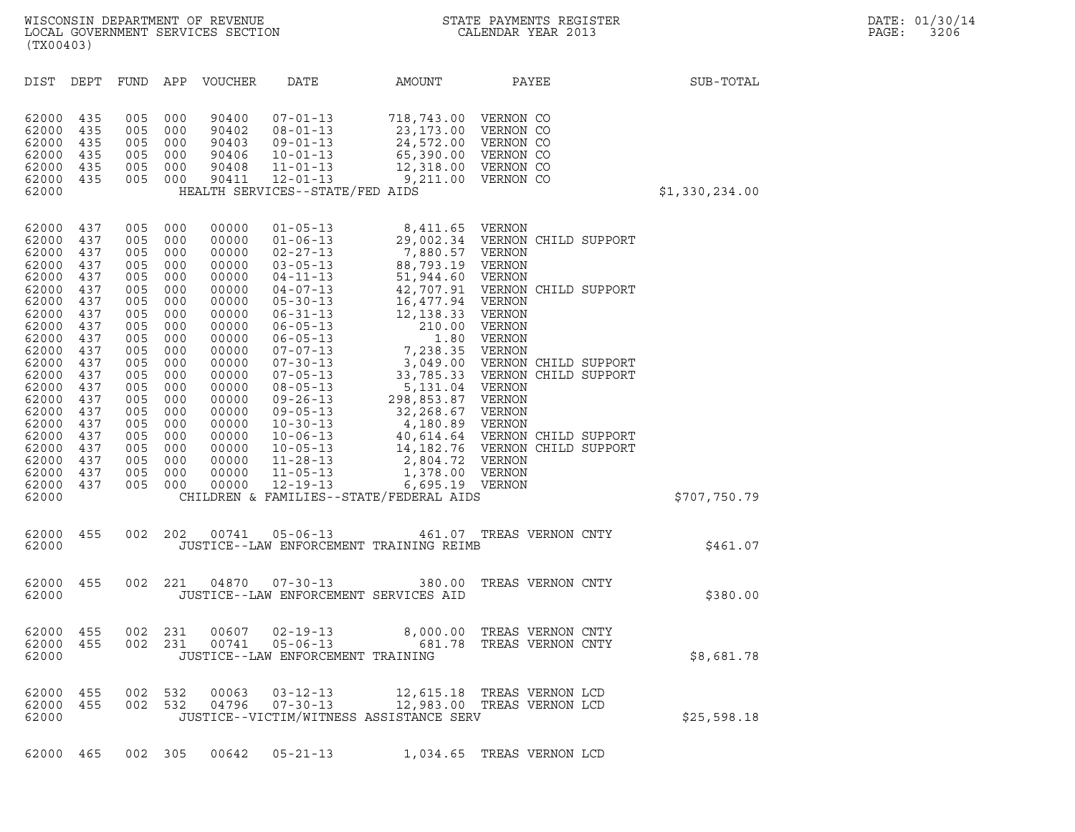| WISCONSIN DEPARTMENT OF REVENUE<br>LOCAL GOVERNMENT SERVICES SECTION<br>(TX00403)                                                                                                                                                                                                                                                                                     |                                                                                                                                                        |                                                                                                                                                        |                                                                                                                                                                                                    | $\mathbf N$                                                                                                                                 |                                                                                                                                        | STATE PAYMENTS REGISTER<br>CALENDAR YEAR 2013                                                                                                                                                                                                                               |                | DATE: 01/30/14<br>PAGE:<br>3206 |
|-----------------------------------------------------------------------------------------------------------------------------------------------------------------------------------------------------------------------------------------------------------------------------------------------------------------------------------------------------------------------|--------------------------------------------------------------------------------------------------------------------------------------------------------|--------------------------------------------------------------------------------------------------------------------------------------------------------|----------------------------------------------------------------------------------------------------------------------------------------------------------------------------------------------------|---------------------------------------------------------------------------------------------------------------------------------------------|----------------------------------------------------------------------------------------------------------------------------------------|-----------------------------------------------------------------------------------------------------------------------------------------------------------------------------------------------------------------------------------------------------------------------------|----------------|---------------------------------|
| DIST DEPT                                                                                                                                                                                                                                                                                                                                                             |                                                                                                                                                        |                                                                                                                                                        | FUND APP VOUCHER                                                                                                                                                                                   | DATE                                                                                                                                        | AMOUNT                                                                                                                                 | PAYEE                                                                                                                                                                                                                                                                       | SUB-TOTAL      |                                 |
| 62000<br>435<br>62000<br>435<br>62000<br>435<br>62000<br>435<br>62000<br>435<br>435<br>62000<br>62000                                                                                                                                                                                                                                                                 | 005<br>005<br>005<br>005<br>005<br>005 000                                                                                                             | 000<br>000<br>000<br>000<br>000                                                                                                                        | 90400<br>90402<br>90403<br>90406<br>90408<br>90411                                                                                                                                                 | $07 - 01 - 13$<br>$08 - 01 - 13$<br>$09 - 01 - 13$<br>$10 - 01 - 13$<br>$11 - 01 - 13$<br>$12 - 01 - 13$<br>HEALTH SERVICES--STATE/FED AIDS | 718,743.00 VERNON CO<br>23,173.00 VERNON CO<br>24,572.00 VERNON CO<br>65,390.00<br>12,318.00 VERNON CO<br>9,211.00 VERNON CO           | VERNON CO                                                                                                                                                                                                                                                                   | \$1,330,234.00 |                                 |
| 62000<br>437<br>62000<br>437<br>62000<br>437<br>62000<br>437<br>62000<br>437<br>62000<br>437<br>62000<br>437<br>62000<br>437<br>62000<br>437<br>62000<br>437<br>62000<br>437<br>62000<br>437<br>62000<br>437<br>62000<br>437<br>62000<br>437<br>62000<br>437<br>62000<br>437<br>62000<br>437<br>62000<br>437<br>62000<br>437<br>62000<br>437<br>62000<br>437<br>62000 | 005<br>005<br>005<br>005<br>005<br>005<br>005<br>005<br>005<br>005<br>005<br>005<br>005<br>005<br>005<br>005<br>005<br>005<br>005<br>005<br>005<br>005 | 000<br>000<br>000<br>000<br>000<br>000<br>000<br>000<br>000<br>000<br>000<br>000<br>000<br>000<br>000<br>000<br>000<br>000<br>000<br>000<br>000<br>000 | 00000<br>00000<br>00000<br>00000<br>00000<br>00000<br>00000<br>00000<br>00000<br>00000<br>00000<br>00000<br>00000<br>00000<br>00000<br>00000<br>00000<br>00000<br>00000<br>00000<br>00000<br>00000 | $01 - 05 - 13$<br>$08 - 05 - 13$<br>$11 - 28 - 13$<br>$11 - 05 - 13$<br>$12 - 19 - 13$                                                      | 8,411.65 VERNON<br>5,131.04 VERNON<br>2,804.72 VERNON<br>1,378.00 VERNON<br>6,695.19 VERNON<br>CHILDREN & FAMILIES--STATE/FEDERAL AIDS | 01-06-13<br>02-27-13<br>02-27-13<br>03-05-13<br>03-05-13<br>04-11-13<br>51,944.60<br>02-27-13<br>04-11-13<br>51,944.60<br>02 ERNON<br>04-07-13<br>42,707.91<br>02 UERNON<br>04-07-13<br>42,707.91<br>02 UERNON<br>05-30-13<br>16,477.94<br>UERNON<br>06-05-13<br>210.00<br> | \$707,750.79   |                                 |
| 62000<br>455<br>62000                                                                                                                                                                                                                                                                                                                                                 | 002 202                                                                                                                                                |                                                                                                                                                        | 00741                                                                                                                                                                                              | $05 - 06 - 13$                                                                                                                              | JUSTICE--LAW ENFORCEMENT TRAINING REIMB                                                                                                | 461.07 TREAS VERNON CNTY                                                                                                                                                                                                                                                    | \$461.07       |                                 |
| 62000 455<br>62000                                                                                                                                                                                                                                                                                                                                                    | 002 221                                                                                                                                                |                                                                                                                                                        | 04870                                                                                                                                                                                              | $07 - 30 - 13$                                                                                                                              | JUSTICE--LAW ENFORCEMENT SERVICES AID                                                                                                  | 380.00 TREAS VERNON CNTY                                                                                                                                                                                                                                                    | \$380.00       |                                 |
| 62000 455<br>62000 455<br>62000                                                                                                                                                                                                                                                                                                                                       | 002 231                                                                                                                                                |                                                                                                                                                        |                                                                                                                                                                                                    | JUSTICE--LAW ENFORCEMENT TRAINING                                                                                                           |                                                                                                                                        | 002 231 00607 02-19-13 8,000.00 TREAS VERNON CNTY                                                                                                                                                                                                                           | \$8,681.78     |                                 |
| 62000 455<br>62000 455<br>62000                                                                                                                                                                                                                                                                                                                                       | 002                                                                                                                                                    | 532                                                                                                                                                    | 00063<br>002 532 04796                                                                                                                                                                             | $03 - 12 - 13$<br>$07 - 30 - 13$                                                                                                            | JUSTICE--VICTIM/WITNESS ASSISTANCE SERV                                                                                                | 12,615.18 TREAS VERNON LCD<br>12,983.00 TREAS VERNON LCD                                                                                                                                                                                                                    | \$25,598.18    |                                 |
| 62000 465                                                                                                                                                                                                                                                                                                                                                             |                                                                                                                                                        |                                                                                                                                                        |                                                                                                                                                                                                    | 002 305 00642 05-21-13                                                                                                                      |                                                                                                                                        | 1,034.65 TREAS VERNON LCD                                                                                                                                                                                                                                                   |                |                                 |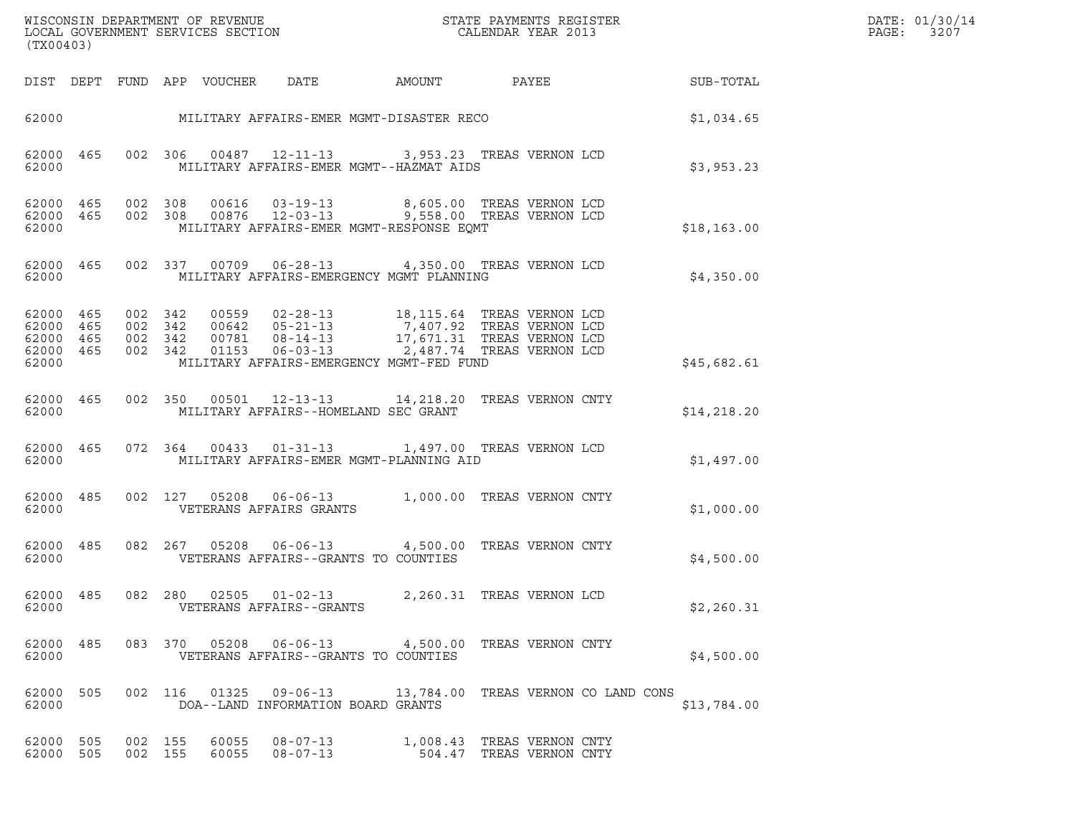| (TX00403)                                                 |                                          |         |                            |                                                    | $\tt WISCONSIM DEPARTMENT OF REVENUE$ $\tt WISCONSIMENT$ SERVICES SECTION $\tt CALENDAR YEAR$ 2013                                                                                                                            |                          |  |                 | DATE: 01/30/14<br>$\mathtt{PAGE:}$<br>3207 |
|-----------------------------------------------------------|------------------------------------------|---------|----------------------------|----------------------------------------------------|-------------------------------------------------------------------------------------------------------------------------------------------------------------------------------------------------------------------------------|--------------------------|--|-----------------|--------------------------------------------|
|                                                           |                                          |         | DIST DEPT FUND APP VOUCHER | DATE                                               | AMOUNT                                                                                                                                                                                                                        |                          |  | PAYEE SUB-TOTAL |                                            |
|                                                           |                                          |         |                            |                                                    | 62000 MILITARY AFFAIRS-EMER MGMT-DISASTER RECO                                                                                                                                                                                |                          |  | \$1,034.65      |                                            |
| 62000 465<br>62000                                        |                                          |         |                            |                                                    | 002 306 00487 12-11-13 3,953.23 TREAS VERNON LCD<br>MILITARY AFFAIRS-EMER MGMT--HAZMAT AIDS                                                                                                                                   |                          |  | \$3,953.23      |                                            |
| 62000 465<br>62000 465<br>62000                           |                                          |         |                            |                                                    | 002 308 00616 03-19-13 8,605.00 TREAS VERNON LCD<br>002 308 00876 12-03-13 9,558.00 TREAS VERNON LCD<br>MILITARY AFFAIRS-EMER MGMT-RESPONSE EQMT                                                                              |                          |  | \$18, 163.00    |                                            |
| 62000 465<br>62000                                        |                                          |         |                            |                                                    | 002 337 00709 06-28-13 4,350.00 TREAS VERNON LCD<br>MILITARY AFFAIRS-EMERGENCY MGMT PLANNING                                                                                                                                  |                          |  | \$4,350.00      |                                            |
| 62000 465<br>62000 465<br>62000 465<br>62000 465<br>62000 | 002 342<br>002 342<br>002 342<br>002 342 |         |                            |                                                    | 00559  02-28-13  18,115.64  TREAS VERNON LCD<br>00642 05-21-13 7,407.92 TREAS VERNON LCD<br>00781 08-14-13 17,671.31 TREAS VERNON LCD<br>01153 06-03-13 2,487.74 TREAS VERNON LCD<br>MILITARY AFFAIRS-EMERGENCY MGMT-FED FUND |                          |  | \$45,682.61     |                                            |
| 62000 465<br>62000                                        |                                          |         |                            |                                                    | 002 350 00501 12-13-13 14,218.20 TREAS VERNON CNTY<br>MILITARY AFFAIRS--HOMELAND SEC GRANT                                                                                                                                    |                          |  | \$14, 218.20    |                                            |
| 62000 465<br>62000                                        |                                          | 072 364 |                            |                                                    | 00433   01-31-13   1,497.00   TREAS VERNON LCD<br>MILITARY AFFAIRS-EMER MGMT-PLANNING AID                                                                                                                                     |                          |  | \$1,497.00      |                                            |
| 62000 485<br>62000                                        |                                          |         |                            | VETERANS AFFAIRS GRANTS                            | 002 127 05208 06-06-13 1,000.00 TREAS VERNON CNTY                                                                                                                                                                             |                          |  | \$1,000.00      |                                            |
| 62000 485<br>62000                                        |                                          |         |                            |                                                    | 082  267  05208  06-06-13  4,500.00  TREAS VERNON CNTY<br>VETERANS AFFAIRS--GRANTS TO COUNTIES                                                                                                                                |                          |  | \$4,500.00      |                                            |
| 62000 485<br>62000                                        |                                          |         |                            | 082 280 02505 01-02-13<br>VETERANS AFFAIRS--GRANTS | 2,260.31 TREAS VERNON LCD                                                                                                                                                                                                     |                          |  | \$2,260.31      |                                            |
| 62000 485<br>62000                                        |                                          |         |                            |                                                    | 083 370 05208 06-06-13 4,500.00 TREAS VERNON CNTY<br>VETERANS AFFAIRS--GRANTS TO COUNTIES                                                                                                                                     |                          |  | \$4,500.00      |                                            |
| 62000 505<br>62000                                        |                                          |         |                            | DOA--LAND INFORMATION BOARD GRANTS                 | 002 116 01325 09-06-13 13,784.00 TREAS VERNON CO LAND CONS                                                                                                                                                                    |                          |  | \$13,784.00     |                                            |
| 62000 505<br>62000 505                                    | 002 155<br>002 155                       |         | 60055<br>60055             | $08 - 07 - 13$<br>$08 - 07 - 13$                   | 1,008.43 TREAS VERNON CNTY                                                                                                                                                                                                    | 504.47 TREAS VERNON CNTY |  |                 |                                            |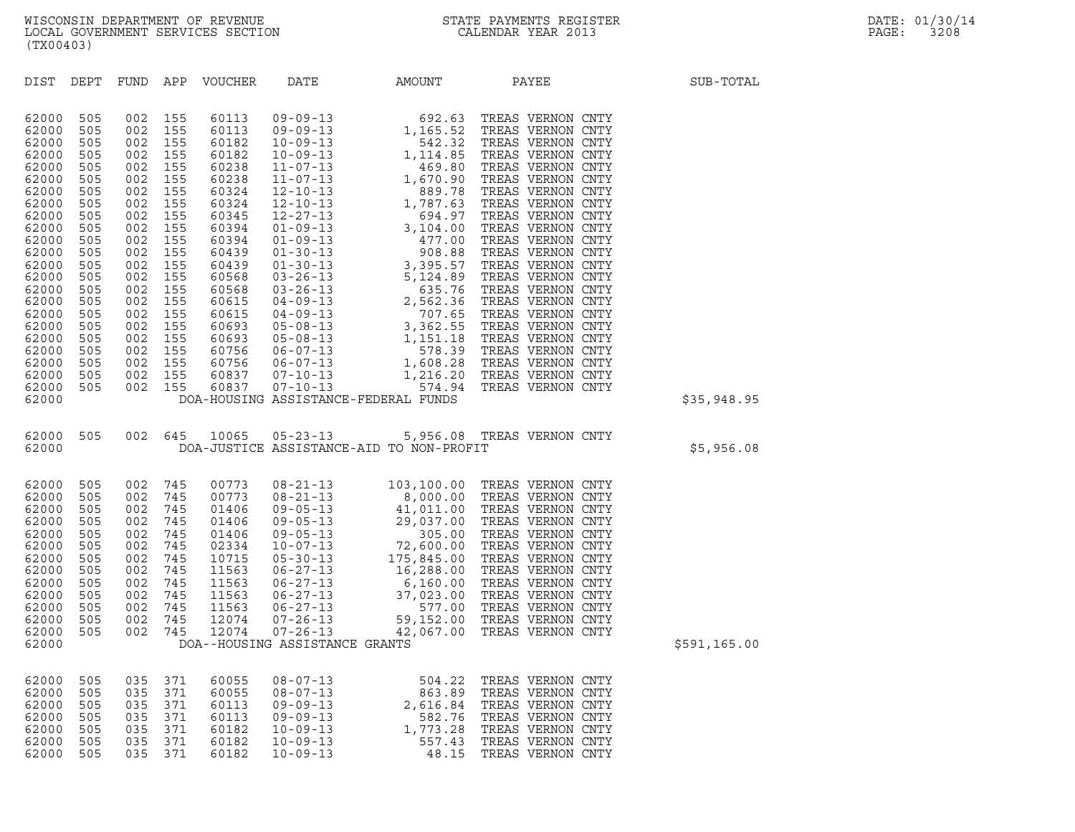| (TX00403)                                                                                                                                                                                          |                                                                                                                                                        |                                                                                                                                                        |                                                                                                                                                        |                                                                                                                   |                                                                                                                            |                                                                                                                                                                                                                                                        |                                                                                                                                                 |              |  |
|----------------------------------------------------------------------------------------------------------------------------------------------------------------------------------------------------|--------------------------------------------------------------------------------------------------------------------------------------------------------|--------------------------------------------------------------------------------------------------------------------------------------------------------|--------------------------------------------------------------------------------------------------------------------------------------------------------|-------------------------------------------------------------------------------------------------------------------|----------------------------------------------------------------------------------------------------------------------------|--------------------------------------------------------------------------------------------------------------------------------------------------------------------------------------------------------------------------------------------------------|-------------------------------------------------------------------------------------------------------------------------------------------------|--------------|--|
| DIST                                                                                                                                                                                               | DEPT                                                                                                                                                   |                                                                                                                                                        |                                                                                                                                                        | FUND APP VOUCHER                                                                                                  | DATE                                                                                                                       | <b>AMOUNT</b>                                                                                                                                                                                                                                          | PAYEE                                                                                                                                           | SUB-TOTAL    |  |
| 62000<br>62000<br>62000<br>62000<br>62000<br>62000<br>62000<br>62000<br>62000<br>62000<br>62000<br>62000<br>62000<br>62000<br>62000<br>62000<br>62000<br>62000<br>62000<br>62000<br>62000<br>62000 | 505<br>505<br>505<br>505<br>505<br>505<br>505<br>505<br>505<br>505<br>505<br>505<br>505<br>505<br>505<br>505<br>505<br>505<br>505<br>505<br>505<br>505 | 002<br>002<br>002<br>002<br>002<br>002<br>002<br>002<br>002<br>002<br>002<br>002<br>002<br>002<br>002<br>002<br>002<br>002<br>002<br>002<br>002<br>002 | 155<br>155<br>155<br>155<br>155<br>155<br>155<br>155<br>155<br>155<br>155<br>155<br>155<br>155<br>155<br>155<br>155<br>155<br>155<br>155<br>155<br>155 | 60837                                                                                                             |                                                                                                                            |                                                                                                                                                                                                                                                        |                                                                                                                                                 |              |  |
| 62000<br>62000                                                                                                                                                                                     | 505                                                                                                                                                    |                                                                                                                                                        | 002 155                                                                                                                                                |                                                                                                                   |                                                                                                                            | DOA-HOUSING ASSISTANCE-FEDERAL FUNDS                                                                                                                                                                                                                   |                                                                                                                                                 | \$35,948.95  |  |
| 62000<br>62000                                                                                                                                                                                     | 505                                                                                                                                                    |                                                                                                                                                        |                                                                                                                                                        |                                                                                                                   |                                                                                                                            | 002 645 10065 05-23-13 5,956.08 TREAS VERNON CNTY<br>DOA-JUSTICE ASSISTANCE-AID TO NON-PROFIT                                                                                                                                                          |                                                                                                                                                 | \$5,956.08   |  |
| 62000<br>62000<br>62000<br>62000<br>62000<br>62000<br>62000<br>62000<br>62000<br>62000<br>62000<br>62000<br>62000<br>62000                                                                         | 505<br>505<br>505<br>505<br>505<br>505<br>505<br>505<br>505<br>505<br>505<br>505<br>505                                                                | 002<br>002<br>002<br>002<br>002<br>002<br>002<br>002<br>002<br>002<br>002<br>002<br>002                                                                | 745<br>745<br>745<br>745<br>745<br>745<br>745<br>745<br>745<br>745<br>745<br>745<br>745                                                                | 00773<br>00773<br>01406<br>01406<br>01406<br>02334<br>10715<br>11563<br>11563<br>11563<br>11563<br>12074<br>12074 | DOA--HOUSING ASSISTANCE GRANTS                                                                                             | 08-21-13<br>08-21-13<br>08-21-13<br>09-05-13<br>4,000.00 TREAS VERNON CNTY<br>09-05-13<br>29,037.00 TREAS VERNON CNTY<br>09-05-13<br>29,037.00 TREAS VERNON CNTY<br>09-05-13<br>29,037.00 TREAS VERNON CNTY<br>10-07-13<br>22,600.00 TREAS VERNON CNTY |                                                                                                                                                 | \$591,165.00 |  |
| 62000<br>62000<br>62000<br>62000<br>62000<br>62000<br>62000                                                                                                                                        | 505<br>505<br>505<br>505<br>505<br>505<br>505                                                                                                          | 035<br>035<br>035<br>035<br>035<br>035<br>035                                                                                                          | 371<br>371<br>371<br>371<br>371<br>371<br>371                                                                                                          | 60055<br>60055<br>60113<br>60113<br>60182<br>60182<br>60182                                                       | $08 - 07 - 13$<br>$08 - 07 - 13$<br>$09 - 09 - 13$<br>$09 - 09 - 13$<br>$10 - 09 - 13$<br>$10 - 09 - 13$<br>$10 - 09 - 13$ | 504.22<br>863.89<br>2,616.84<br>582.76<br>1,773.28<br>557.43<br>48.15                                                                                                                                                                                  | TREAS VERNON CNTY<br>TREAS VERNON CNTY<br>TREAS VERNON CNTY<br>TREAS VERNON CNTY<br>TREAS VERNON CNTY<br>TREAS VERNON CNTY<br>TREAS VERNON CNTY |              |  |
|                                                                                                                                                                                                    |                                                                                                                                                        |                                                                                                                                                        |                                                                                                                                                        |                                                                                                                   |                                                                                                                            |                                                                                                                                                                                                                                                        |                                                                                                                                                 |              |  |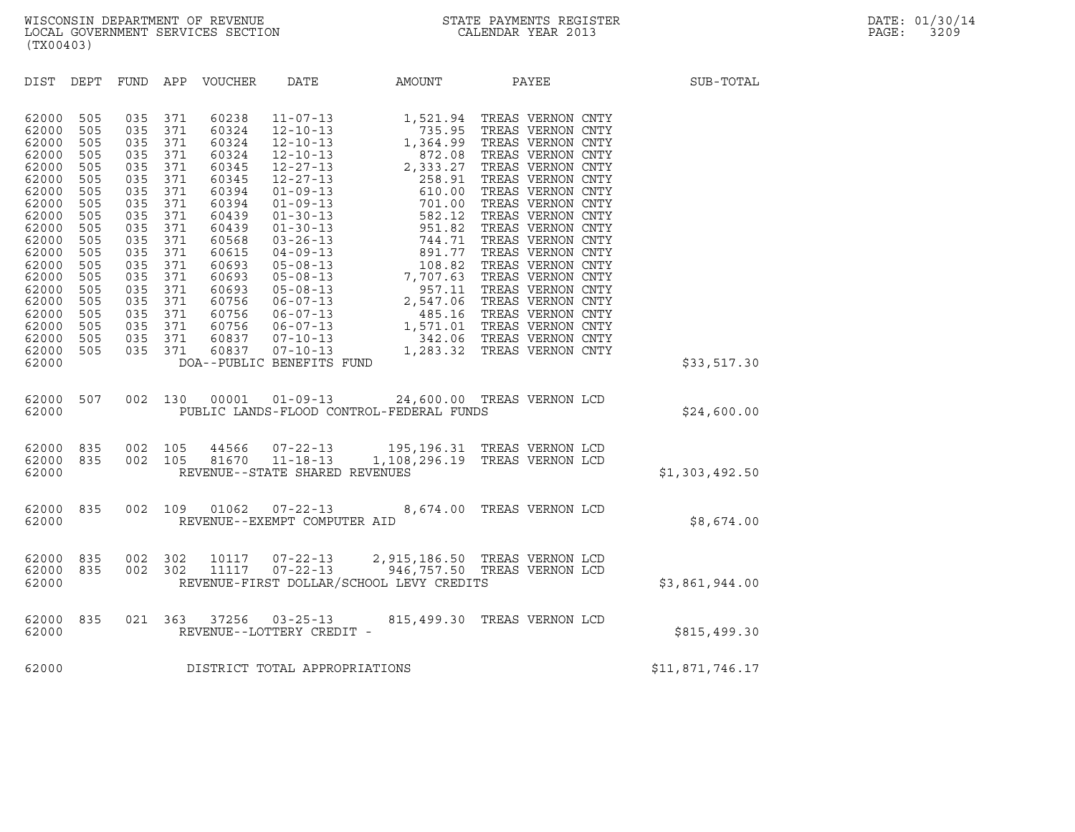| (TX00403)                                                                                                                                                                                                                                                                                                                                                                                                                                                                         |                                                                                                                                                                                                                                                                                                                              |                                                    |                                          |                                                                                                                                                                                                                                                                                                                                                    |                 |
|-----------------------------------------------------------------------------------------------------------------------------------------------------------------------------------------------------------------------------------------------------------------------------------------------------------------------------------------------------------------------------------------------------------------------------------------------------------------------------------|------------------------------------------------------------------------------------------------------------------------------------------------------------------------------------------------------------------------------------------------------------------------------------------------------------------------------|----------------------------------------------------|------------------------------------------|----------------------------------------------------------------------------------------------------------------------------------------------------------------------------------------------------------------------------------------------------------------------------------------------------------------------------------------------------|-----------------|
| DIST<br>DEPT<br>FUND                                                                                                                                                                                                                                                                                                                                                                                                                                                              | APP<br>VOUCHER                                                                                                                                                                                                                                                                                                               | DATE                                               | AMOUNT                                   | <b>PAYEE</b> PAYEE                                                                                                                                                                                                                                                                                                                                 | SUB-TOTAL       |
| 505<br>035<br>62000<br>62000<br>505<br>035<br>035<br>62000<br>505<br>505<br>035<br>62000<br>035<br>62000<br>505<br>505<br>035<br>62000<br>035<br>62000<br>505<br>62000<br>505<br>035<br>62000<br>505<br>035<br>035<br>62000<br>505<br>62000<br>505<br>035<br>505<br>035<br>62000<br>505<br>62000<br>035<br>035<br>62000<br>505<br>62000<br>505<br>035<br>035<br>62000<br>505<br>505<br>035<br>62000<br>62000<br>505<br>035<br>62000<br>505<br>035<br>505<br>035<br>62000<br>62000 | 371<br>60238<br>371<br>60324<br>371<br>60324<br>371<br>60324<br>60345<br>371<br>371<br>60345<br>371<br>60394<br>371<br>60394<br>371<br>60439<br>371<br>60439<br>371<br>60568<br>371<br>60615<br>371<br>60693<br>371<br>60693<br>371<br>60693<br>371<br>60756<br>371<br>60756<br>371<br>60756<br>371<br>60837<br>371<br>60837 | DOA--PUBLIC BENEFITS FUND                          |                                          | $\begin{tabular}{l c c c c c c c} 11-07-13 & 1,521.94 & TREAS VERNON CNTY \\ 12-10-13 & 735.95 & TREAS VERNON CNTY \\ 12-10-13 & 1,364.99 & TREAS VERNON CNTY \\ 12-10-13 & 872.08 & TREAS VERNON CNTY \\ 12-27-13 & 2,333.27 & TREAS VERNON CNTY \\ 12-27-13 & 258.91 & TREAS VERNON CNTY \\ 01-09-13 & 610.00 & TREAS VERNON CNTY \\ 01-09-13 &$ | \$33,517.30     |
| 507<br>62000<br>62000                                                                                                                                                                                                                                                                                                                                                                                                                                                             | 002 130<br>00001                                                                                                                                                                                                                                                                                                             |                                                    | PUBLIC LANDS-FLOOD CONTROL-FEDERAL FUNDS | 01-09-13 24,600.00 TREAS VERNON LCD                                                                                                                                                                                                                                                                                                                | \$24,600.00     |
| 835<br>002<br>62000<br>62000<br>835<br>002<br>62000                                                                                                                                                                                                                                                                                                                                                                                                                               | 105<br>44566<br>105                                                                                                                                                                                                                                                                                                          | REVENUE--STATE SHARED REVENUES                     |                                          | 44566  07-22-13  195,196.31  TREAS  VERNON LCD<br>81670  11-18-13  1,108,296.19  TREAS  VERNON LCD                                                                                                                                                                                                                                                 | \$1,303,492.50  |
| 835<br>62000<br>62000                                                                                                                                                                                                                                                                                                                                                                                                                                                             | 002 109                                                                                                                                                                                                                                                                                                                      | $01062$ $07-22-13$<br>REVENUE--EXEMPT COMPUTER AID |                                          | 8,674.00 TREAS VERNON LCD                                                                                                                                                                                                                                                                                                                          | \$8,674.00      |
| 835<br>62000<br>002<br>62000<br>835<br>62000                                                                                                                                                                                                                                                                                                                                                                                                                                      | 302<br>002 302                                                                                                                                                                                                                                                                                                               |                                                    |                                          | 10117  07-22-13  2,915,186.50 TREAS VERNON LCD<br>12  11117  07-22-13  946,757.50 TREAS VERNON LCD<br>REVENUE-FIRST DOLLAR/SCHOOL LEVY CREDITS                                                                                                                                                                                                     | \$3,861,944.00  |
| 835<br>62000<br>62000                                                                                                                                                                                                                                                                                                                                                                                                                                                             | 021 363<br>37256                                                                                                                                                                                                                                                                                                             | $03 - 25 - 13$<br>REVENUE--LOTTERY CREDIT -        |                                          | 815,499.30 TREAS VERNON LCD                                                                                                                                                                                                                                                                                                                        | \$815,499.30    |
| 62000                                                                                                                                                                                                                                                                                                                                                                                                                                                                             | DISTRICT TOTAL APPROPRIATIONS                                                                                                                                                                                                                                                                                                |                                                    |                                          |                                                                                                                                                                                                                                                                                                                                                    | \$11,871,746.17 |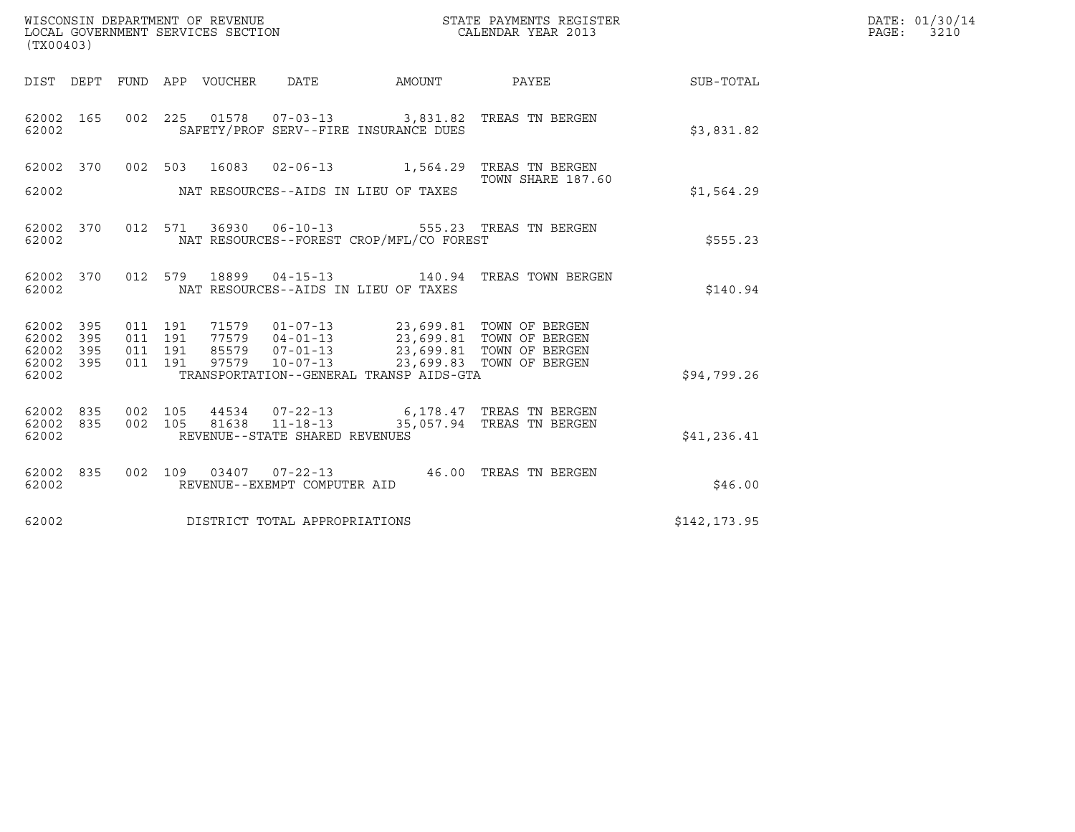| (TX00403)                                 |                          |                                          |         | WISCONSIN DEPARTMENT OF REVENUE<br>LOCAL GOVERNMENT SERVICES SECTION |                                                                    |                                                                                                                                                                                   | STATE PAYMENTS REGISTER<br>CALENDAR YEAR 2013                                  |              | DATE: 01/30/14<br>PAGE: 3210 |
|-------------------------------------------|--------------------------|------------------------------------------|---------|----------------------------------------------------------------------|--------------------------------------------------------------------|-----------------------------------------------------------------------------------------------------------------------------------------------------------------------------------|--------------------------------------------------------------------------------|--------------|------------------------------|
|                                           |                          |                                          |         | DIST DEPT FUND APP VOUCHER DATE                                      |                                                                    | AMOUNT                                                                                                                                                                            | <b>PAYEE</b> PAYEE                                                             | SUB-TOTAL    |                              |
| 62002 165<br>62002                        |                          |                                          |         |                                                                      |                                                                    | SAFETY/PROF SERV--FIRE INSURANCE DUES                                                                                                                                             | 002 225 01578 07-03-13 3,831.82 TREAS TN BERGEN                                | \$3,831.82   |                              |
| 62002                                     |                          |                                          |         |                                                                      |                                                                    | NAT RESOURCES--AIDS IN LIEU OF TAXES                                                                                                                                              | 62002 370 002 503 16083 02-06-13 1,564.29 TREAS TN BERGEN<br>TOWN SHARE 187.60 | \$1,564.29   |                              |
| 62002 370<br>62002                        |                          |                                          | 012 571 |                                                                      |                                                                    | NAT RESOURCES--FOREST CROP/MFL/CO FOREST                                                                                                                                          | 36930  06-10-13  555.23  TREAS TN BERGEN                                       | \$555.23     |                              |
| 62002 370<br>62002                        |                          |                                          |         |                                                                      |                                                                    | NAT RESOURCES--AIDS IN LIEU OF TAXES                                                                                                                                              | 012 579 18899 04-15-13 140.94 TREAS TOWN BERGEN                                | \$140.94     |                              |
| 62002<br>62002<br>62002<br>62002<br>62002 | 395<br>395<br>395<br>395 | 011 191<br>011 191<br>011 191<br>011 191 |         | 97579                                                                | $10 - 07 - 13$                                                     | 71579  01-07-13  23,699.81  TOWN OF BERGEN<br>77579  04-01-13  23,699.81  TOWN OF BERGEN<br>85579  07-01-13  23,699.81  TOWN OF BERGEN<br>TRANSPORTATION--GENERAL TRANSP AIDS-GTA | 23,699.83 TOWN OF BERGEN                                                       | \$94,799.26  |                              |
| 62002 835<br>62002<br>62002               | 835                      | 002 105<br>002 105                       |         | 81638                                                                | 44534 07-22-13<br>$11 - 18 - 13$<br>REVENUE--STATE SHARED REVENUES |                                                                                                                                                                                   | 6,178.47   TREAS TN BERGEN<br>35,057.94 TREAS TN BERGEN                        | \$41,236.41  |                              |
| 62002 835<br>62002                        |                          |                                          |         |                                                                      | REVENUE--EXEMPT COMPUTER AID                                       |                                                                                                                                                                                   | 002 109 03407 07-22-13 46.00 TREAS TN BERGEN                                   | \$46.00      |                              |
| 62002                                     |                          |                                          |         |                                                                      | DISTRICT TOTAL APPROPRIATIONS                                      |                                                                                                                                                                                   |                                                                                | \$142,173.95 |                              |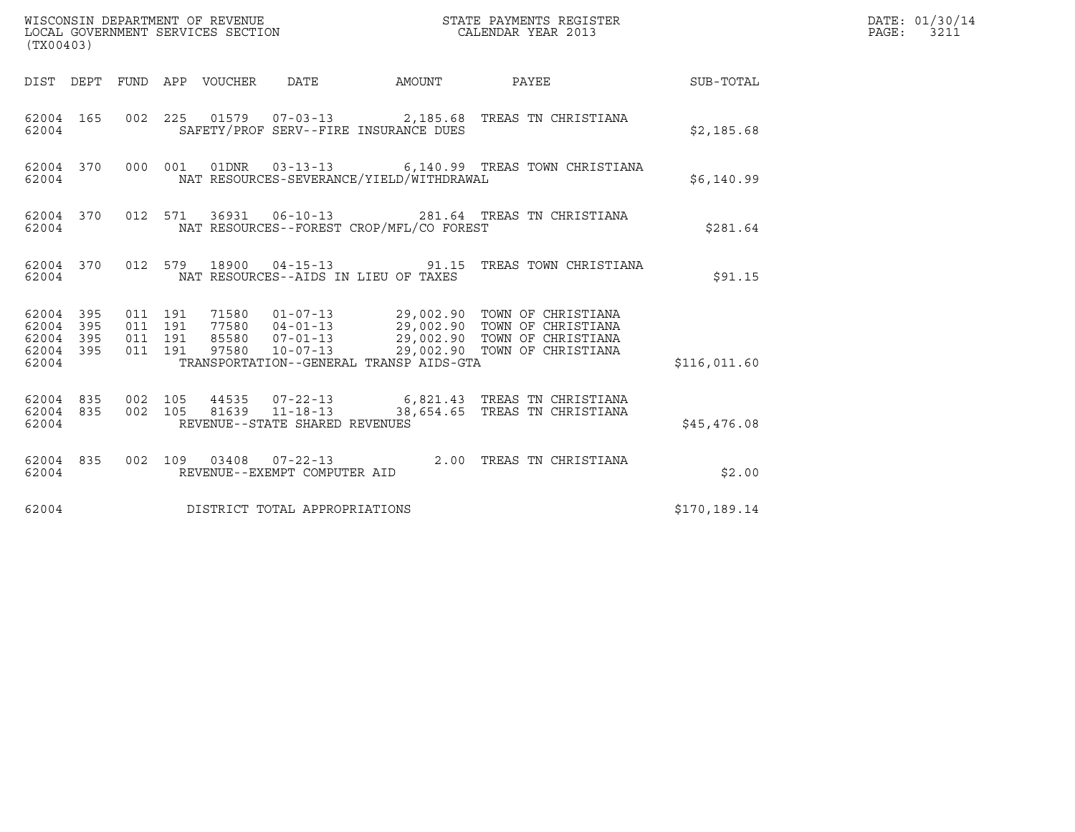| (TX00403)                                         |            |         |                               |                                 |                                                  |                                          |                                                                                                                                                                                             |              | DATE: 01/30/14<br>PAGE: 3211 |
|---------------------------------------------------|------------|---------|-------------------------------|---------------------------------|--------------------------------------------------|------------------------------------------|---------------------------------------------------------------------------------------------------------------------------------------------------------------------------------------------|--------------|------------------------------|
|                                                   |            |         |                               | DIST DEPT FUND APP VOUCHER DATE |                                                  | AMOUNT                                   | PAYEE                                                                                                                                                                                       | SUB-TOTAL    |                              |
| 62004                                             | 62004 165  |         |                               |                                 |                                                  | SAFETY/PROF SERV--FIRE INSURANCE DUES    | 002 225 01579 07-03-13 2,185.68 TREAS TN CHRISTIANA                                                                                                                                         | \$2,185.68   |                              |
| 62004                                             | 62004 370  |         |                               |                                 |                                                  | NAT RESOURCES-SEVERANCE/YIELD/WITHDRAWAL | 000 001 01DNR 03-13-13 6,140.99 TREAS TOWN CHRISTIANA                                                                                                                                       | \$6,140.99   |                              |
| 62004                                             | 62004 370  |         |                               |                                 |                                                  | NAT RESOURCES--FOREST CROP/MFL/CO FOREST | 012 571 36931 06-10-13 281.64 TREAS TN CHRISTIANA                                                                                                                                           | \$281.64     |                              |
| 62004                                             | 62004 370  |         |                               |                                 |                                                  | NAT RESOURCES--AIDS IN LIEU OF TAXES     | 012 579 18900 04-15-13 91.15 TREAS TOWN CHRISTIANA                                                                                                                                          | \$91.15      |                              |
| 62004 395<br>62004<br>62004<br>62004 395<br>62004 | 395<br>395 | 011 191 | 011 191<br>011 191<br>011 191 |                                 |                                                  | TRANSPORTATION--GENERAL TRANSP AIDS-GTA  | 71580  01-07-13  29,002.90  TOWN OF CHRISTIANA<br>77580 04-01-13 29,002.90 TOWN OF CHRISTIANA<br>85580 07-01-13 29,002.90 TOWN OF CHRISTIANA<br>97580 10-07-13 29,002.90 TOWN OF CHRISTIANA | \$116,011.60 |                              |
| 62004 835<br>62004 835<br>62004                   |            | 002 105 | 002 105                       |                                 | 81639 11-18-13<br>REVENUE--STATE SHARED REVENUES |                                          | 44535 07-22-13 6,821.43 TREAS TN CHRISTIANA<br>38,654.65 TREAS TN CHRISTIANA                                                                                                                | \$45,476.08  |                              |
| 62004                                             | 62004 835  |         |                               |                                 | REVENUE--EXEMPT COMPUTER AID                     |                                          | 002 109 03408 07-22-13 2.00 TREAS TN CHRISTIANA                                                                                                                                             | \$2.00       |                              |
| 62004                                             |            |         |                               |                                 | DISTRICT TOTAL APPROPRIATIONS                    |                                          |                                                                                                                                                                                             | \$170,189.14 |                              |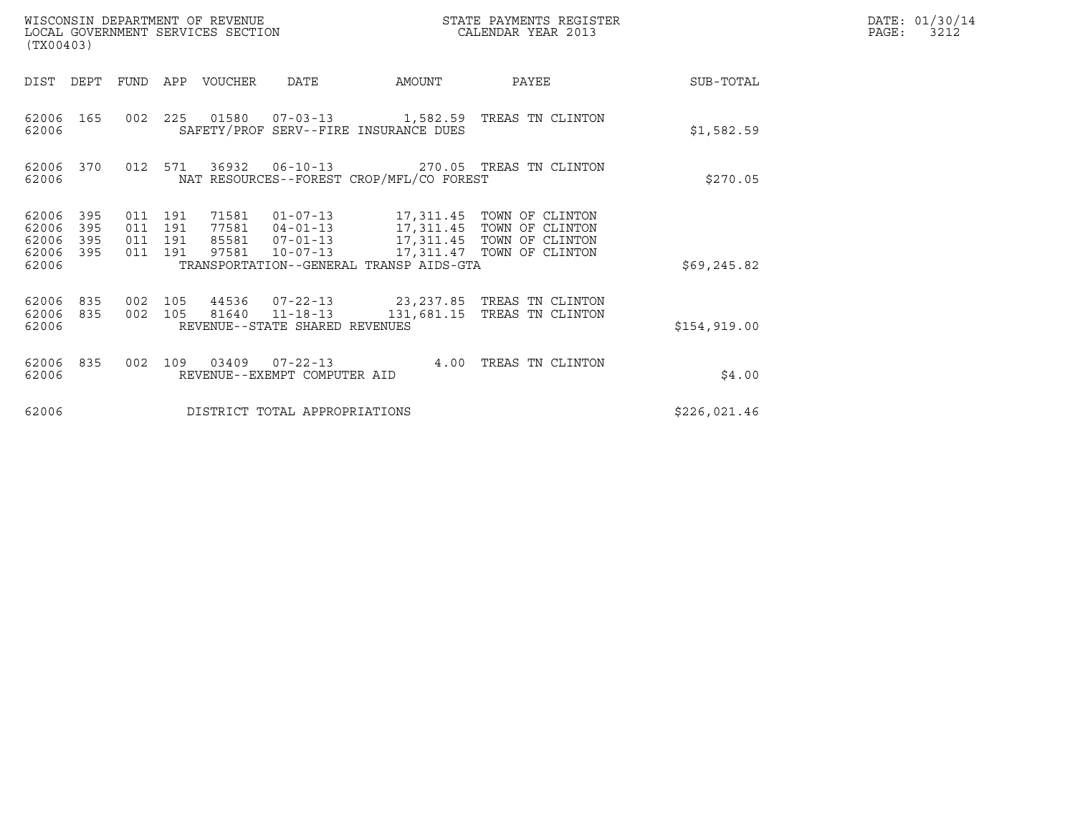| (TX00403)                                 |                          |                                          |     | WISCONSIN DEPARTMENT OF REVENUE<br>LOCAL GOVERNMENT SERVICES SECTION |                                                                    |                                          | STATE PAYMENTS REGISTER<br>CALENDAR YEAR 2013                                                                                                                               | DATE: 01/30/14<br>$\mathtt{PAGE}$ :<br>3212 |  |
|-------------------------------------------|--------------------------|------------------------------------------|-----|----------------------------------------------------------------------|--------------------------------------------------------------------|------------------------------------------|-----------------------------------------------------------------------------------------------------------------------------------------------------------------------------|---------------------------------------------|--|
| DIST                                      | DEPT                     | FUND                                     | APP | VOUCHER                                                              | <b>DATE</b>                                                        | AMOUNT                                   | PAYEE                                                                                                                                                                       | SUB-TOTAL                                   |  |
| 62006<br>62006                            | 165                      |                                          |     |                                                                      |                                                                    | SAFETY/PROF SERV--FIRE INSURANCE DUES    | 002 225 01580 07-03-13 1,582.59 TREAS TN CLINTON                                                                                                                            | \$1,582.59                                  |  |
| 62006<br>62006                            | 370                      | 012 571                                  |     |                                                                      | 36932 06-10-13                                                     | NAT RESOURCES--FOREST CROP/MFL/CO FOREST | 270.05 TREAS TN CLINTON                                                                                                                                                     | \$270.05                                    |  |
| 62006<br>62006<br>62006<br>62006<br>62006 | 395<br>395<br>395<br>395 | 011 191<br>011 191<br>011 191<br>011 191 |     | 97581                                                                | $10 - 07 - 13$                                                     | TRANSPORTATION--GENERAL TRANSP AIDS-GTA  | 71581  01-07-13  17,311.45  TOWN OF CLINTON<br>77581  04-01-13    17,311.45    TOWN OF CLINTON<br>85581  07-01-13   17,311.45  TOWN OF CLINTON<br>17,311.47 TOWN OF CLINTON | \$69, 245.82                                |  |
| 62006<br>62006<br>62006                   | 835<br>835               | 002 105<br>002 105                       |     |                                                                      | 44536 07-22-13<br>81640 11-18-13<br>REVENUE--STATE SHARED REVENUES |                                          | 23,237.85 TREAS TN CLINTON<br>131,681.15 TREAS TN CLINTON                                                                                                                   | \$154,919.00                                |  |
| 62006<br>62006                            | 835                      | 002                                      | 109 |                                                                      | REVENUE--EXEMPT COMPUTER AID                                       | 4.00                                     | TREAS TN CLINTON                                                                                                                                                            | \$4.00                                      |  |
| 62006                                     |                          |                                          |     |                                                                      | DISTRICT TOTAL APPROPRIATIONS                                      |                                          |                                                                                                                                                                             | \$226,021.46                                |  |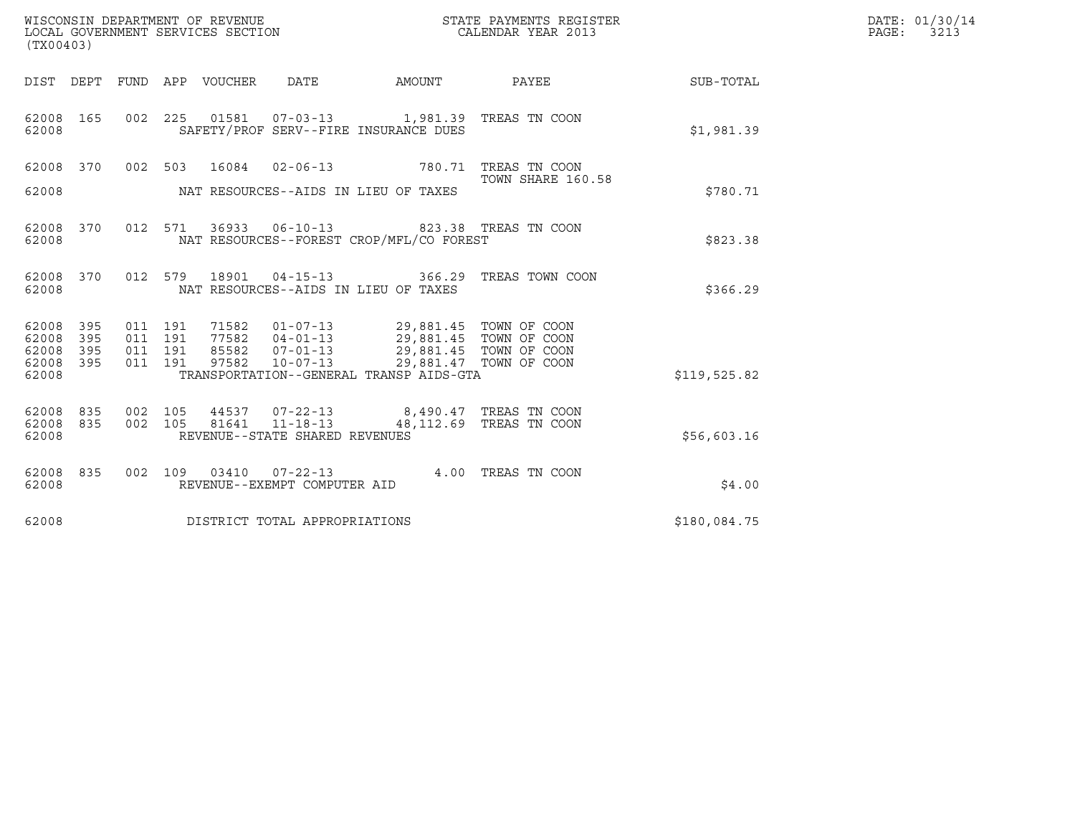| (TX00403)                       |            |                    |         |                            | WISCONSIN DEPARTMENT OF REVENUE<br>LOCAL GOVERNMENT SERVICES SECTION |                                                                                        | STATE PAYMENTS REGISTER<br>CALENDAR YEAR 2013     |              | DATE: 01/30/14<br>PAGE: 3213 |
|---------------------------------|------------|--------------------|---------|----------------------------|----------------------------------------------------------------------|----------------------------------------------------------------------------------------|---------------------------------------------------|--------------|------------------------------|
|                                 |            |                    |         | DIST DEPT FUND APP VOUCHER | DATE                                                                 |                                                                                        | AMOUNT PAYEE                                      | SUB-TOTAL    |                              |
| 62008 165<br>62008              |            |                    |         |                            |                                                                      | 002 225 01581 07-03-13 1,981.39 TREAS TN COON<br>SAFETY/PROF SERV--FIRE INSURANCE DUES |                                                   | \$1,981.39   |                              |
| 62008 370                       |            |                    |         |                            |                                                                      | 002 503 16084 02-06-13 780.71 TREAS TN COON                                            | TOWN SHARE 160.58                                 |              |                              |
| 62008                           |            |                    |         |                            |                                                                      | NAT RESOURCES--AIDS IN LIEU OF TAXES                                                   |                                                   | \$780.71     |                              |
| 62008 370<br>62008              |            |                    | 012 571 |                            |                                                                      | NAT RESOURCES--FOREST CROP/MFL/CO FOREST                                               |                                                   | \$823.38     |                              |
| 62008 370<br>62008              |            |                    | 012 579 |                            |                                                                      | NAT RESOURCES--AIDS IN LIEU OF TAXES                                                   | 18901  04-15-13  366.29  TREAS TOWN COON          | \$366.29     |                              |
| 62008<br>62008                  | 395<br>395 | 011 191<br>011 191 |         | 71582                      | 77582 04-01-13                                                       | 01-07-13 29,881.45 TOWN OF COON<br>29,881.45 TOWN OF COON<br>29,881.45 TOWN OF COON    |                                                   |              |                              |
| 62008<br>62008<br>62008         | 395<br>395 | 011 191<br>011 191 |         | 97582                      | 85582 07-01-13<br>$10 - 07 - 13$                                     | TRANSPORTATION--GENERAL TRANSP AIDS-GTA                                                | 29,881.47 TOWN OF COON                            | \$119,525.82 |                              |
| 62008 835<br>62008 835<br>62008 |            | 002 105<br>002 105 |         | 81641                      | 44537 07-22-13<br>$11 - 18 - 13$<br>REVENUE--STATE SHARED REVENUES   |                                                                                        | 8,490.47 TREAS TN COON<br>48,112.69 TREAS TN COON | \$56,603.16  |                              |
| 62008 835                       |            |                    |         |                            | 002 109 03410 07-22-13                                               |                                                                                        | 4.00 TREAS TN COON                                |              |                              |
| 62008                           |            |                    |         |                            | REVENUE--EXEMPT COMPUTER AID                                         |                                                                                        |                                                   | \$4.00       |                              |
| 62008                           |            |                    |         |                            | DISTRICT TOTAL APPROPRIATIONS                                        |                                                                                        |                                                   | \$180,084.75 |                              |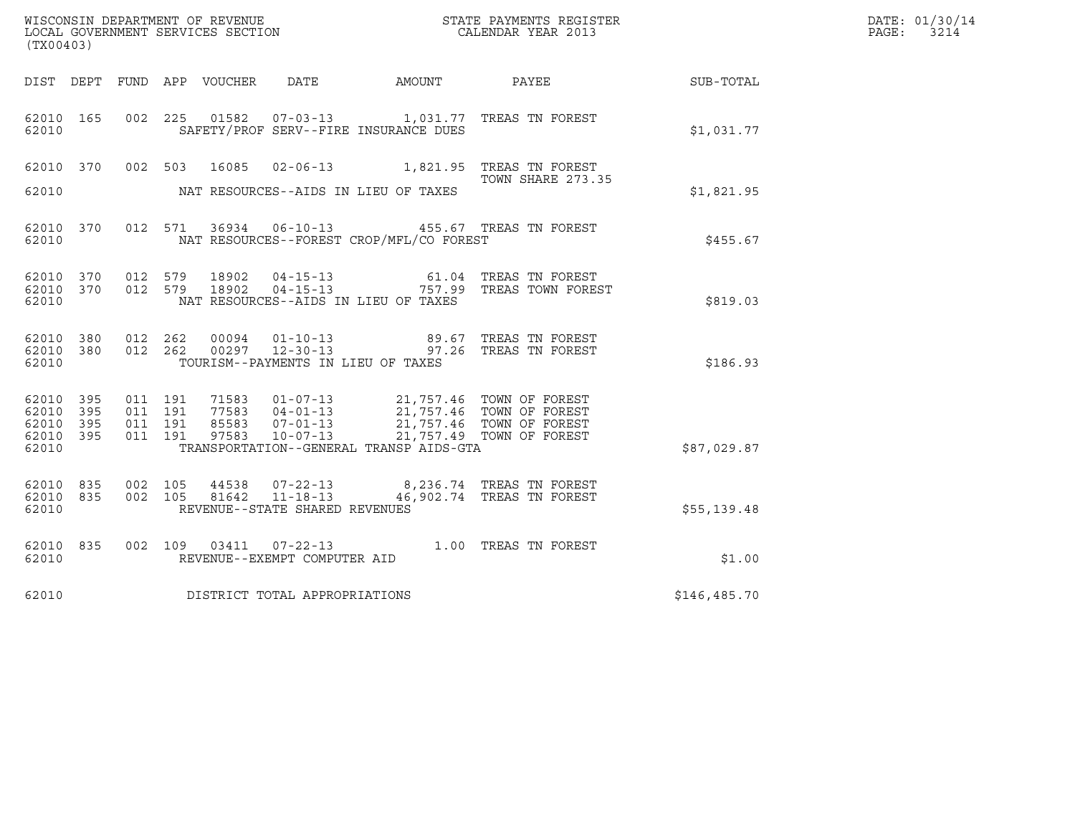| $\tt WISCONSIM DEPARTMENT OF REVENUE$ $\tt WISCONMIN S REGISTER$ LOCAL GOVERNMENT SERVICES SECTION $\tt CALENDAR$ YEAR 2013<br>(TX00403) |                   |                                          |         |                                 |                                                                    |                                                                                                                                                                                                                        |                                                                           |              | DATE: 01/30/14<br>PAGE:<br>3214 |
|------------------------------------------------------------------------------------------------------------------------------------------|-------------------|------------------------------------------|---------|---------------------------------|--------------------------------------------------------------------|------------------------------------------------------------------------------------------------------------------------------------------------------------------------------------------------------------------------|---------------------------------------------------------------------------|--------------|---------------------------------|
|                                                                                                                                          |                   |                                          |         | DIST DEPT FUND APP VOUCHER DATE |                                                                    | AMOUNT PAYEE                                                                                                                                                                                                           |                                                                           | SUB-TOTAL    |                                 |
| 62010 165<br>62010                                                                                                                       |                   |                                          |         |                                 |                                                                    | SAFETY/PROF SERV--FIRE INSURANCE DUES                                                                                                                                                                                  | 002  225  01582  07-03-13   1,031.77  TREAS TN FOREST                     | \$1,031.77   |                                 |
| 62010 370                                                                                                                                |                   |                                          |         |                                 |                                                                    |                                                                                                                                                                                                                        | 002 503 16085 02-06-13 1,821.95 TREAS TN FOREST<br>TOWN SHARE 273.35      |              |                                 |
| 62010                                                                                                                                    |                   |                                          |         |                                 |                                                                    | NAT RESOURCES--AIDS IN LIEU OF TAXES                                                                                                                                                                                   |                                                                           | \$1,821.95   |                                 |
| 62010 370<br>62010                                                                                                                       |                   |                                          | 012 571 |                                 |                                                                    | NAT RESOURCES--FOREST CROP/MFL/CO FOREST                                                                                                                                                                               | 36934  06-10-13  455.67  TREAS TN FOREST                                  | \$455.67     |                                 |
| 62010 370<br>62010 370<br>62010                                                                                                          |                   | 012 579                                  | 012 579 | 18902<br>18902                  |                                                                    | NAT RESOURCES--AIDS IN LIEU OF TAXES                                                                                                                                                                                   |                                                                           | \$819.03     |                                 |
| 62010 380<br>62010 380<br>62010                                                                                                          |                   | 012 262<br>012 262                       |         | 00094                           |                                                                    | TOURISM--PAYMENTS IN LIEU OF TAXES                                                                                                                                                                                     | 01-10-13 89.67 TREAS TN FOREST<br>00297  12-30-13  97.26  TREAS TN FOREST | \$186.93     |                                 |
| 62010 395<br>62010<br>62010<br>62010<br>62010                                                                                            | 395<br>395<br>395 | 011 191<br>011 191<br>011 191<br>011 191 |         | 97583                           |                                                                    | 71583  01-07-13  21,757.46  TOWN OF FOREST<br>77583  04-01-13  21,757.46  TOWN OF FOREST<br>85583  07-01-13  21,757.46  TOWN OF FOREST<br>10-07-13 21,757.49 TOWN OF FOREST<br>TRANSPORTATION--GENERAL TRANSP AIDS-GTA |                                                                           | \$87,029.87  |                                 |
| 62010 835<br>62010 835<br>62010                                                                                                          |                   | 002 105<br>002 105                       |         | 44538<br>81642                  | $07 - 22 - 13$<br>$11 - 18 - 13$<br>REVENUE--STATE SHARED REVENUES |                                                                                                                                                                                                                        | 8,236.74 TREAS TN FOREST<br>46,902.74 TREAS TN FOREST                     | \$55,139.48  |                                 |
| 62010 835<br>62010                                                                                                                       |                   |                                          |         |                                 | REVENUE--EXEMPT COMPUTER AID                                       |                                                                                                                                                                                                                        | 002 109 03411 07-22-13 1.00 TREAS TN FOREST                               | \$1.00       |                                 |
| 62010                                                                                                                                    |                   |                                          |         |                                 | DISTRICT TOTAL APPROPRIATIONS                                      |                                                                                                                                                                                                                        |                                                                           | \$146,485.70 |                                 |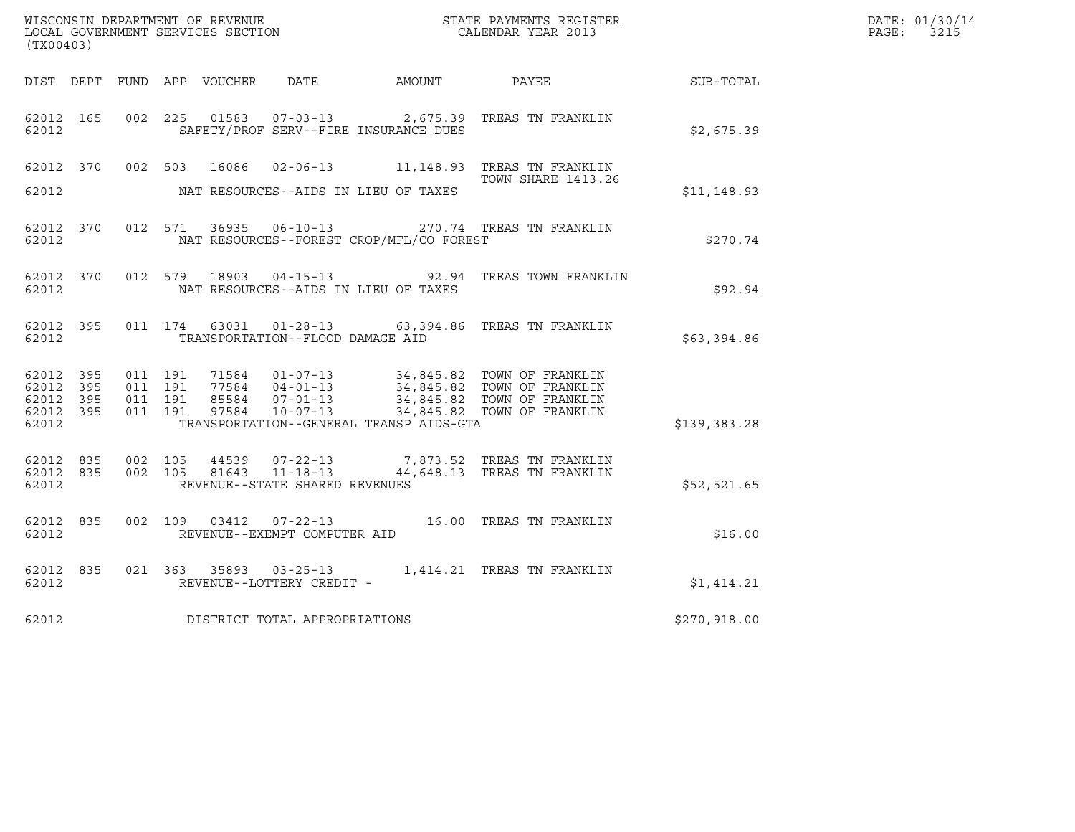| (TX00403)                                                 |                             |                    |                    |  |                                  |                                          |                                                                                                                                                                                                          |              | DATE: 01/30/14<br>PAGE: 3215 |
|-----------------------------------------------------------|-----------------------------|--------------------|--------------------|--|----------------------------------|------------------------------------------|----------------------------------------------------------------------------------------------------------------------------------------------------------------------------------------------------------|--------------|------------------------------|
|                                                           |                             |                    |                    |  |                                  |                                          | DIST DEPT FUND APP VOUCHER DATE AMOUNT PAYEE TO SUB-TOTAL                                                                                                                                                |              |                              |
| 62012                                                     | 62012 165                   |                    |                    |  |                                  | SAFETY/PROF SERV--FIRE INSURANCE DUES    | 002 225 01583 07-03-13 2,675.39 TREAS TN FRANKLIN                                                                                                                                                        | \$2,675.39   |                              |
| 62012                                                     |                             |                    |                    |  |                                  | NAT RESOURCES--AIDS IN LIEU OF TAXES     | 62012 370 002 503 16086 02-06-13 11,148.93 TREAS TN FRANKLIN<br><b>TOWN SHARE 1413.26</b>                                                                                                                | \$11,148.93  |                              |
|                                                           | 62012 and the set of $\sim$ |                    |                    |  |                                  | NAT RESOURCES--FOREST CROP/MFL/CO FOREST | 62012 370 012 571 36935 06-10-13 270.74 TREAS TN FRANKLIN                                                                                                                                                | \$270.74     |                              |
| 62012                                                     |                             |                    |                    |  |                                  | NAT RESOURCES--AIDS IN LIEU OF TAXES     | 62012 370 012 579 18903 04-15-13 92.94 TREAS TOWN FRANKLIN                                                                                                                                               | \$92.94      |                              |
| 62012                                                     | 62012 395                   |                    |                    |  | TRANSPORTATION--FLOOD DAMAGE AID |                                          | 011 174 63031 01-28-13 63,394.86 TREAS TN FRANKLIN                                                                                                                                                       | \$63,394.86  |                              |
| 62012 395<br>62012 395<br>62012 395<br>62012 395<br>62012 |                             | 011 191<br>011 191 | 011 191<br>011 191 |  |                                  | TRANSPORTATION--GENERAL TRANSP AIDS-GTA  | 71584   01-07-13   34,845.82   TOWN OF FRANKLIN<br>77584   04-01-13   34,845.82   TOWN OF FRANKLIN<br>85584   07-01-13   34,845.82   TOWN OF FRANKLIN<br>97584   10-07-13   34,845.82   TOWN OF FRANKLIN | \$139,383.28 |                              |
| 62012                                                     | 62012 835                   | 62012 835 002 105  |                    |  | REVENUE--STATE SHARED REVENUES   |                                          | $\begin{array}{cccc} 002 & 105 & 44539 & 07-22-13 & 7,873.52 & \text{TREAS TN FRANKLIN} \\ 002 & 105 & 81643 & 11-18-13 & 44,648.13 & \text{TREAS TN FRANKLIN} \end{array}$                              | \$52,521.65  |                              |
| 62012                                                     | 62012 835                   |                    |                    |  | REVENUE--EXEMPT COMPUTER AID     |                                          | 002 109 03412 07-22-13 16.00 TREAS TN FRANKLIN                                                                                                                                                           | \$16.00      |                              |
| 62012                                                     | 62012 835                   |                    |                    |  | REVENUE--LOTTERY CREDIT -        |                                          | 021 363 35893 03-25-13 1,414.21 TREAS TN FRANKLIN                                                                                                                                                        | \$1,414.21   |                              |
| 62012                                                     |                             |                    |                    |  | DISTRICT TOTAL APPROPRIATIONS    |                                          |                                                                                                                                                                                                          | \$270,918.00 |                              |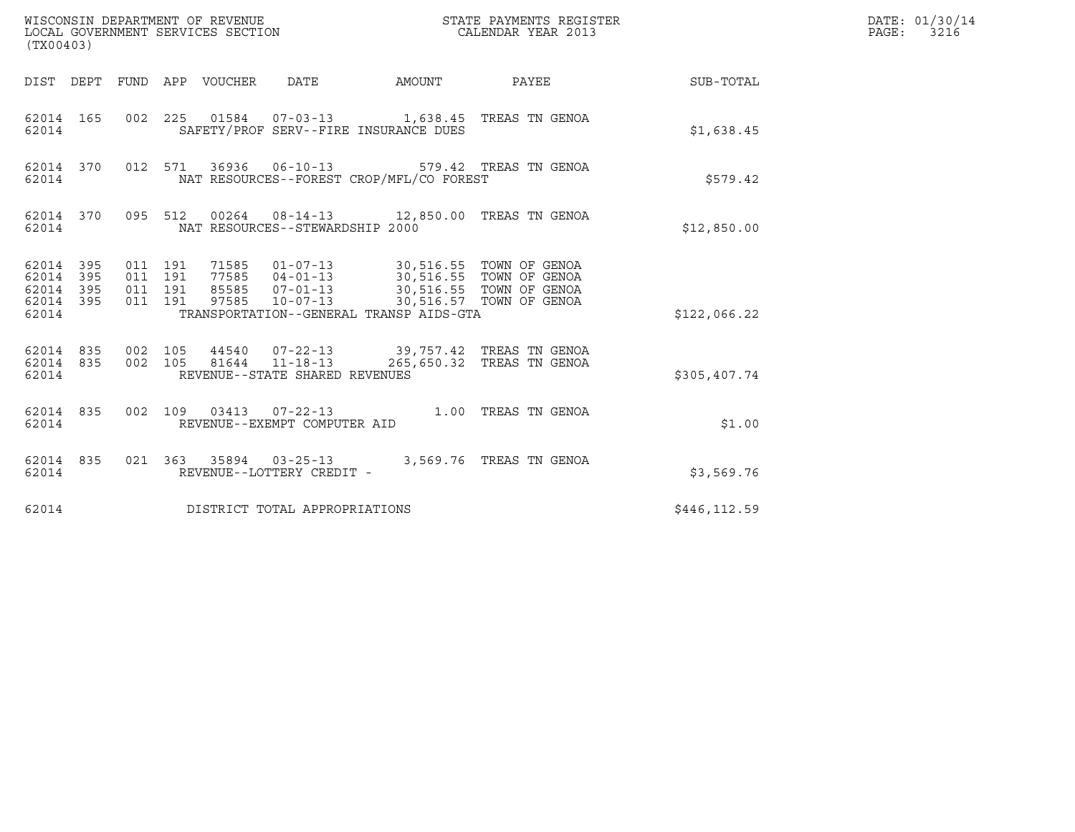| WISCONSIN DEPARTMENT OF REVENUE<br>LOCAL GOVERNMENT SERVICES SECTION<br>(TX00403) |                                |                                          |  |                                 |                                 |                                                                                                                                                                                                                             | STATE PAYMENTS REGISTER<br>CALENDAR YEAR 2013                                                 |              | DATE: 01/30/14<br>PAGE: 3216 |
|-----------------------------------------------------------------------------------|--------------------------------|------------------------------------------|--|---------------------------------|---------------------------------|-----------------------------------------------------------------------------------------------------------------------------------------------------------------------------------------------------------------------------|-----------------------------------------------------------------------------------------------|--------------|------------------------------|
|                                                                                   |                                |                                          |  | DIST DEPT FUND APP VOUCHER DATE |                                 | AMOUNT                                                                                                                                                                                                                      | PAYEE                                                                                         | SUB-TOTAL    |                              |
| 62014                                                                             | 62014 165                      |                                          |  |                                 |                                 | SAFETY/PROF SERV--FIRE INSURANCE DUES                                                                                                                                                                                       | 002  225  01584  07-03-13  1,638.45  TREAS TN GENOA                                           | \$1,638.45   |                              |
| 62014                                                                             | 62014 370                      |                                          |  |                                 | 012 571 36936 06-10-13          | NAT RESOURCES--FOREST CROP/MFL/CO FOREST                                                                                                                                                                                    | 579.42 TREAS TN GENOA                                                                         | \$579.42     |                              |
| 62014                                                                             | 62014 370                      |                                          |  |                                 | NAT RESOURCES--STEWARDSHIP 2000 |                                                                                                                                                                                                                             | 095 512 00264 08-14-13 12,850.00 TREAS TN GENOA                                               | \$12,850.00  |                              |
| 62014 395<br>62014 395<br>62014<br>62014 395<br>62014                             | 395                            | 011 191<br>011 191<br>011 191<br>011 191 |  |                                 |                                 | 71585   01-07-13   30,516.55   TOWN OF GENOA<br>77585   04-01-13   30,516.55   TOWN OF GENOA<br>85585 07-01-13 30,516.55 TOWN OF GENOA<br>97585 10-07-13 30,516.57 TOWN OF GENOA<br>TRANSPORTATION--GENERAL TRANSP AIDS-GTA |                                                                                               | \$122,066.22 |                              |
| 62014                                                                             | 62014 835 002 105<br>62014 835 |                                          |  |                                 | REVENUE--STATE SHARED REVENUES  |                                                                                                                                                                                                                             | 44540  07-22-13  39,757.42 TREAS TN GENOA<br>002 105 81644 11-18-13 265,650.32 TREAS TN GENOA | \$305,407.74 |                              |
| 62014                                                                             | 62014 835                      |                                          |  |                                 | REVENUE--EXEMPT COMPUTER AID    |                                                                                                                                                                                                                             | 002 109 03413 07-22-13 1.00 TREAS TN GENOA                                                    | \$1.00       |                              |
| 62014 835<br>62014                                                                |                                |                                          |  |                                 | REVENUE--LOTTERY CREDIT -       |                                                                                                                                                                                                                             | 021  363  35894  03-25-13  3,569.76  TREAS TN GENOA                                           | \$3,569.76   |                              |
| 62014                                                                             |                                |                                          |  |                                 | DISTRICT TOTAL APPROPRIATIONS   |                                                                                                                                                                                                                             |                                                                                               | \$446,112.59 |                              |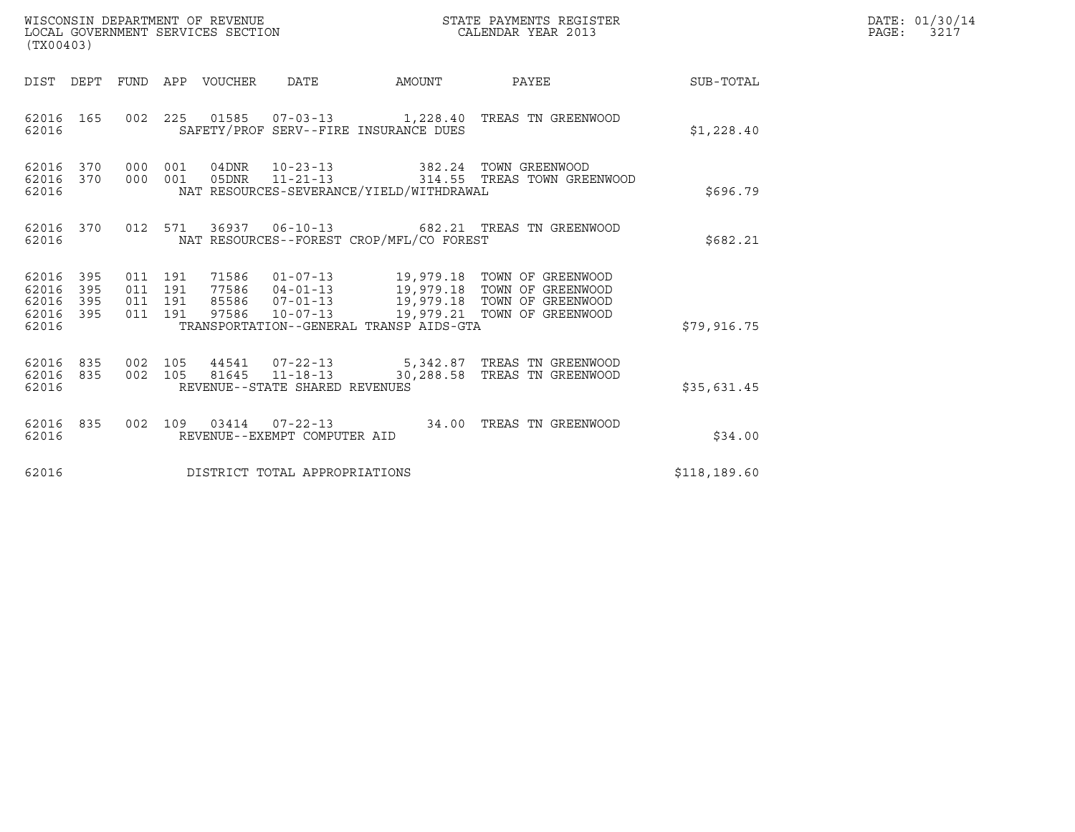| (TX00403)                                                          | WISCONSIN DEPARTMENT OF REVENUE<br>LOCAL GOVERNMENT SERVICES SECTION                                                                                                              | STATE PAYMENTS REGISTER<br>CALENDAR YEAR 2013              |              | DATE: 01/30/14<br>PAGE:<br>3217 |
|--------------------------------------------------------------------|-----------------------------------------------------------------------------------------------------------------------------------------------------------------------------------|------------------------------------------------------------|--------------|---------------------------------|
| DIST DEPT                                                          | FUND APP VOUCHER<br>DATE                                                                                                                                                          | AMOUNT PAYEE                                               | SUB-TOTAL    |                                 |
| 62016 165<br>62016                                                 | 002 225 01585 07-03-13 1,228.40 TREAS TN GREENWOOD<br>SAFETY/PROF SERV--FIRE INSURANCE DUES                                                                                       |                                                            | \$1,228.40   |                                 |
| 62016 370<br>000<br>62016<br>370<br>62016                          | 04DNR 10-23-13<br>001<br>000 001<br>05DNR<br>$11 - 21 - 13$<br>NAT RESOURCES-SEVERANCE/YIELD/WITHDRAWAL                                                                           | 382.24 TOWN GREENWOOD<br>314.55 TREAS TOWN GREENWOOD       | \$696.79     |                                 |
| 62016 370<br>62016                                                 | 012 571<br>36937   06-10-13   682.21   TREAS TN GREENWOOD<br>NAT RESOURCES--FOREST CROP/MFL/CO FOREST                                                                             |                                                            | \$682.21     |                                 |
| 62016 395<br>62016<br>395<br>62016<br>395<br>395<br>62016<br>62016 | 011 191<br>77586  04-01-13  19,979.18  TOWN OF GREENWOOD<br>011 191<br>011 191<br>85586 07-01-13<br>011 191<br>$10 - 07 - 13$<br>97586<br>TRANSPORTATION--GENERAL TRANSP AIDS-GTA | 19,979.18 TOWN OF GREENWOOD<br>19,979.21 TOWN OF GREENWOOD | \$79,916.75  |                                 |
| 62016<br>835<br>62016<br>835<br>62016                              | 002 105<br>44541  07-22-13  5,342.87  TREAS TN GREENWOOD<br>002 105<br>81645   11-18-13   30,288.58   TREAS TN GREENWOOD<br>REVENUE--STATE SHARED REVENUES                        |                                                            | \$35,631.45  |                                 |
| 62016 835<br>62016                                                 | 03414  07-22-13  34.00 TREAS TN GREENWOOD<br>002 109<br>REVENUE--EXEMPT COMPUTER AID                                                                                              |                                                            | \$34.00      |                                 |
| 62016                                                              | DISTRICT TOTAL APPROPRIATIONS                                                                                                                                                     |                                                            | \$118,189.60 |                                 |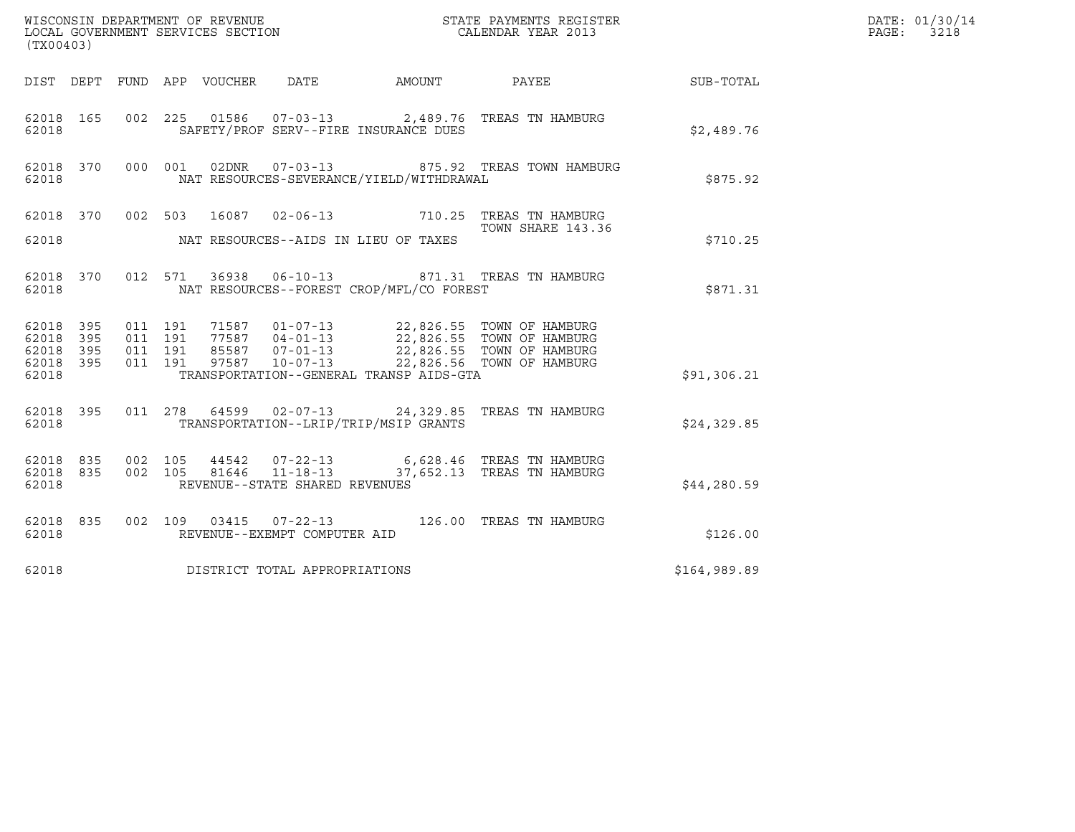| (TX00403)                                             |                                                                                                                                                                                                                  |                   | DATE: 01/30/14<br>$\mathtt{PAGE:}$<br>3218 |  |
|-------------------------------------------------------|------------------------------------------------------------------------------------------------------------------------------------------------------------------------------------------------------------------|-------------------|--------------------------------------------|--|
| DIST DEPT FUND APP VOUCHER DATE                       | AMOUNT                                                                                                                                                                                                           | PAYEE             | SUB-TOTAL                                  |  |
| 62018 165<br>62018                                    | 002 225 01586 07-03-13 2,489.76 TREAS TN HAMBURG<br>SAFETY/PROF SERV--FIRE INSURANCE DUES                                                                                                                        |                   | \$2,489.76                                 |  |
| 02DNR<br>62018 370<br>000 001<br>62018                | 07-03-13  875.92  TREAS TOWN HAMBURG<br>NAT RESOURCES-SEVERANCE/YIELD/WITHDRAWAL                                                                                                                                 |                   | \$875.92                                   |  |
|                                                       | 62018 370 002 503 16087 02-06-13 710.25 TREAS TN HAMBURG                                                                                                                                                         | TOWN SHARE 143.36 |                                            |  |
| 62018                                                 | NAT RESOURCES--AIDS IN LIEU OF TAXES                                                                                                                                                                             |                   | \$710.25                                   |  |
| 62018 370<br>62018                                    | 012 571 36938 06-10-13 871.31 TREAS TN HAMBURG<br>NAT RESOURCES--FOREST CROP/MFL/CO FOREST                                                                                                                       |                   | \$871.31                                   |  |
| 62018 395<br>011 191<br>395<br>011 191<br>62018       |                                                                                                                                                                                                                  |                   |                                            |  |
| 011 191<br>62018 395<br>62018 395<br>011 191          | 71587    01-07-13    22,826.55    TOWN OF HAMBURG<br>77587    04-01-13    22,826.55    TOWN OF HAMBURG<br>85587    07-01-13    22,826.55    TOWN OF HAMBURG<br>97587    10-07-13    22,826.56    TOWN OF HAMBURG |                   |                                            |  |
| 62018                                                 | TRANSPORTATION--GENERAL TRANSP AIDS-GTA                                                                                                                                                                          |                   | \$91,306.21                                |  |
| 62018 395<br>62018                                    | 011 278 64599 02-07-13 24,329.85 TREAS TN HAMBURG<br>TRANSPORTATION--LRIP/TRIP/MSIP GRANTS                                                                                                                       |                   | \$24,329.85                                |  |
| 62018 835<br>002 105<br>002 105<br>62018 835<br>62018 | 44542  07-22-13  6,628.46  TREAS TN HAMBURG<br>81646  11-18-13  37,652.13  TREAS TN HAMBURG<br>REVENUE--STATE SHARED REVENUES                                                                                    |                   | \$44,280.59                                |  |
| 62018 835<br>62018                                    | 002 109 03415 07-22-13 126.00 TREAS TN HAMBURG<br>REVENUE--EXEMPT COMPUTER AID                                                                                                                                   |                   | \$126.00                                   |  |
| 62018                                                 | DISTRICT TOTAL APPROPRIATIONS                                                                                                                                                                                    |                   | \$164,989.89                               |  |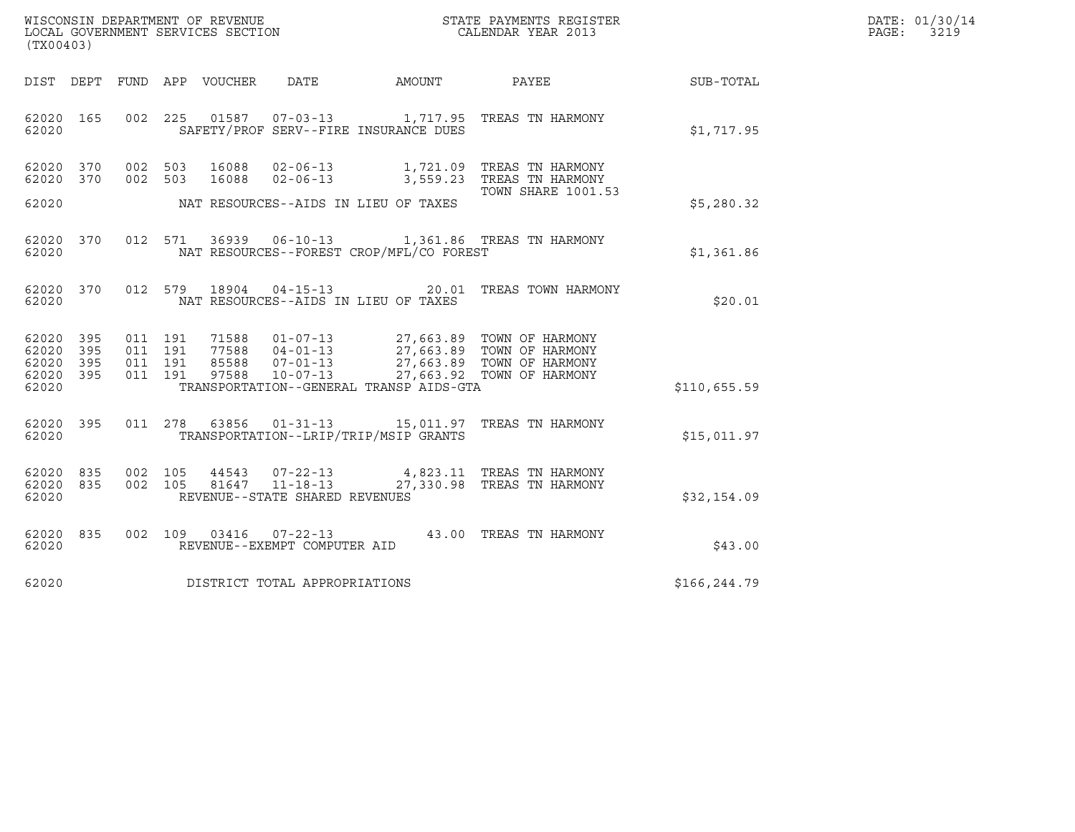|                                     | (TX00403) |         |                               |               |                                                        |                                          |                                                                  |                 | DATE: 01/30/14<br>PAGE:<br>3219 |
|-------------------------------------|-----------|---------|-------------------------------|---------------|--------------------------------------------------------|------------------------------------------|------------------------------------------------------------------|-----------------|---------------------------------|
| DIST DEPT                           |           |         |                               |               |                                                        | FUND APP VOUCHER DATE AMOUNT             |                                                                  | PAYEE SUB-TOTAL |                                 |
| 62020 165<br>62020                  |           |         |                               |               |                                                        | SAFETY/PROF SERV--FIRE INSURANCE DUES    | 002 225 01587 07-03-13 1,717.95 TREAS TN HARMONY                 | \$1,717.95      |                                 |
| 62020 370<br>62020 370              |           | 002 503 | 002 503                       | 16088         |                                                        | 16088 02-06-13 1,721.09                  | TREAS TN HARMONY<br>02-06-13 3,559.23 TREAS TN HARMONY           |                 |                                 |
| 62020                               |           |         |                               |               |                                                        | NAT RESOURCES--AIDS IN LIEU OF TAXES     | <b>TOWN SHARE 1001.53</b>                                        | \$5,280.32      |                                 |
| 62020 370<br>62020                  |           |         | 012 571                       |               |                                                        | NAT RESOURCES--FOREST CROP/MFL/CO FOREST | 36939  06-10-13  1,361.86  TREAS TN HARMONY                      | \$1,361.86      |                                 |
| 62020 370<br>62020                  |           |         |                               | 012 579 18904 |                                                        | NAT RESOURCES--AIDS IN LIEU OF TAXES     | 04-15-13 20.01 TREAS TOWN HARMONY                                | \$20.01         |                                 |
| 62020 395<br>62020 395<br>62020 395 |           |         | 011 191<br>011 191<br>011 191 |               |                                                        |                                          |                                                                  |                 |                                 |
| 62020 395<br>62020                  |           |         | 011 191                       |               |                                                        | TRANSPORTATION--GENERAL TRANSP AIDS-GTA  |                                                                  | \$110,655.59    |                                 |
| 62020 395<br>62020                  |           |         | 011 278                       |               |                                                        | TRANSPORTATION--LRIP/TRIP/MSIP GRANTS    | 63856  01-31-13   15,011.97   TREAS TN HARMONY                   | \$15,011.97     |                                 |
| 62020 835<br>62020 835<br>62020     |           | 002 105 | 002 105                       | 44543         | 81647 11-18-13<br>REVENUE--STATE SHARED REVENUES       |                                          | 07-22-13 4,823.11 TREAS TN HARMONY<br>27,330.98 TREAS TN HARMONY | \$32,154.09     |                                 |
| 62020 835<br>62020                  |           |         |                               |               | 002 109 03416 07-22-13<br>REVENUE--EXEMPT COMPUTER AID |                                          | 43.00 TREAS TN HARMONY                                           | \$43.00         |                                 |
| 62020                               |           |         |                               |               | DISTRICT TOTAL APPROPRIATIONS                          |                                          |                                                                  | \$166,244.79    |                                 |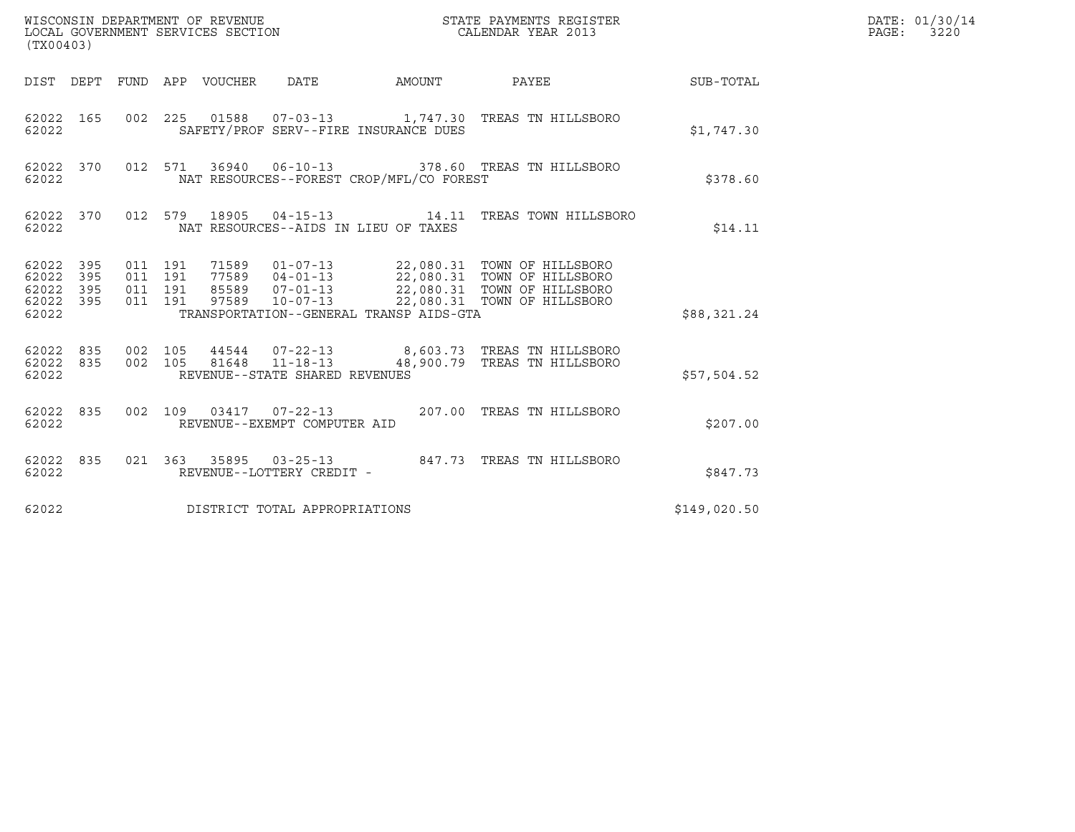| (TX00403)                                             |           |                               |         |  |                                |                                              |                                                                                                                     |              | DATE: 01/30/14<br>PAGE: 3220 |
|-------------------------------------------------------|-----------|-------------------------------|---------|--|--------------------------------|----------------------------------------------|---------------------------------------------------------------------------------------------------------------------|--------------|------------------------------|
|                                                       |           |                               |         |  |                                | DIST DEPT FUND APP VOUCHER DATE AMOUNT PAYEE |                                                                                                                     | SUB-TOTAL    |                              |
| 62022                                                 | 62022 165 |                               |         |  |                                | SAFETY/PROF SERV--FIRE INSURANCE DUES        | 002  225  01588  07-03-13   1,747.30  TREAS TN HILLSBORO                                                            | \$1,747.30   |                              |
| 62022                                                 | 62022 370 |                               |         |  |                                | NAT RESOURCES--FOREST CROP/MFL/CO FOREST     | 012 571 36940 06-10-13 378.60 TREAS TN HILLSBORO                                                                    | \$378.60     |                              |
| 62022                                                 | 62022 370 |                               |         |  |                                | NAT RESOURCES--AIDS IN LIEU OF TAXES         | 012 579 18905 04-15-13 14.11 TREAS TOWN HILLSBORO                                                                   | \$14.11      |                              |
| 62022 395<br>62022 395<br>62022<br>62022 395<br>62022 | 395       | 011 191<br>011 191<br>011 191 | 011 191 |  |                                | TRANSPORTATION--GENERAL TRANSP AIDS-GTA      |                                                                                                                     | \$88,321.24  |                              |
| 62022                                                 | 62022 835 |                               |         |  | REVENUE--STATE SHARED REVENUES |                                              | 62022 835 002 105 44544 07-22-13 8,603.73 TREAS TN HILLSBORO<br>002 105 81648 11-18-13 48,900.79 TREAS TN HILLSBORO | \$57,504.52  |                              |
| 62022                                                 | 62022 835 |                               |         |  | REVENUE--EXEMPT COMPUTER AID   |                                              | 002 109 03417 07-22-13 207.00 TREAS TN HILLSBORO                                                                    | \$207.00     |                              |
| 62022 835<br>62022                                    |           |                               |         |  | REVENUE--LOTTERY CREDIT -      |                                              |                                                                                                                     | \$847.73     |                              |
| 62022                                                 |           |                               |         |  | DISTRICT TOTAL APPROPRIATIONS  |                                              |                                                                                                                     | \$149,020.50 |                              |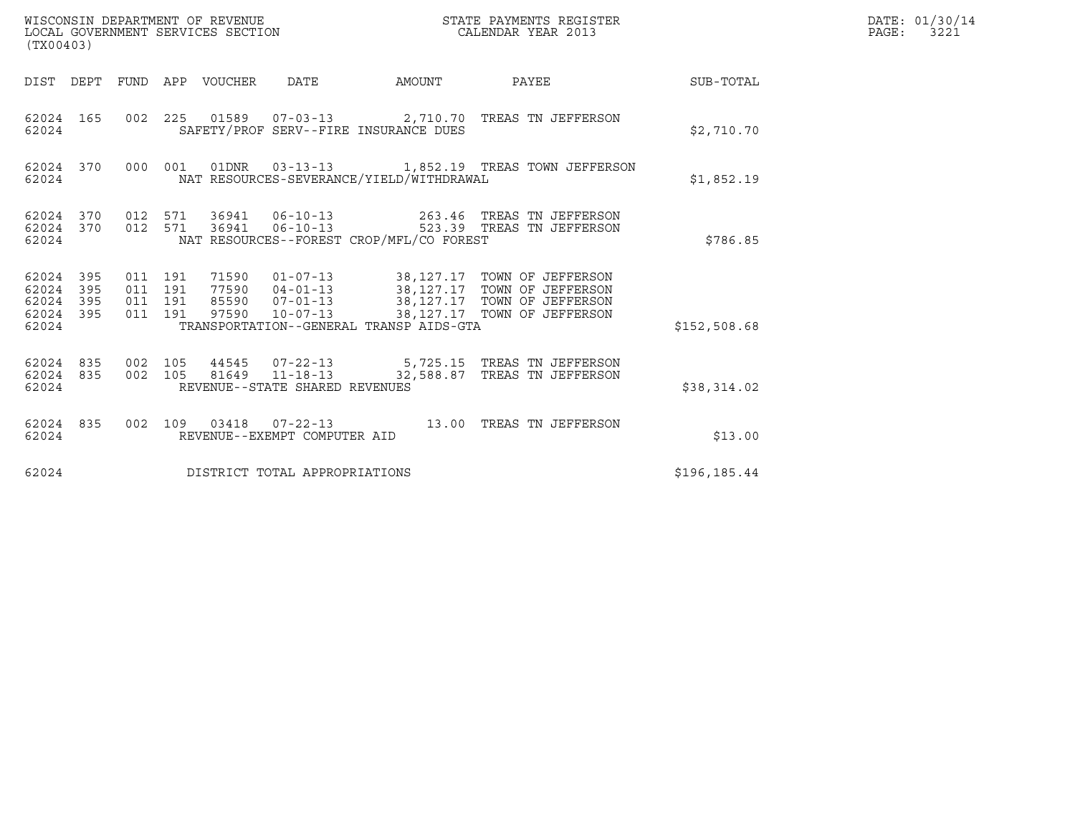| WISCONSIN DEPARTMENT OF REVENUE<br>LOCAL GOVERNMENT SERVICES SECTION<br>(TX00403) |     |                    |                    |                                 |                                |                                          | STATE PAYMENTS REGISTER<br>CALENDAR YEAR 2013                                                                                                                                           |              | DATE: 01/30/14<br>PAGE: 3221 |
|-----------------------------------------------------------------------------------|-----|--------------------|--------------------|---------------------------------|--------------------------------|------------------------------------------|-----------------------------------------------------------------------------------------------------------------------------------------------------------------------------------------|--------------|------------------------------|
|                                                                                   |     |                    |                    | DIST DEPT FUND APP VOUCHER DATE |                                |                                          |                                                                                                                                                                                         |              |                              |
| 62024 165<br>62024                                                                |     |                    |                    |                                 |                                | SAFETY/PROF SERV--FIRE INSURANCE DUES    | 002 225 01589 07-03-13 2,710.70 TREAS TN JEFFERSON                                                                                                                                      | \$2,710.70   |                              |
| 62024 370<br>62024                                                                |     |                    |                    |                                 |                                | NAT RESOURCES-SEVERANCE/YIELD/WITHDRAWAL | 000 001 01DNR 03-13-13 1,852.19 TREAS TOWN JEFFERSON                                                                                                                                    | \$1,852.19   |                              |
| 62024 370<br>62024                                                                |     |                    |                    |                                 |                                | NAT RESOURCES--FOREST CROP/MFL/CO FOREST | 62024 370 012 571 36941 06-10-13 263.46 TREAS TN JEFFERSON<br>012 571 36941 06-10-13 523.39 TREAS TN JEFFERSON                                                                          | \$786.85     |                              |
| 62024 395<br>62024 395<br>62024<br>62024 395<br>62024                             | 395 | 011 191<br>011 191 | 011 191<br>011 191 |                                 |                                | TRANSPORTATION--GENERAL TRANSP AIDS-GTA  | 71590  01-07-13  38,127.17  TOWN OF JEFFERSON<br>77590 04-01-13 38,127.17 TOWN OF JEFFERSON<br>85590 07-01-13 38,127.17 TOWN OF JEFFERSON<br>97590 10-07-13 38,127.17 TOWN OF JEFFERSON | \$152,508.68 |                              |
| 62024 835<br>62024 835<br>62024                                                   |     | 002 105            | 002 105            |                                 | REVENUE--STATE SHARED REVENUES |                                          |                                                                                                                                                                                         | \$38,314.02  |                              |
| 62024 835<br>62024                                                                |     |                    |                    |                                 | REVENUE--EXEMPT COMPUTER AID   |                                          | 002 109 03418 07-22-13 13.00 TREAS TN JEFFERSON                                                                                                                                         | \$13.00      |                              |
| 62024                                                                             |     |                    |                    |                                 | DISTRICT TOTAL APPROPRIATIONS  |                                          |                                                                                                                                                                                         | \$196,185.44 |                              |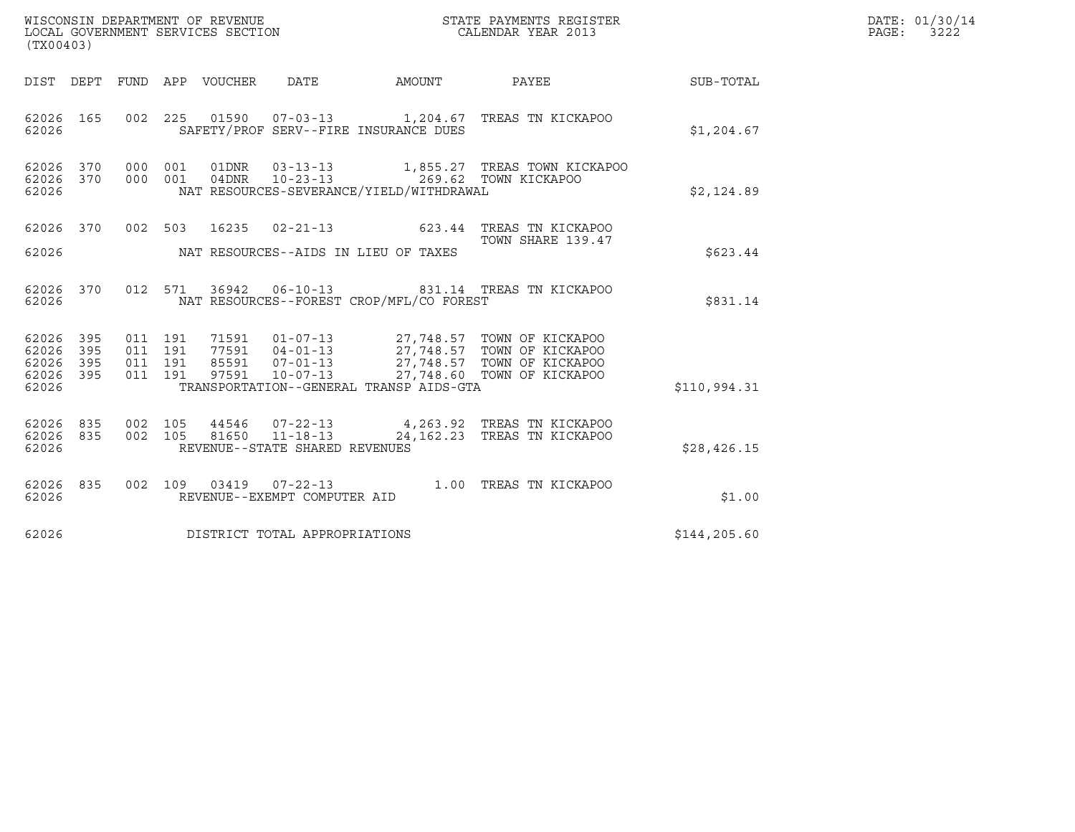| WISCONSIN DEPARTMENT OF REVENUE<br>LOCAL GOVERNMENT SERVICES SECTION<br>$\sqrt{m}$ | STATE PAYMENTS REGISTER<br>CALENDAR YEAR 2013 | DATE: 01/30/14<br>3222<br>PAGE: |
|------------------------------------------------------------------------------------|-----------------------------------------------|---------------------------------|

| (TX00403)                                     |                   |                          |                          |                  |                                                    |                                          |                                                                                                                                                                                     |              |
|-----------------------------------------------|-------------------|--------------------------|--------------------------|------------------|----------------------------------------------------|------------------------------------------|-------------------------------------------------------------------------------------------------------------------------------------------------------------------------------------|--------------|
| DIST                                          | DEPT              | FUND                     |                          | APP VOUCHER DATE |                                                    | AMOUNT                                   | PAYEE                                                                                                                                                                               | SUB-TOTAL    |
| 62026 165<br>62026                            |                   | 002                      |                          |                  |                                                    | SAFETY/PROF SERV--FIRE INSURANCE DUES    | 225  01590  07-03-13   1,204.67  TREAS TN KICKAPOO                                                                                                                                  | \$1,204.67   |
| 62026 370<br>62026<br>62026                   | 370               | 000<br>000               | 001<br>001               | 01DNR            |                                                    | NAT RESOURCES-SEVERANCE/YIELD/WITHDRAWAL |                                                                                                                                                                                     | \$2,124.89   |
| 62026<br>62026                                | 370               |                          | 002 503                  | 16235            |                                                    | NAT RESOURCES--AIDS IN LIEU OF TAXES     | 02-21-13 623.44 TREAS TN KICKAPOO<br>TOWN SHARE 139.47                                                                                                                              | \$623.44     |
| 62026 370<br>62026                            |                   | 012                      | 571                      |                  |                                                    | NAT RESOURCES--FOREST CROP/MFL/CO FOREST | 36942   06-10-13   831.14   TREAS TN KICKAPOO                                                                                                                                       | \$831.14     |
| 62026 395<br>62026<br>62026<br>62026<br>62026 | 395<br>395<br>395 | 011<br>011<br>011<br>011 | 191<br>191<br>191<br>191 | 97591            | $10 - 07 - 13$                                     | TRANSPORTATION--GENERAL TRANSP AIDS-GTA  | 71591   01-07-13   27,748.57   TOWN OF KICKAPOO<br>77591   04-01-13   27,748.57   TOWN OF KICKAPOO<br>85591   07-01-13   27,748.57   TOWN OF KICKAPOO<br>27,748.60 TOWN OF KICKAPOO | \$110,994.31 |
| 62026 835<br>62026<br>62026                   | 835               | 002<br>002               | 105                      |                  | REVENUE--STATE SHARED REVENUES                     |                                          | 44546 07-22-13 4,263.92 TREAS TN KICKAPOO<br>105 81650 11-18-13 24, 162.23 TREAS TN KICKAPOO                                                                                        | \$28,426.15  |
| 62026 835<br>62026                            |                   | 002                      |                          |                  | 109 03419 07-22-13<br>REVENUE--EXEMPT COMPUTER AID |                                          | 1.00 TREAS TN KICKAPOO                                                                                                                                                              | \$1.00       |
| 62026                                         |                   |                          |                          |                  | DISTRICT TOTAL APPROPRIATIONS                      |                                          |                                                                                                                                                                                     | \$144,205.60 |
|                                               |                   |                          |                          |                  |                                                    |                                          |                                                                                                                                                                                     |              |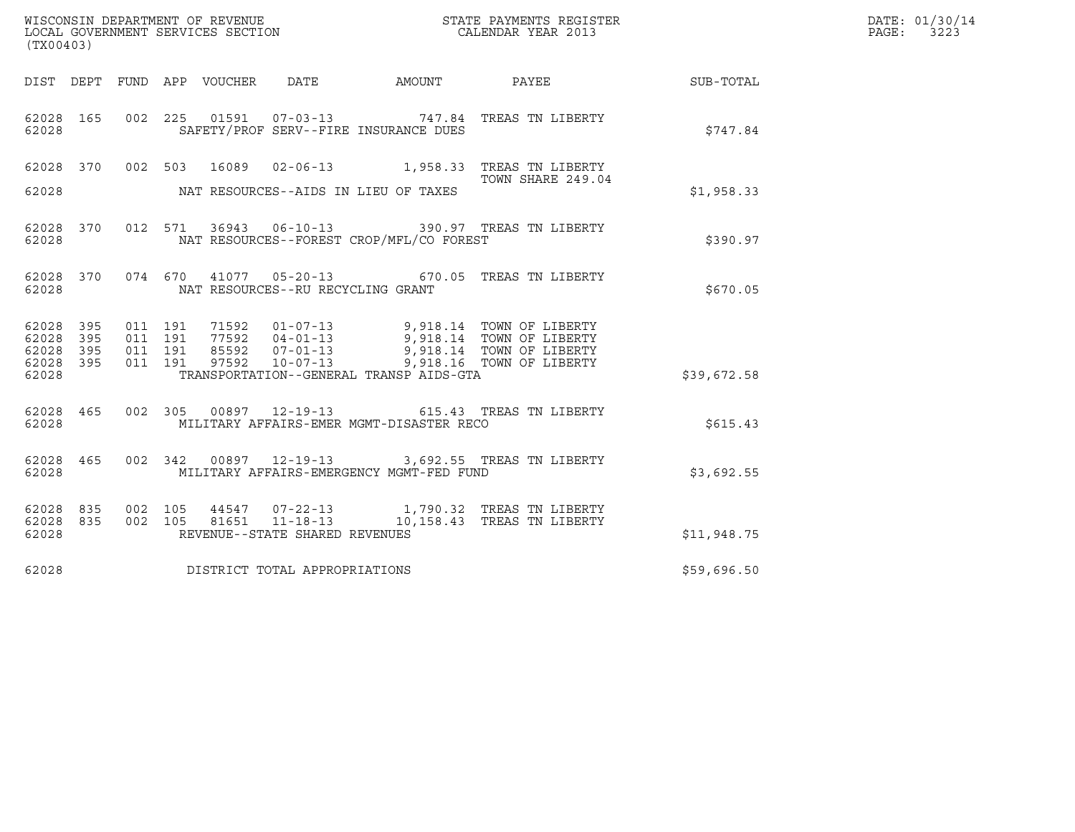| DATE: | 01/30/14 |
|-------|----------|
| PAGE: | 3223     |

| (TX00403)              |                                                                                                                                                                                                          | R                 | DATE: 01/30/14<br>PAGE: 3223 |
|------------------------|----------------------------------------------------------------------------------------------------------------------------------------------------------------------------------------------------------|-------------------|------------------------------|
|                        | DIST DEPT FUND APP VOUCHER DATE AMOUNT PAYEE THE SUB-TOTAL                                                                                                                                               |                   |                              |
| 62028                  | 62028 165 002 225 01591 07-03-13 747.84 TREAS TN LIBERTY<br>SAFETY/PROF SERV--FIRE INSURANCE DUES                                                                                                        | \$747.84          |                              |
|                        | 62028 370 002 503 16089 02-06-13 1,958.33 TREAS TN LIBERTY                                                                                                                                               | TOWN SHARE 249.04 |                              |
| 62028                  | NAT RESOURCES--AIDS IN LIEU OF TAXES                                                                                                                                                                     | \$1,958.33        |                              |
| 62028 370<br>62028     | 012 571 36943 06-10-13 390.97 TREAS TN LIBERTY<br>NAT RESOURCES--FOREST CROP/MFL/CO FOREST                                                                                                               | \$390.97          |                              |
| 62028                  | 62028 370 074 670 41077 05-20-13 670.05 TREAS TN LIBERTY<br>NAT RESOURCES--RU RECYCLING GRANT                                                                                                            | \$670.05          |                              |
| 62028 395<br>62028 395 |                                                                                                                                                                                                          |                   |                              |
| 62028 395<br>62028 395 | 011 191 71592 01-07-13 9,918.14 TOWN OF LIBERTY<br>011 191 77592 04-01-13 9,918.14 TOWN OF LIBERTY<br>011 191 85592 07-01-13 9,918.14 TOWN OF LIBERTY<br>011 191 97592 10-07-13 9,918.16 TOWN OF LIBERTY |                   |                              |
| 62028                  | TRANSPORTATION--GENERAL TRANSP AIDS-GTA                                                                                                                                                                  | \$39,672.58       |                              |
| 62028 465<br>62028     | 002 305 00897 12-19-13 615.43 TREAS TN LIBERTY<br>MILITARY AFFAIRS-EMER MGMT-DISASTER RECO                                                                                                               | \$615.43          |                              |
| 62028 465<br>62028     | 002 342 00897 12-19-13 3,692.55 TREAS TN LIBERTY<br>MILITARY AFFAIRS-EMERGENCY MGMT-FED FUND                                                                                                             | \$3,692.55        |                              |
| 62028 835<br>62028 835 | 002 105 44547 07-22-13 1,790.32 TREAS TN LIBERTY<br>002 105 81651 11-18-13 10,158.43 TREAS TN LIBERTY                                                                                                    |                   |                              |
| 62028                  | REVENUE--STATE SHARED REVENUES                                                                                                                                                                           | \$11,948.75       |                              |
|                        | 62028 DISTRICT TOTAL APPROPRIATIONS                                                                                                                                                                      | \$59,696.50       |                              |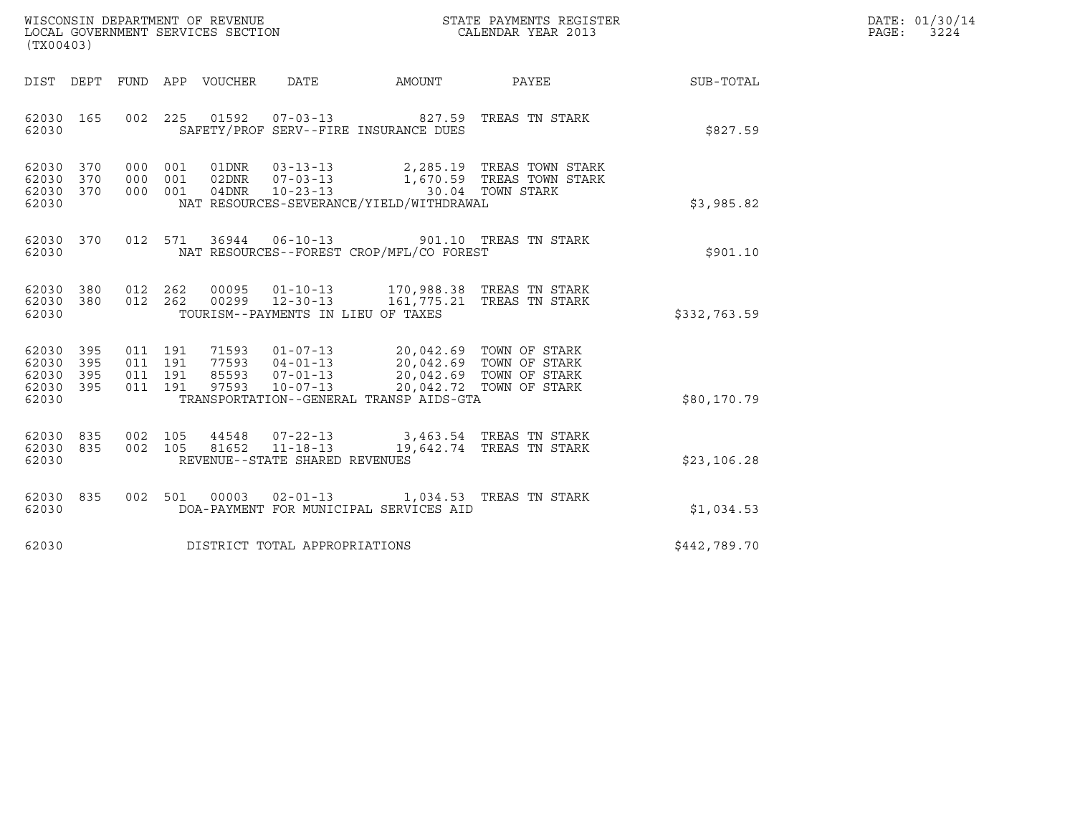| WISCONSIN DEPARTMENT OF REVENUE   | STATE PAYMENTS REGISTER | DATE: 01/30/14            |
|-----------------------------------|-------------------------|---------------------------|
| LOCAL GOVERNMENT SERVICES SECTION | CALENDAR YEAR 2013      | 3224<br>$\mathtt{PAGE}$ : |

| (TX00403)                                                 | WISCONSIN DEPARTMENT OF REVENUE<br>LOCAL GOVERNMENT SERVICES SECTION<br>CALENDAR YEAR 2013                                                                                                                                                      |  |              | DATE: 01/30/14<br>$\mathtt{PAGE}$ :<br>3224 |
|-----------------------------------------------------------|-------------------------------------------------------------------------------------------------------------------------------------------------------------------------------------------------------------------------------------------------|--|--------------|---------------------------------------------|
|                                                           | DIST DEPT FUND APP VOUCHER DATE AMOUNT PAYEE                                                                                                                                                                                                    |  | SUB-TOTAL    |                                             |
| 62030 165<br>62030                                        | 002 225 01592 07-03-13 827.59 TREAS TN STARK<br>SAFETY/PROF SERV--FIRE INSURANCE DUES                                                                                                                                                           |  | \$827.59     |                                             |
| 62030 370<br>62030 370<br>62030 370<br>62030              | 000 001 01DNR 03-13-13 2,285.19 TREAS TOWN STARK<br>000 001 02DNR 07-03-13 1,670.59 TREAS TOWN STARK<br>000 001 04DNR 10-23-13 1,670.59 TREAS TOWN STARK<br>NAT RESOURCES-SEVERANCE/YIELD/WITHDRAWAL                                            |  | \$3,985.82   |                                             |
| 62030 370<br>62030                                        | 012 571 36944 06-10-13 901.10 TREAS TN STARK<br>NAT RESOURCES--FOREST CROP/MFL/CO FOREST                                                                                                                                                        |  | \$901.10     |                                             |
| 62030 380<br>62030 380<br>62030                           | 012  262  00095  01-10-13  170,988.38 TREAS TN STARK<br>012  262  00299  12-30-13  161,775.21 TREAS TN STARK<br>TOURISM--PAYMENTS IN LIEU OF TAXES                                                                                              |  | \$332,763.59 |                                             |
| 62030 395<br>62030 395<br>62030 395<br>62030 395<br>62030 | 011 191 71593 01-07-13 20,042.69 TOWN OF STARK<br>011 191 77593 04-01-13 20,042.69 TOWN OF STARK<br>011 191 85593 07-01-13 20,042.69 TOWN OF STARK<br>011 191 97593 10-07-13 20,042.72 TOWN OF STARK<br>TRANSPORTATION--GENERAL TRANSP AIDS-GTA |  | \$80,170.79  |                                             |
| 62030 835<br>62030 835<br>62030                           | 002 105 44548 07-22-13 3,463.54 TREAS TN STARK<br>002 105 81652 11-18-13 19,642.74 TREAS TN STARK<br>REVENUE--STATE SHARED REVENUES                                                                                                             |  | \$23,106.28  |                                             |
| 62030 835<br>62030                                        | 002 501 00003 02-01-13 1,034.53 TREAS TN STARK<br>DOA-PAYMENT FOR MUNICIPAL SERVICES AID                                                                                                                                                        |  | \$1,034.53   |                                             |
| 62030                                                     | DISTRICT TOTAL APPROPRIATIONS                                                                                                                                                                                                                   |  | \$442,789.70 |                                             |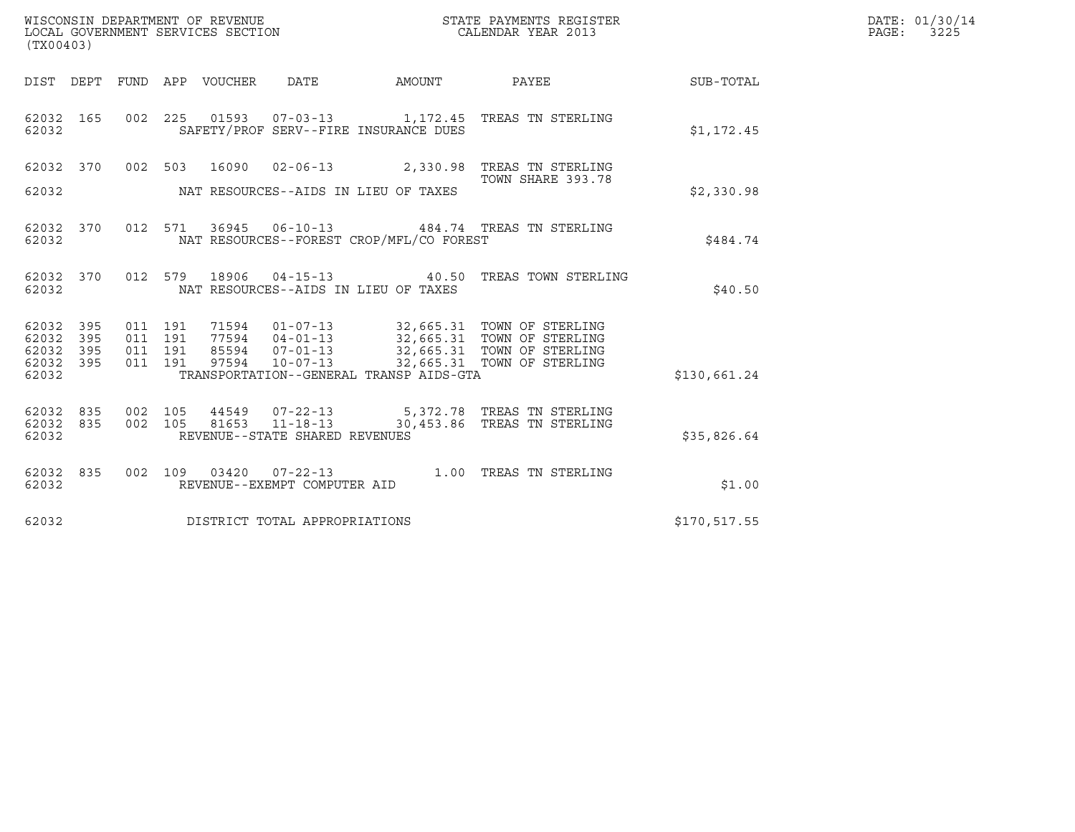| (TX00403)                                 |                          |                               | WISCONSIN DEPARTMENT OF REVENUE<br>LOCAL GOVERNMENT SERVICES SECTION |                                                                    |                                          | STATE PAYMENTS REGISTER<br>CALENDAR YEAR 2013                                                                                                                     |              | DATE: 01/30/14<br>PAGE: 3225 |
|-------------------------------------------|--------------------------|-------------------------------|----------------------------------------------------------------------|--------------------------------------------------------------------|------------------------------------------|-------------------------------------------------------------------------------------------------------------------------------------------------------------------|--------------|------------------------------|
|                                           |                          |                               |                                                                      | DIST DEPT FUND APP VOUCHER DATE                                    | AMOUNT                                   | PAYEE                                                                                                                                                             | SUB-TOTAL    |                              |
| 62032 165<br>62032                        |                          |                               |                                                                      | SAFETY/PROF SERV--FIRE INSURANCE DUES                              |                                          | 002  225  01593  07-03-13  1,172.45  TREAS TN STERLING                                                                                                            | \$1,172.45   |                              |
| 62032 370<br>62032                        |                          |                               |                                                                      | NAT RESOURCES--AIDS IN LIEU OF TAXES                               |                                          | 002 503 16090 02-06-13 2,330.98 TREAS TN STERLING<br>TOWN SHARE 393.78                                                                                            | \$2,330.98   |                              |
| 62032 370<br>62032                        |                          |                               | 012 571                                                              |                                                                    | NAT RESOURCES--FOREST CROP/MFL/CO FOREST | 36945  06-10-13  484.74  TREAS TN STERLING                                                                                                                        | \$484.74     |                              |
| 62032 370<br>62032                        |                          |                               |                                                                      | NAT RESOURCES--AIDS IN LIEU OF TAXES                               |                                          | 012 579 18906 04-15-13 40.50 TREAS TOWN STERLING                                                                                                                  | \$40.50      |                              |
| 62032<br>62032<br>62032<br>62032<br>62032 | 395<br>395<br>395<br>395 | 011 191<br>011 191<br>011 191 | 011 191<br>71594<br>97594                                            | $10 - 07 - 13$                                                     | TRANSPORTATION--GENERAL TRANSP AIDS-GTA  | 01-07-13 32,665.31 TOWN OF STERLING<br>77594  04-01-13  32,665.31  TOWN OF STERLING<br>85594  07-01-13  32,665.31  TOWN OF STERLING<br>32,665.31 TOWN OF STERLING | \$130,661.24 |                              |
| 62032<br>62032<br>62032                   | 835<br>835               | 002 105<br>002 105            | 81653                                                                | 44549 07-22-13<br>$11 - 18 - 13$<br>REVENUE--STATE SHARED REVENUES |                                          | 5,372.78 TREAS TN STERLING<br>30,453.86 TREAS TN STERLING                                                                                                         | \$35,826.64  |                              |
| 62032 835<br>62032                        |                          |                               |                                                                      | 002 109 03420 07-22-13<br>REVENUE--EXEMPT COMPUTER AID             |                                          | 1.00 TREAS TN STERLING                                                                                                                                            | \$1.00       |                              |
| 62032                                     |                          |                               |                                                                      | DISTRICT TOTAL APPROPRIATIONS                                      |                                          |                                                                                                                                                                   | \$170,517.55 |                              |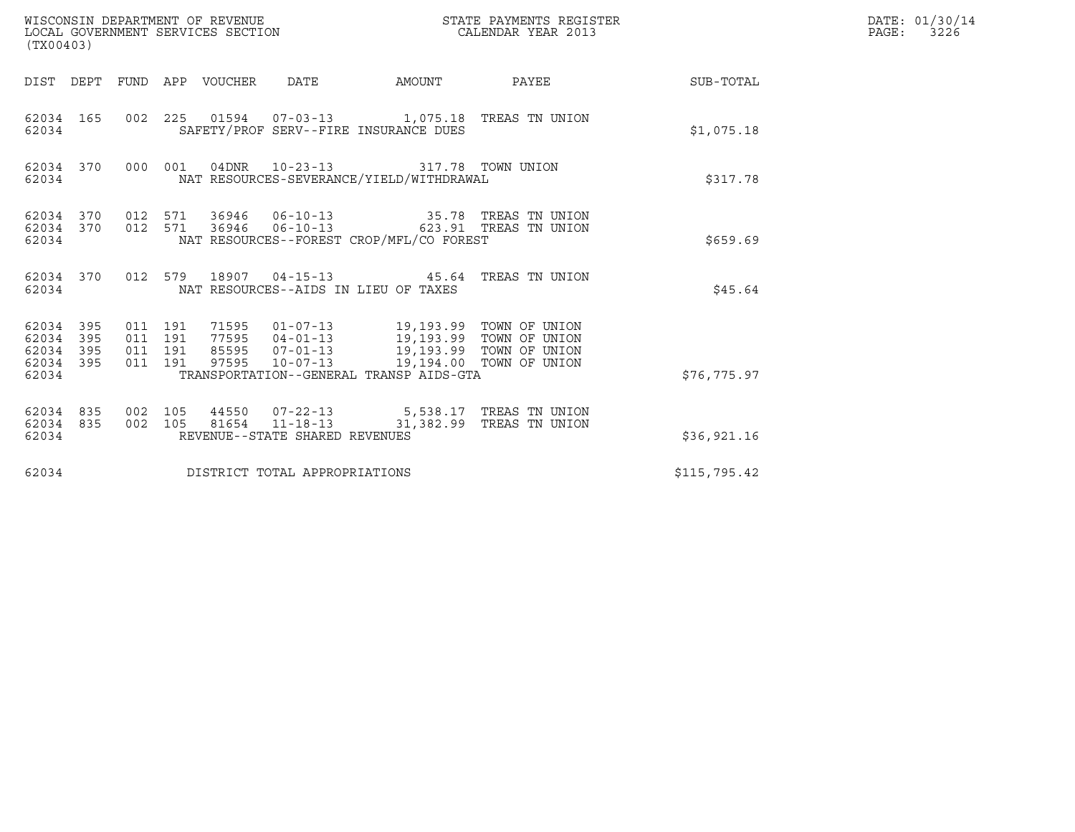| WISCONSIN DEPARTMENT OF REVENUE<br>LOCAL GOVERNMENT SERVICES SECTION<br>(TX00403) |                                          |                                                            | STATE PAYMENTS REGISTER<br>CALENDAR YEAR 2013                                                    |              | DATE: 01/30/14<br>PAGE:<br>3226 |
|-----------------------------------------------------------------------------------|------------------------------------------|------------------------------------------------------------|--------------------------------------------------------------------------------------------------|--------------|---------------------------------|
| DIST DEPT                                                                         | FUND APP VOUCHER DATE                    |                                                            | AMOUNT PAYEE                                                                                     | SUB-TOTAL    |                                 |
| 62034 165<br>62034                                                                |                                          | SAFETY/PROF SERV--FIRE INSURANCE DUES                      | 002 225 01594 07-03-13 1,075.18 TREAS TN UNION                                                   | \$1,075.18   |                                 |
| 62034 370<br>62034                                                                | 000 001                                  | 04DNR 10-23-13<br>NAT RESOURCES-SEVERANCE/YIELD/WITHDRAWAL | 317.78 TOWN UNION                                                                                | \$317.78     |                                 |
| 62034 370<br>62034                                                                | 012 571                                  | NAT RESOURCES--FOREST CROP/MFL/CO FOREST                   | 62034 370 012 571 36946 06-10-13 35.78 TREAS TN UNION<br>36946  06-10-13  623.91  TREAS TN UNION | \$659.69     |                                 |
| 62034 370<br>62034                                                                |                                          | NAT RESOURCES--AIDS IN LIEU OF TAXES                       | 012 579 18907 04-15-13 45.64 TREAS TN UNION                                                      | \$45.64      |                                 |
| 62034 395<br>62034 395<br>62034<br>395<br>62034 395<br>62034                      | 011 191<br>011 191<br>011 191<br>011 191 | TRANSPORTATION--GENERAL TRANSP AIDS-GTA                    | 85595  07-01-13  19,193.99  TOWN OF UNION<br>97595  10-07-13  19,194.00  TOWN OF UNION           | \$76, 775.97 |                                 |
| 62034 835<br>62034 835<br>62034                                                   | 002 105<br>002 105                       | 81654 11-18-13<br>REVENUE--STATE SHARED REVENUES           | 44550 07-22-13 5,538.17 TREAS TN UNION<br>31,382.99 TREAS TN UNION                               | \$36,921.16  |                                 |
| 62034                                                                             |                                          | DISTRICT TOTAL APPROPRIATIONS                              |                                                                                                  | \$115,795.42 |                                 |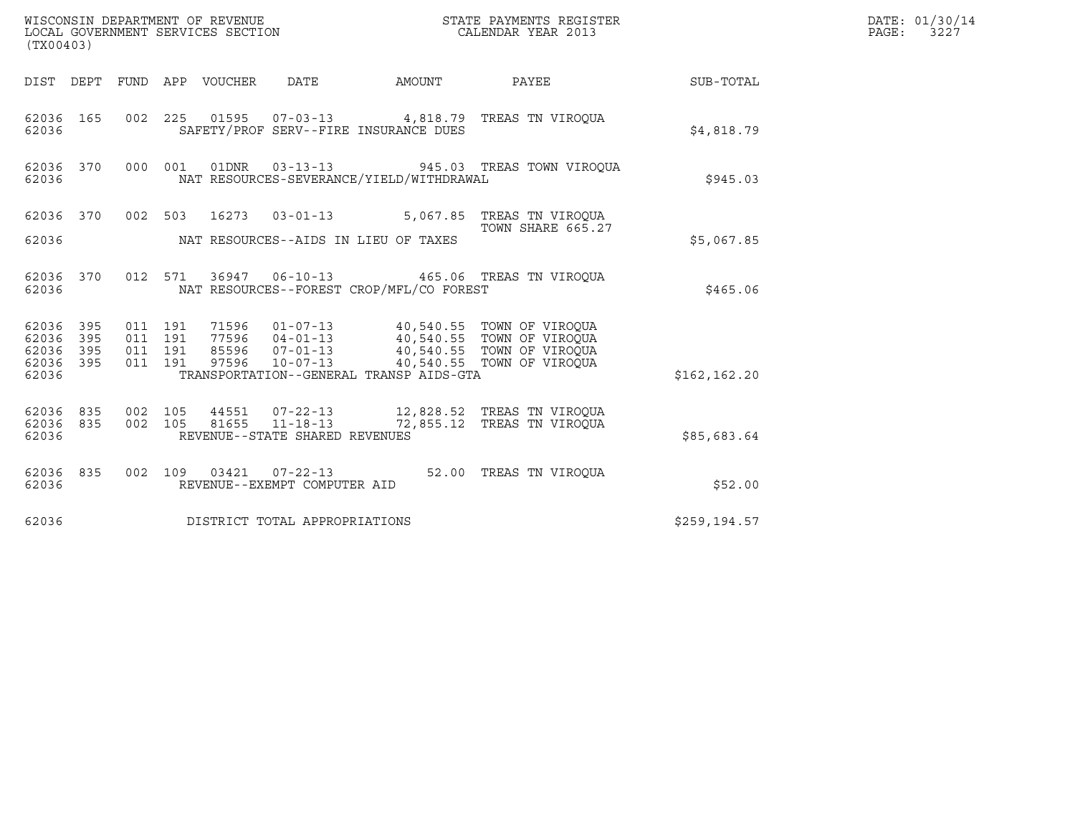|                        | WISCONSIN DEPARTMENT OF REVENUE<br>LOCAL GOVERNMENT SERVICES SECTION<br>(TX00403) |                    |  |       |                                                        |                                          | STATE PAYMENTS REGISTER<br>CALENDAR YEAR 2013                                                                                             |                 | DATE: 01/30/14<br>$\mathtt{PAGE:}$<br>3227 |
|------------------------|-----------------------------------------------------------------------------------|--------------------|--|-------|--------------------------------------------------------|------------------------------------------|-------------------------------------------------------------------------------------------------------------------------------------------|-----------------|--------------------------------------------|
|                        |                                                                                   |                    |  |       |                                                        | DIST DEPT FUND APP VOUCHER DATE AMOUNT   |                                                                                                                                           | PAYEE SUB-TOTAL |                                            |
| 62036 165<br>62036     |                                                                                   |                    |  |       |                                                        | SAFETY/PROF SERV--FIRE INSURANCE DUES    | 002 225 01595 07-03-13 4,818.79 TREAS TN VIROQUA                                                                                          | \$4,818.79      |                                            |
| 62036 370<br>62036     |                                                                                   | 000 001            |  | 01DNR |                                                        | NAT RESOURCES-SEVERANCE/YIELD/WITHDRAWAL | 03-13-13 945.03 TREAS TOWN VIROQUA                                                                                                        | \$945.03        |                                            |
| 62036 370              |                                                                                   |                    |  |       | 002 503 16273 03-01-13                                 |                                          | 5,067.85 TREAS TN VIROOUA<br>TOWN SHARE 665.27                                                                                            |                 |                                            |
| 62036                  |                                                                                   |                    |  |       |                                                        | NAT RESOURCES--AIDS IN LIEU OF TAXES     |                                                                                                                                           | \$5,067.85      |                                            |
| 62036 370<br>62036     |                                                                                   |                    |  |       |                                                        | NAT RESOURCES--FOREST CROP/MFL/CO FOREST | 012 571 36947 06-10-13 465.06 TREAS TN VIROQUA                                                                                            | \$465.06        |                                            |
| 62036 395<br>62036     | 395                                                                               | 011 191<br>011 191 |  |       |                                                        |                                          | 71596  01-07-13  40,540.55  TOWN OF VIROQUA<br>77596  04-01-13  40,540.55  TOWN OF VIROQUA<br>85596  07-01-13  40,540.55  TOWN OF VIROQUA |                 |                                            |
| 62036<br>62036         | 395<br>395                                                                        | 011 191<br>011 191 |  | 97596 | $10 - 07 - 13$                                         |                                          | 40,540.55 TOWN OF VIROQUA                                                                                                                 |                 |                                            |
| 62036                  |                                                                                   |                    |  |       |                                                        | TRANSPORTATION--GENERAL TRANSP AIDS-GTA  |                                                                                                                                           | \$162, 162.20   |                                            |
| 62036 835<br>62036 835 |                                                                                   | 002 105<br>002 105 |  | 81655 | $11 - 18 - 13$                                         |                                          | 72,855.12 TREAS TN VIROOUA                                                                                                                |                 |                                            |
| 62036                  |                                                                                   |                    |  |       | REVENUE--STATE SHARED REVENUES                         |                                          |                                                                                                                                           | \$85,683.64     |                                            |
| 62036 835<br>62036     |                                                                                   |                    |  |       | 002 109 03421 07-22-13<br>REVENUE--EXEMPT COMPUTER AID |                                          | 52.00 TREAS TN VIROQUA                                                                                                                    | \$52.00         |                                            |
| 62036                  |                                                                                   |                    |  |       | DISTRICT TOTAL APPROPRIATIONS                          |                                          |                                                                                                                                           | \$259, 194.57   |                                            |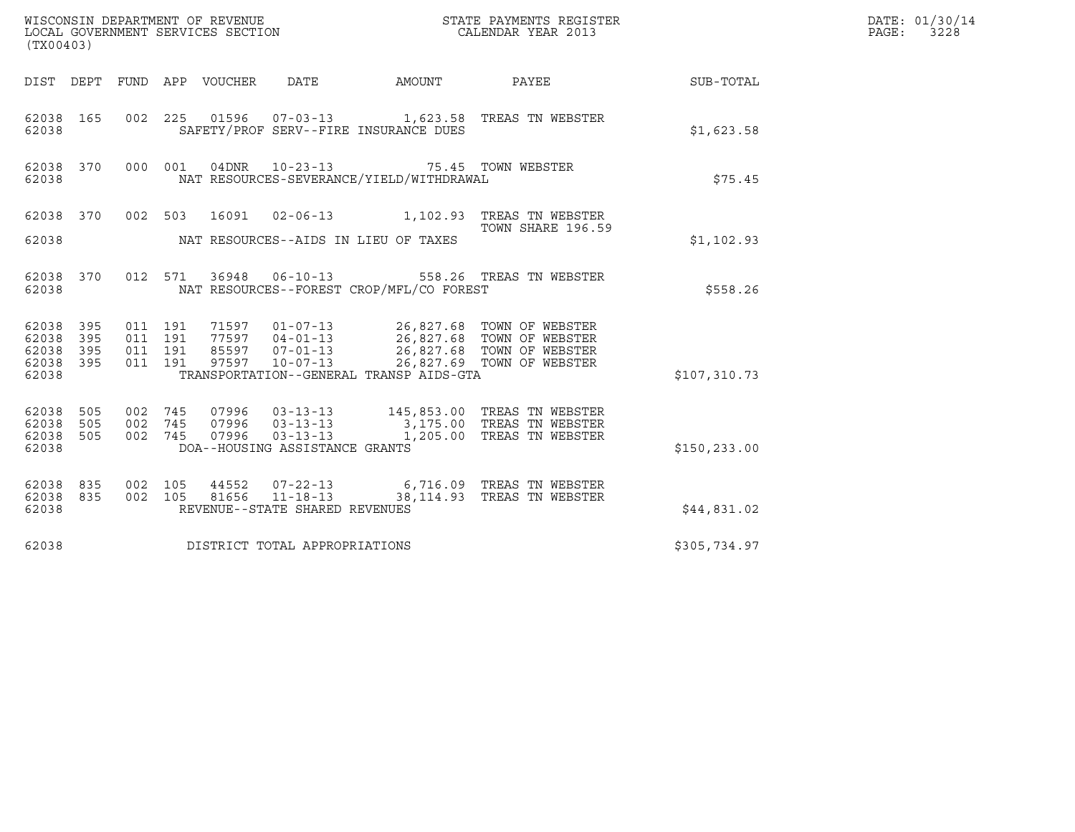|                                     | WISCONSIN DEPARTMENT OF REVENUE<br>LOCAL GOVERNMENT SERVICES SECTION<br>(TYO0403)<br>(TX00403) |                    |                    |  |                                |                                                                                                 |                                                                                                                                                                                                                  |               | DATE: 01/30/14<br>PAGE: 3228 |
|-------------------------------------|------------------------------------------------------------------------------------------------|--------------------|--------------------|--|--------------------------------|-------------------------------------------------------------------------------------------------|------------------------------------------------------------------------------------------------------------------------------------------------------------------------------------------------------------------|---------------|------------------------------|
|                                     |                                                                                                |                    |                    |  |                                |                                                                                                 | DIST DEPT FUND APP VOUCHER DATE AMOUNT PAYEE TO SUB-TOTAL                                                                                                                                                        |               |                              |
| 62038 165<br>62038                  |                                                                                                |                    |                    |  |                                | SAFETY/PROF SERV--FIRE INSURANCE DUES                                                           | 002 225 01596 07-03-13 1,623.58 TREAS TN WEBSTER                                                                                                                                                                 | \$1,623.58    |                              |
| 62038                               |                                                                                                |                    |                    |  |                                | 62038 370 000 001 04DNR 10-23-13 75.45 TOWN WEBSTER<br>NAT RESOURCES-SEVERANCE/YIELD/WITHDRAWAL |                                                                                                                                                                                                                  | \$75.45       |                              |
| 62038                               |                                                                                                |                    |                    |  |                                | NAT RESOURCES--AIDS IN LIEU OF TAXES                                                            | 62038 370 002 503 16091 02-06-13 1,102.93 TREAS TN WEBSTER<br>TOWN SHARE 196.59                                                                                                                                  | \$1,102.93    |                              |
|                                     |                                                                                                |                    |                    |  |                                |                                                                                                 | 62038 370 012 571 36948 06-10-13 558.26 TREAS TN WEBSTER                                                                                                                                                         |               |                              |
| 62038                               |                                                                                                |                    |                    |  |                                | NAT RESOURCES--FOREST CROP/MFL/CO FOREST                                                        |                                                                                                                                                                                                                  | \$558.26      |                              |
| 62038 395<br>62038 395<br>62038 395 |                                                                                                | 011 191            | 011 191<br>011 191 |  |                                |                                                                                                 | 71597    01-07-13    26,827.68    TOWN OF WEBSTER<br>77597    04-01-13    26,827.68    TOWN OF WEBSTER<br>85597    07-01-13    26,827.68    TOWN OF WEBSTER<br>97597    10-07-13    26,827.69    TOWN OF WEBSTER |               |                              |
| 62038 395<br>62038                  |                                                                                                |                    | 011 191            |  |                                | TRANSPORTATION--GENERAL TRANSP AIDS-GTA                                                         |                                                                                                                                                                                                                  | \$107,310.73  |                              |
| 62038 505<br>62038 505<br>62038 505 |                                                                                                | 002 745<br>002 745 | 002 745            |  |                                |                                                                                                 | 07996  03-13-13  145,853.00 TREAS TN WEBSTER<br>07996    03-13-13                 3,175.00   TREAS TN WEBSTER<br>07996    03-13-13                1,205.00   TREAS TN WEBSTER                                    |               |                              |
| 62038                               |                                                                                                |                    |                    |  | DOA--HOUSING ASSISTANCE GRANTS |                                                                                                 |                                                                                                                                                                                                                  | \$150, 233.00 |                              |
| 62038 835<br>62038                  | 62038 835                                                                                      | 002 105<br>002 105 |                    |  | REVENUE--STATE SHARED REVENUES |                                                                                                 |                                                                                                                                                                                                                  | \$44,831.02   |                              |
| 62038                               |                                                                                                |                    |                    |  | DISTRICT TOTAL APPROPRIATIONS  | \$305,734.97                                                                                    |                                                                                                                                                                                                                  |               |                              |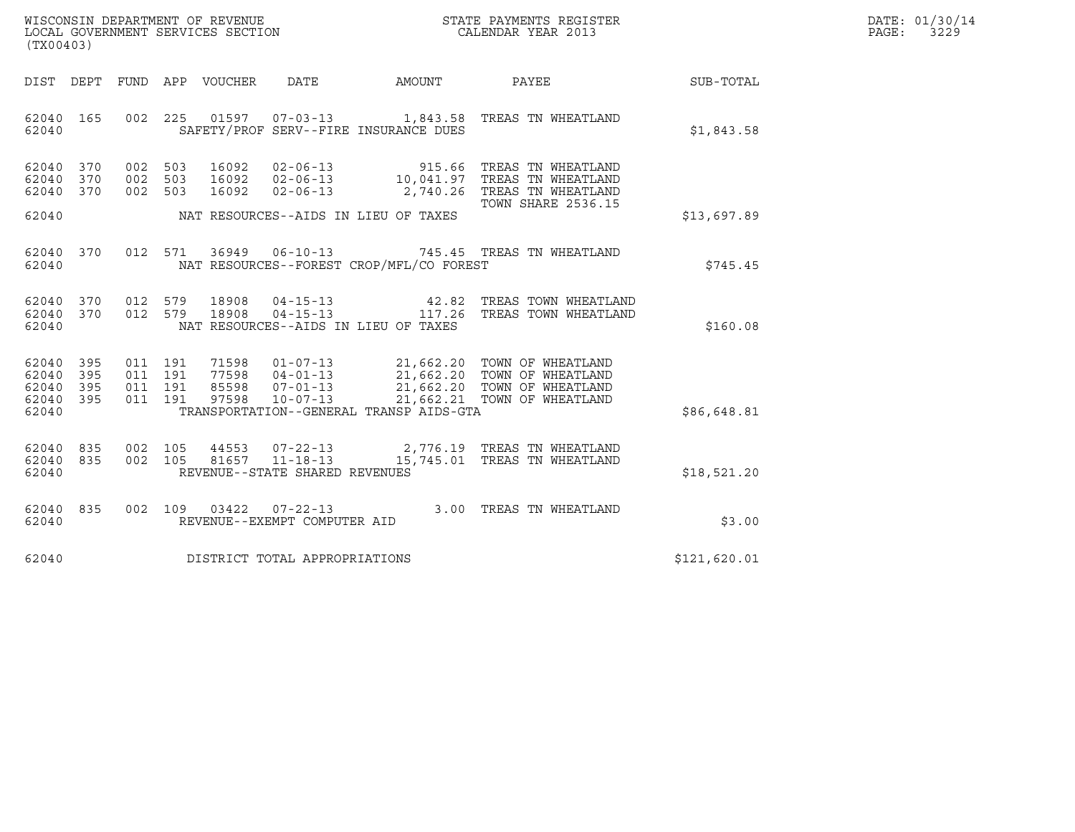| WISCONSIN DEPARTMENT OF REVENUE   | STATE PAYMENTS REGISTER | DATE: 01/30/14 |
|-----------------------------------|-------------------------|----------------|
| LOCAL GOVERNMENT SERVICES SECTION | CALENDAR YEAR 2013      | 3229<br>PAGE:  |

| (TX00403)                                                 | WISCONSIN DEPARTMENT OF REVENUE<br>LOCAL GOVERNMENT SERVICES SECTION THE CONFERNMENT SERVICES SECTION CALENDAR YEAR 2013                                                                                                                                        |  | $\mathbb{R}^n$            | DATE: 01/30/14<br>$\mathtt{PAGE}$ :<br>3229 |  |
|-----------------------------------------------------------|-----------------------------------------------------------------------------------------------------------------------------------------------------------------------------------------------------------------------------------------------------------------|--|---------------------------|---------------------------------------------|--|
|                                                           | DIST DEPT FUND APP VOUCHER DATE AMOUNT PAYEE PAYEE SUB-TOTAL                                                                                                                                                                                                    |  |                           |                                             |  |
| 62040                                                     | 62040 165 002 225 01597 07-03-13 1,843.58 TREAS TN WHEATLAND<br>SAFETY/PROF SERV--FIRE INSURANCE DUES                                                                                                                                                           |  |                           | \$1,843.58                                  |  |
| 62040 370<br>62040 370<br>62040 370                       | 002 503 16092 02-06-13 515.66 TREAS TN WHEATLAND<br>002 503 16092 02-06-13 10,041.97 TREAS TN WHEATLAND<br>002 503 16092 02-06-13 2,740.26 TREAS TN WHEATLAND                                                                                                   |  | <b>TOWN SHARE 2536.15</b> | \$13,697.89                                 |  |
| 62040                                                     | 62040 370 012 571 36949 06-10-13 745.45 TREAS TN WHEATLAND<br>NAT RESOURCES--FOREST CROP/MFL/CO FOREST                                                                                                                                                          |  |                           | \$745.45                                    |  |
| 62040 370<br>62040 370<br>62040                           | 012 579 18908 04-15-13     42.82 TREAS TOWN WHEATLAND<br>012 579 18908 04-15-13     117.26 TREAS TOWN WHEATLAND<br>NAT RESOURCES--AIDS IN LIEU OF TAXES                                                                                                         |  |                           | \$160.08                                    |  |
| 62040 395<br>62040 395<br>62040 395<br>62040 395<br>62040 | 011 191 71598 01-07-13 21,662.20 TOWN OF WHEATLAND<br>011 191 77598 04-01-13 21,662.20 TOWN OF WHEATLAND<br>011 191 85598 07-01-13 21,662.20 TOWN OF WHEATLAND<br>011 191 97598 10-07-13 21,662.21 TOWN OF WHEATLAND<br>TRANSPORTATION--GENERAL TRANSP AIDS-GTA |  |                           | \$86,648.81                                 |  |
| 62040 835<br>62040 835<br>62040                           | 002 105 44553 07-22-13 2,776.19 TREAS TN WHEATLAND<br>002 105 81657 11-18-13 15,745.01 TREAS TN WHEATLAND<br>REVENUE--STATE SHARED REVENUES                                                                                                                     |  |                           | \$18,521.20                                 |  |
| 62040                                                     | 62040 835 002 109 03422 07-22-13 3.00 TREAS TN WHEATLAND<br>REVENUE--EXEMPT COMPUTER AID                                                                                                                                                                        |  |                           | \$3.00                                      |  |
| 62040                                                     | DISTRICT TOTAL APPROPRIATIONS                                                                                                                                                                                                                                   |  |                           | \$121,620.01                                |  |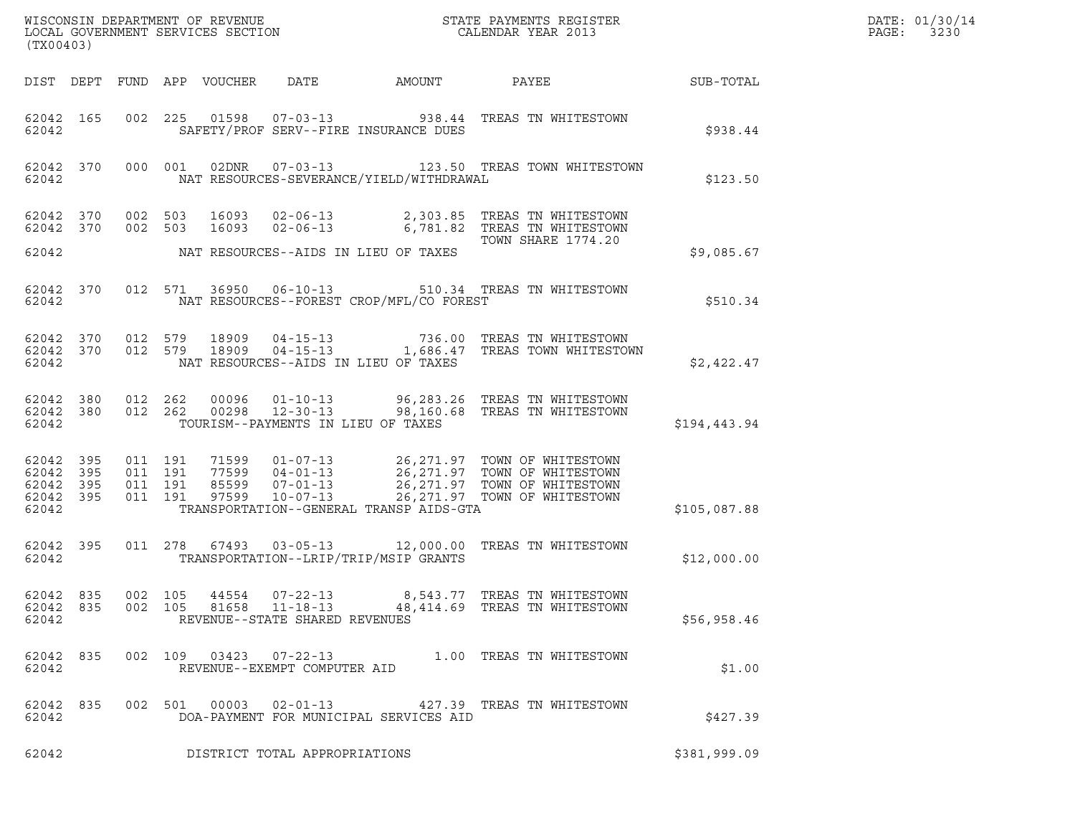| (TX00403)                                                 |                        |                                          | $\tt WISCONSIM DEPARTMENT OF REVENUE$ $\tt WISCONMIN SERS THE RUSIN EOR X RESISTERLOCAL GOVERNMENT SERVICES SECTION CALENDAR YEAR 2013$ |                                                                    |                                          | DATE: 01/30/14<br>$\mathtt{PAGE}$ :<br>3230                                                                                                                                                                      |                  |  |
|-----------------------------------------------------------|------------------------|------------------------------------------|-----------------------------------------------------------------------------------------------------------------------------------------|--------------------------------------------------------------------|------------------------------------------|------------------------------------------------------------------------------------------------------------------------------------------------------------------------------------------------------------------|------------------|--|
|                                                           |                        |                                          | DIST DEPT FUND APP VOUCHER                                                                                                              | DATE                                                               | AMOUNT                                   | PAYEE                                                                                                                                                                                                            | <b>SUB-TOTAL</b> |  |
| 62042                                                     | 62042 165              |                                          |                                                                                                                                         |                                                                    | SAFETY/PROF SERV--FIRE INSURANCE DUES    | 002 225 01598 07-03-13 938.44 TREAS TN WHITESTOWN                                                                                                                                                                | \$938.44         |  |
| 62042                                                     | 62042 370              |                                          | 000 001                                                                                                                                 |                                                                    | NAT RESOURCES-SEVERANCE/YIELD/WITHDRAWAL | 02DNR  07-03-13  123.50 TREAS TOWN WHITESTOWN                                                                                                                                                                    | \$123.50         |  |
| 62042 370                                                 |                        | 002 503                                  |                                                                                                                                         |                                                                    |                                          | 62042 370 002 503 16093 02-06-13 2,303.85 TREAS TN WHITESTOWN<br>16093  02-06-13   6,781.82   TREAS TN WHITESTOWN<br>TOWN SHARE 1774.20                                                                          |                  |  |
| 62042                                                     |                        |                                          |                                                                                                                                         |                                                                    | NAT RESOURCES--AIDS IN LIEU OF TAXES     |                                                                                                                                                                                                                  | \$9,085.67       |  |
| 62042                                                     | 62042 370              |                                          | 012 571 36950 06-10-13                                                                                                                  |                                                                    | NAT RESOURCES--FOREST CROP/MFL/CO FOREST | 510.34 TREAS TN WHITESTOWN                                                                                                                                                                                       | \$510.34         |  |
| 62042 370<br>62042                                        |                        | 012 579                                  | 62042 370 012 579 18909 04-15-13                                                                                                        |                                                                    | NAT RESOURCES--AIDS IN LIEU OF TAXES     | 736.00 TREAS TN WHITESTOWN<br>18909  04-15-13  1,686.47  TREAS TOWN WHITESTOWN                                                                                                                                   | \$2,422.47       |  |
| 62042                                                     | 62042 380<br>62042 380 |                                          |                                                                                                                                         | TOURISM--PAYMENTS IN LIEU OF TAXES                                 |                                          | 012  262  00096  01-10-13  96,283.26  TREAS TN WHITESTOWN<br>012  262  00298  12-30-13  98,160.68  TREAS TN WHITESTOWN                                                                                           | \$194,443.94     |  |
| 62042 395<br>62042 395<br>62042 395<br>62042 395<br>62042 |                        | 011 191<br>011 191<br>011 191<br>011 191 |                                                                                                                                         |                                                                    | TRANSPORTATION--GENERAL TRANSP AIDS-GTA  | 71599   01-07-13   26,271.97   TOWN OF WHITESTOWN<br>77599   04-01-13   26,271.97   TOWN OF WHITESTOWN<br>85599   07-01-13   26,271.97   TOWN OF WHITESTOWN<br>97599   10-07-13   26,271.97   TOWN OF WHITESTOWN | \$105,087.88     |  |
| 62042                                                     | 62042 395              |                                          |                                                                                                                                         |                                                                    | TRANSPORTATION--LRIP/TRIP/MSIP GRANTS    | 011  278  67493  03-05-13  12,000.00  TREAS TN WHITESTOWN                                                                                                                                                        | \$12,000.00      |  |
| 62042 835<br>62042 835<br>62042                           |                        | 002 105<br>002 105                       | 44554<br>81658                                                                                                                          | $07 - 22 - 13$<br>$11 - 18 - 13$<br>REVENUE--STATE SHARED REVENUES |                                          | 8,543.77 TREAS TN WHITESTOWN<br>48,414.69 TREAS TN WHITESTOWN                                                                                                                                                    | \$56,958.46      |  |
| 62042 835<br>62042                                        |                        |                                          | 002 109 03423 07-22-13                                                                                                                  | REVENUE--EXEMPT COMPUTER AID                                       |                                          | 1.00 TREAS TN WHITESTOWN                                                                                                                                                                                         | \$1.00           |  |
| 62042 835<br>62042                                        |                        |                                          | 002 501<br>00003                                                                                                                        | 02-01-13                                                           | DOA-PAYMENT FOR MUNICIPAL SERVICES AID   | 427.39 TREAS TN WHITESTOWN                                                                                                                                                                                       | \$427.39         |  |
| 62042                                                     |                        |                                          |                                                                                                                                         | DISTRICT TOTAL APPROPRIATIONS                                      |                                          |                                                                                                                                                                                                                  | \$381,999.09     |  |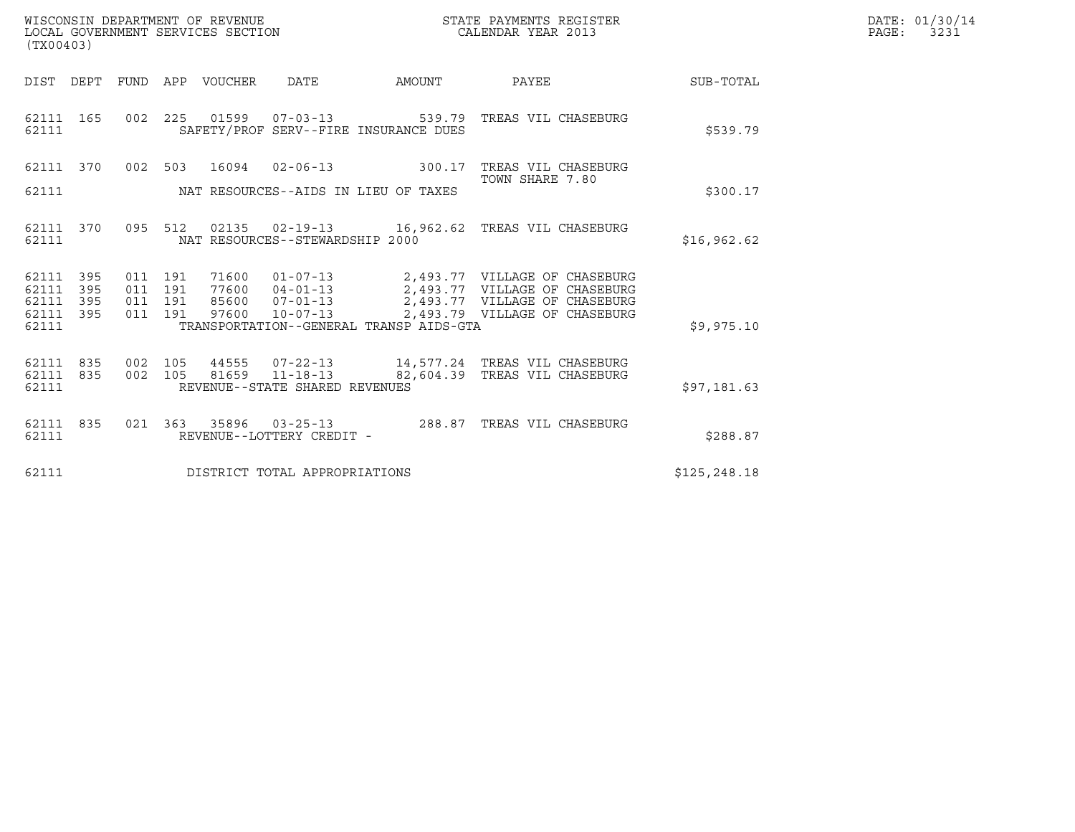| WISCONSIN DEPARTMENT OF REVENUE   | STATE PAYMENTS REGISTER | DATE: 01/30/14 |
|-----------------------------------|-------------------------|----------------|
| LOCAL GOVERNMENT SERVICES SECTION | CALENDAR YEAR 2013      | 3231<br>PAGE:  |

|                                     | (TX00403) |         |  |  |                                        |                                            |                                                                                                                                                                                                                                                                                                                                                    |              | DATE: 01/30/14<br>$\mathtt{PAGE:}$<br>3231 |
|-------------------------------------|-----------|---------|--|--|----------------------------------------|--------------------------------------------|----------------------------------------------------------------------------------------------------------------------------------------------------------------------------------------------------------------------------------------------------------------------------------------------------------------------------------------------------|--------------|--------------------------------------------|
|                                     |           |         |  |  | DIST DEPT FUND APP VOUCHER DATE AMOUNT |                                            | <b>PAYEE</b> PAYEE                                                                                                                                                                                                                                                                                                                                 | SUB-TOTAL    |                                            |
| 62111                               |           |         |  |  |                                        | SAFETY/PROF SERV--FIRE INSURANCE DUES      | 62111 165 002 225 01599 07-03-13 539.79 TREAS VIL CHASEBURG                                                                                                                                                                                                                                                                                        | \$539.79     |                                            |
| 62111 370                           |           |         |  |  |                                        |                                            | 002 503 16094 02-06-13 300.17 TREAS VIL CHASEBURG<br>TOWN SHARE 7.80                                                                                                                                                                                                                                                                               |              |                                            |
|                                     |           |         |  |  |                                        | 62111 MAT RESOURCES--AIDS IN LIEU OF TAXES |                                                                                                                                                                                                                                                                                                                                                    | \$300.17     |                                            |
| 62111                               |           |         |  |  | NAT RESOURCES--STEWARDSHIP 2000        |                                            | 62111 370 095 512 02135 02-19-13 16,962.62 TREAS VIL CHASEBURG                                                                                                                                                                                                                                                                                     | \$16,962.62  |                                            |
| 62111 395<br>62111 395<br>62111 395 |           | 011 191 |  |  |                                        |                                            | $\begin{array}{cccc} 011 & 191 & 71600 & 01\text{--}07\text{--}13 \\ 011 & 191 & 77600 & 04\text{--}01\text{--}13 \\ 011 & 191 & 85600 & 07\text{--}01\text{--}13 \\ 011 & 191 & 87600 & 10\text{--}07\text{--}13 \\ 011 & 191 & 97600 & 10\text{--}07\text{--}13 \\ \end{array} \qquad \qquad \begin{array}{c} 2,493.77 & \text{VILLAGE OF CHASE$ |              |                                            |
| 62111 395<br>62111                  |           |         |  |  |                                        | TRANSPORTATION--GENERAL TRANSP AIDS-GTA    |                                                                                                                                                                                                                                                                                                                                                    | \$9,975.10   |                                            |
| 62111 835<br>62111                  |           |         |  |  | REVENUE--STATE SHARED REVENUES         |                                            | 62111 835 002 105 44555 07-22-13 14,577.24 TREAS VIL CHASEBURG<br>002 105 81659 11-18-13 82,604.39 TREAS VIL CHASEBURG                                                                                                                                                                                                                             | \$97,181.63  |                                            |
| 62111                               |           |         |  |  | REVENUE--LOTTERY CREDIT -              |                                            | 62111 835 021 363 35896 03-25-13 288.87 TREAS VIL CHASEBURG                                                                                                                                                                                                                                                                                        | \$288.87     |                                            |
| 62111                               |           |         |  |  | DISTRICT TOTAL APPROPRIATIONS          |                                            |                                                                                                                                                                                                                                                                                                                                                    | \$125,248.18 |                                            |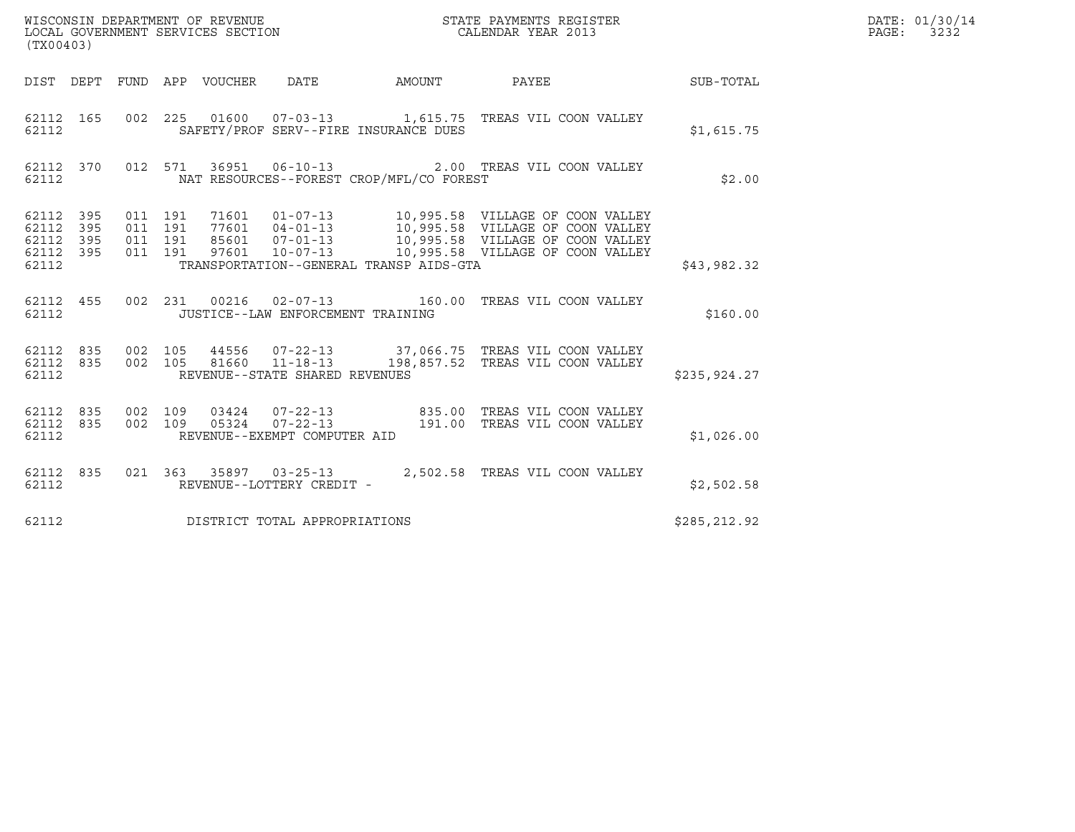|                                                   | WISCONSIN DEPARTMENT OF REVENUE<br>LOCAL GOVERNMENT SERVICES SECTION<br>CALENDAR YEAR 2013<br>(TX00403) |                               |         |  |                                                  |                                          |                                                                                       |              | DATE: 01/30/14<br>PAGE: 3232 |
|---------------------------------------------------|---------------------------------------------------------------------------------------------------------|-------------------------------|---------|--|--------------------------------------------------|------------------------------------------|---------------------------------------------------------------------------------------|--------------|------------------------------|
|                                                   |                                                                                                         |                               |         |  |                                                  |                                          | DIST DEPT FUND APP VOUCHER DATE AMOUNT PAYEE THE SUB-TOTAL                            |              |                              |
| 62112 165<br>62112                                |                                                                                                         |                               |         |  |                                                  | SAFETY/PROF SERV--FIRE INSURANCE DUES    | 002 225 01600 07-03-13 1,615.75 TREAS VIL COON VALLEY                                 | \$1,615.75   |                              |
| 62112                                             |                                                                                                         |                               |         |  |                                                  | NAT RESOURCES--FOREST CROP/MFL/CO FOREST | 62112 370 012 571 36951 06-10-13 2.00 TREAS VIL COON VALLEY                           | \$2.00       |                              |
| 62112 395<br>62112<br>62112<br>62112 395<br>62112 | 395<br>395                                                                                              | 011 191<br>011 191<br>011 191 | 011 191 |  |                                                  | TRANSPORTATION--GENERAL TRANSP AIDS-GTA  |                                                                                       | \$43,982.32  |                              |
| 62112 455<br>62112                                |                                                                                                         |                               |         |  | JUSTICE--LAW ENFORCEMENT TRAINING                |                                          | 002 231 00216 02-07-13 160.00 TREAS VIL COON VALLEY                                   | \$160.00     |                              |
| 62112 835<br>62112                                |                                                                                                         | 62112 835 002 105<br>002 105  |         |  | 81660 11-18-13<br>REVENUE--STATE SHARED REVENUES |                                          | 44556  07-22-13  37,066.75  TREAS VIL COON VALLEY<br>198,857.52 TREAS VIL COON VALLEY | \$235,924.27 |                              |
| 62112 835<br>62112 835<br>62112                   |                                                                                                         | 002 109<br>002 109            |         |  | REVENUE--EXEMPT COMPUTER AID                     |                                          |                                                                                       | \$1,026.00   |                              |
| 62112 835<br>62112                                |                                                                                                         |                               |         |  | REVENUE--LOTTERY CREDIT -                        |                                          | 021 363 35897 03-25-13 2,502.58 TREAS VIL COON VALLEY                                 | \$2,502.58   |                              |
| 62112                                             |                                                                                                         |                               |         |  | DISTRICT TOTAL APPROPRIATIONS                    |                                          |                                                                                       | \$285,212.92 |                              |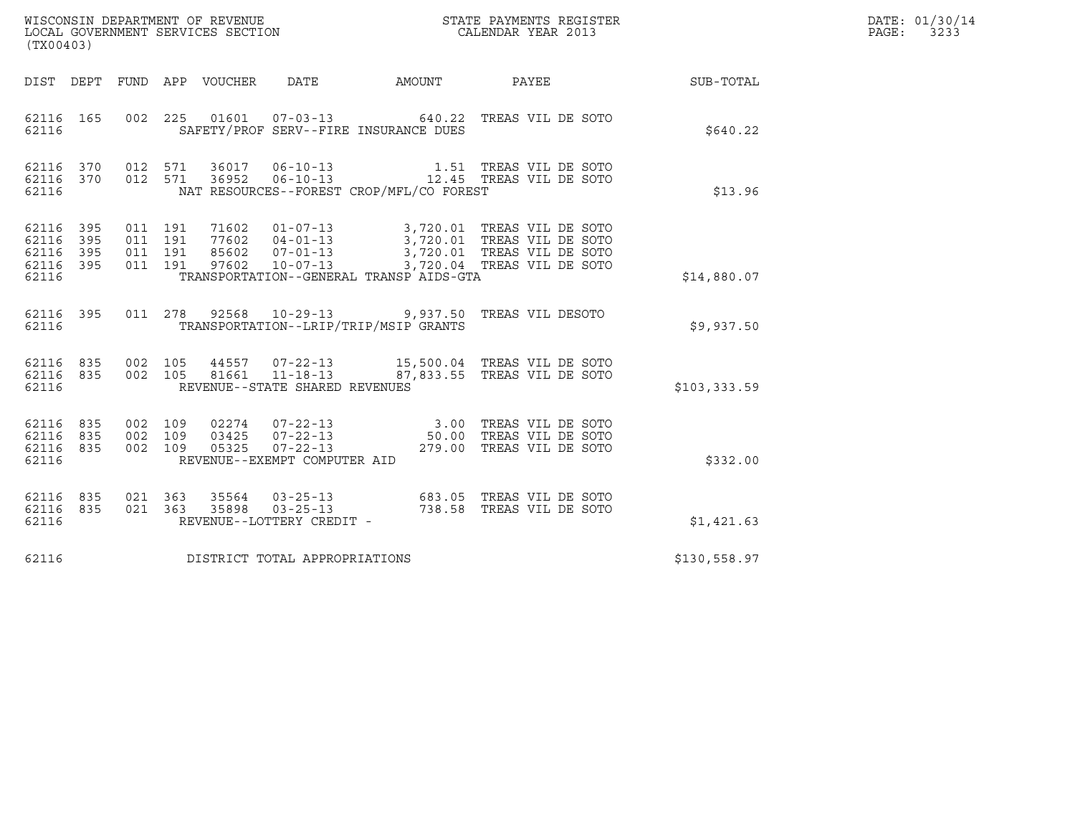| DATE: | 01/30/14 |
|-------|----------|
| PAGE: | 3233     |

| (TX00403)                                                 |                                                                                                                                                      |                                                                                                                                                                                                                                                                                                              |              | DATE: 01/30/14<br>$\mathtt{PAGE:}$<br>3233 |
|-----------------------------------------------------------|------------------------------------------------------------------------------------------------------------------------------------------------------|--------------------------------------------------------------------------------------------------------------------------------------------------------------------------------------------------------------------------------------------------------------------------------------------------------------|--------------|--------------------------------------------|
|                                                           | DIST DEPT FUND APP VOUCHER<br>DATE                                                                                                                   | AMOUNT PAYEE SUB-TOTAL                                                                                                                                                                                                                                                                                       |              |                                            |
| 62116 165<br>62116                                        | 002 225<br>SAFETY/PROF SERV--FIRE INSURANCE DUES                                                                                                     | 01601  07-03-13  640.22  TREAS VIL DE SOTO                                                                                                                                                                                                                                                                   | \$640.22     |                                            |
| 62116 370<br>62116 370<br>62116                           | 012 571 36017<br>012 571<br>NAT RESOURCES--FOREST CROP/MFL/CO FOREST                                                                                 |                                                                                                                                                                                                                                                                                                              | \$13.96      |                                            |
| 62116 395<br>62116 395<br>62116 395<br>62116 395<br>62116 | TRANSPORTATION--GENERAL TRANSP AIDS-GTA                                                                                                              |                                                                                                                                                                                                                                                                                                              | \$14,880.07  |                                            |
| 62116 395<br>62116                                        | 011  278  92568  10-29-13  9,937.50  TREAS VIL DESOTO<br>TRANSPORTATION--LRIP/TRIP/MSIP GRANTS                                                       |                                                                                                                                                                                                                                                                                                              | \$9,937.50   |                                            |
| 62116 835<br>62116 835<br>62116                           | 44557  07-22-13  15,500.04 TREAS VIL DE SOTO<br>81661  11-18-13  87,833.55 TREAS VIL DE SOTO<br>002 105<br>002 105<br>REVENUE--STATE SHARED REVENUES |                                                                                                                                                                                                                                                                                                              | \$103,333.59 |                                            |
| 62116 835<br>62116 835<br>62116 835<br>62116              | 002 109<br>002 109<br>002 109<br>REVENUE--EXEMPT COMPUTER AID                                                                                        | $\begin{array}{cccc} 02274 & 07\texttt{-}22\texttt{-}13 & 3.00 & \texttt{TERS} \text{ VIL DE } \text{SOTO} \\ 03425 & 07\texttt{-}22\texttt{-}13 & 50.00 & \texttt{TERS} \text{ VIL DE } \text{SOTO} \\ 05325 & 07\texttt{-}22\texttt{-}13 & 279.00 & \texttt{TERS} \text{ VIL DE } \text{SOTO} \end{array}$ | \$332.00     |                                            |
| 62116 835<br>62116 835<br>62116                           | 021 363<br>021 363<br>REVENUE--LOTTERY CREDIT -                                                                                                      |                                                                                                                                                                                                                                                                                                              | \$1,421.63   |                                            |
| 62116                                                     | DISTRICT TOTAL APPROPRIATIONS                                                                                                                        |                                                                                                                                                                                                                                                                                                              | \$130,558.97 |                                            |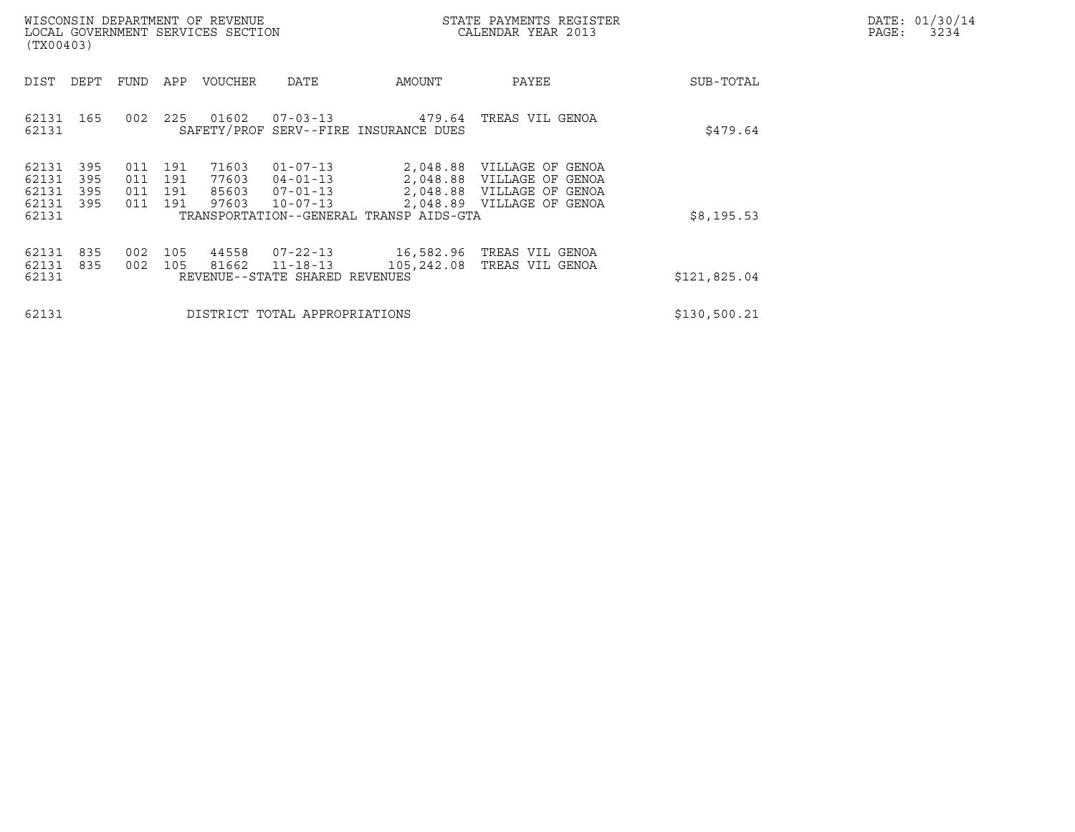| DATE: | 01/30/14 |
|-------|----------|
| PAGE: | 3234     |

| WISCONSIN DEPARTMENT OF REVENUE<br>LOCAL GOVERNMENT SERVICES SECTION<br>(TX00403) |                          |                          |                          |                                  |                                                                      |                                                     | STATE PAYMENTS REGISTER<br>CALENDAR YEAR 2013                                                           |              | DATE: 01/30/14<br>$\mathtt{PAGE}$ :<br>3234 |
|-----------------------------------------------------------------------------------|--------------------------|--------------------------|--------------------------|----------------------------------|----------------------------------------------------------------------|-----------------------------------------------------|---------------------------------------------------------------------------------------------------------|--------------|---------------------------------------------|
| DIST                                                                              | DEPT                     | FUND                     | APP                      | VOUCHER                          | DATE                                                                 | AMOUNT                                              | PAYEE                                                                                                   | SUB-TOTAL    |                                             |
| 62131 165<br>62131                                                                |                          | 002                      |                          | 225 01602                        | $07 - 03 - 13$                                                       | 479.64<br>SAFETY/PROF SERV--FIRE INSURANCE DUES     | TREAS VIL GENOA                                                                                         | \$479.64     |                                             |
| 62131<br>62131<br>62131<br>62131<br>62131                                         | 395<br>395<br>395<br>395 | 011<br>011<br>011<br>011 | 191<br>191<br>191<br>191 | 71603<br>77603<br>85603<br>97603 | $01 - 07 - 13$<br>$04 - 01 - 13$<br>$07 - 01 - 13$<br>$10 - 07 - 13$ | 2,048.89<br>TRANSPORTATION--GENERAL TRANSP AIDS-GTA | 2,048.88 VILLAGE OF GENOA<br>2,048.88 VILLAGE OF GENOA<br>2,048.88 VILLAGE OF GENOA<br>VILLAGE OF GENOA | \$8,195.53   |                                             |
| 62131<br>62131<br>62131                                                           | 835<br>835               | 002<br>002               | 105<br>105               | 44558<br>81662                   | 07-22-13<br>$11 - 18 - 13$<br>REVENUE--STATE SHARED REVENUES         | 105,242.08                                          | 16,582.96   TREAS VIL GENOA<br>TREAS VIL GENOA                                                          | \$121,825.04 |                                             |
| 62131                                                                             |                          |                          |                          |                                  | DISTRICT TOTAL APPROPRIATIONS                                        | \$130,500.21                                        |                                                                                                         |              |                                             |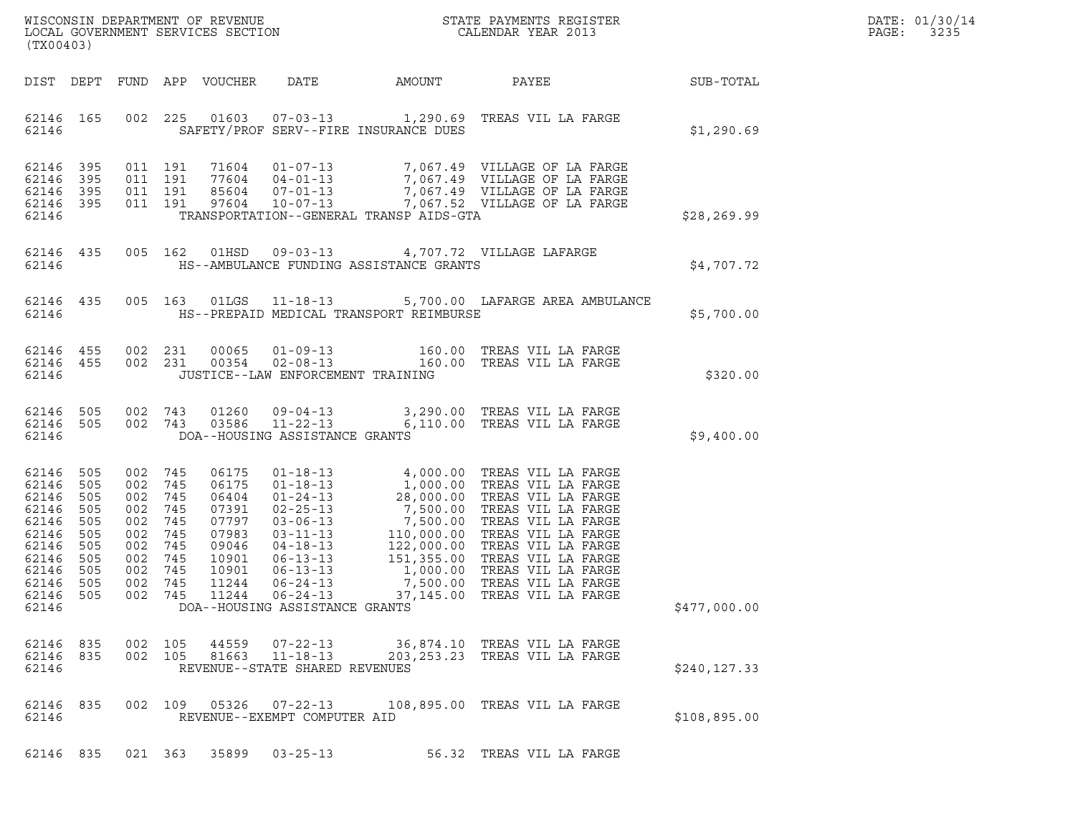| WISCONSIN DEPARTMENT OF REVENUE   | STATE PAYMENTS REGISTER | DATE: 01/30/14 |
|-----------------------------------|-------------------------|----------------|
| LOCAL GOVERNMENT SERVICES SECTION | CALENDAR YEAR 2013      | 3235<br>PAGE:  |

| (TX00403)                                                                                                            |                                                      |                                                                                                           |                   |                                                                                                 |                                   |                                               | WISCONSIN DEPARTMENT OF REVENUE<br>LOCAL GOVERNMENT SERVICES SECTION THE STATE PAYMENTS REGISTER<br>(TYAQAQQ)                                                                                                                                                  | $\mathbb{R}^n$ | DATE: 01/30/14<br>PAGE: 3235 |
|----------------------------------------------------------------------------------------------------------------------|------------------------------------------------------|-----------------------------------------------------------------------------------------------------------|-------------------|-------------------------------------------------------------------------------------------------|-----------------------------------|-----------------------------------------------|----------------------------------------------------------------------------------------------------------------------------------------------------------------------------------------------------------------------------------------------------------------|----------------|------------------------------|
|                                                                                                                      |                                                      |                                                                                                           |                   |                                                                                                 |                                   |                                               | DIST DEPT FUND APP VOUCHER DATE AMOUNT PAYEE SUB-TOTAL                                                                                                                                                                                                         |                |                              |
|                                                                                                                      |                                                      |                                                                                                           |                   |                                                                                                 |                                   | 62146 SAFETY/PROF SERV--FIRE INSURANCE DUES   | 62146 165 002 225 01603 07-03-13 1,290.69 TREAS VIL LA FARGE                                                                                                                                                                                                   | \$1,290.69     |                              |
| 62146                                                                                                                |                                                      |                                                                                                           |                   |                                                                                                 |                                   | TRANSPORTATION--GENERAL TRANSP AIDS-GTA       |                                                                                                                                                                                                                                                                | \$28,269.99    |                              |
|                                                                                                                      |                                                      |                                                                                                           |                   |                                                                                                 |                                   | 62146 HS--AMBULANCE FUNDING ASSISTANCE GRANTS | 62146 435 005 162 01HSD 09-03-13 4,707.72 VILLAGE LAFARGE<br>4,707.72 AHARGE בונות.                                                                                                                                                                            |                |                              |
|                                                                                                                      |                                                      |                                                                                                           |                   |                                                                                                 |                                   |                                               | 62146 435 005 163 01LGS 11-18-13 5,700.00 LAFARGE AREA AMBULANCE                                                                                                                                                                                               | \$5,700.00     |                              |
| 62146                                                                                                                |                                                      |                                                                                                           |                   |                                                                                                 | JUSTICE--LAW ENFORCEMENT TRAINING |                                               | $\begin{array}{cccccccc} 62146 & 455 & 002 & 231 & 00065 & 01\mbox{\small -09$--13} & & & 160.00 & \mbox{\small TREAS VII LA FARGE} \\ 62146 & 455 & 002 & 231 & 00354 & 02\mbox{\small -08$--13} & & & 160.00 & \mbox{\small TREAS VII LA FARGE} \end{array}$ | \$320.00       |                              |
| 62146                                                                                                                |                                                      |                                                                                                           |                   |                                                                                                 | DOA--HOUSING ASSISTANCE GRANTS    |                                               | $\begin{array}{cccccccc} 62146 & 505 & 002 & 743 & 01260 & 09\mbox{-}04\mbox{-}13 & & 3,290.00 & \mbox{TREAS VIL LA FARGE} \\ 62146 & 505 & 002 & 743 & 03586 & 11\mbox{-}22\mbox{-}13 & & 6,110.00 & \mbox{TREAS VIL LA FARGE} \end{array}$                   | \$9,400.00     |                              |
| 62146 505<br>62146<br>62146<br>62146<br>62146<br>62146<br>62146<br>62146<br>62146 505<br>62146<br>62146 505<br>62146 | 505<br>505<br>505<br>505<br>505<br>505<br>505<br>505 | 002 745<br>002 745<br>002 745<br>002<br>002<br>002<br>002 745<br>002 745<br>002 745<br>002 745<br>002 745 | 745<br>745<br>745 | 06175<br>06175<br>06404<br>07391<br>07797<br>07983<br>09046<br>10901<br>10901<br>11244<br>11244 | DOA--HOUSING ASSISTANCE GRANTS    |                                               | 01-18-13<br>01-18-13<br>01-24-13<br>1,000.00 TREAS VIL LA FARGE<br>01-24-13<br>28,000.00 TREAS VIL LA FARGE<br>02-25-13<br>7,500.00 TREAS VIL LA FARGE<br>03-06-13<br>7,500.00 TREAS VIL LA FARGE<br>04-18-13<br>122,000.00 TREAS VIL LA FARGE<br>06-1         | \$477,000.00   |                              |
| 62146                                                                                                                |                                                      |                                                                                                           |                   |                                                                                                 | REVENUE--STATE SHARED REVENUES    |                                               | $\begin{array}{cccccccc} 62146 & 835 & 002 & 105 & 44559 & 07-22-13 & 36,874.10 & \text{TREAS VII LA FARGE} \\ 62146 & 835 & 002 & 105 & 81663 & 11-18-13 & 203,253.23 & \text{TREAS VII LA FARGE} \end{array}$                                                | \$240,127.33   |                              |
| 62146                                                                                                                |                                                      |                                                                                                           |                   |                                                                                                 | REVENUE--EXEMPT COMPUTER AID      |                                               | 62146 835 002 109 05326 07-22-13 108,895.00 TREAS VIL LA FARGE                                                                                                                                                                                                 | \$108,895.00   |                              |
|                                                                                                                      |                                                      |                                                                                                           |                   |                                                                                                 | 62146 835 021 363 35899 03-25-13  |                                               | 56.32 TREAS VIL LA FARGE                                                                                                                                                                                                                                       |                |                              |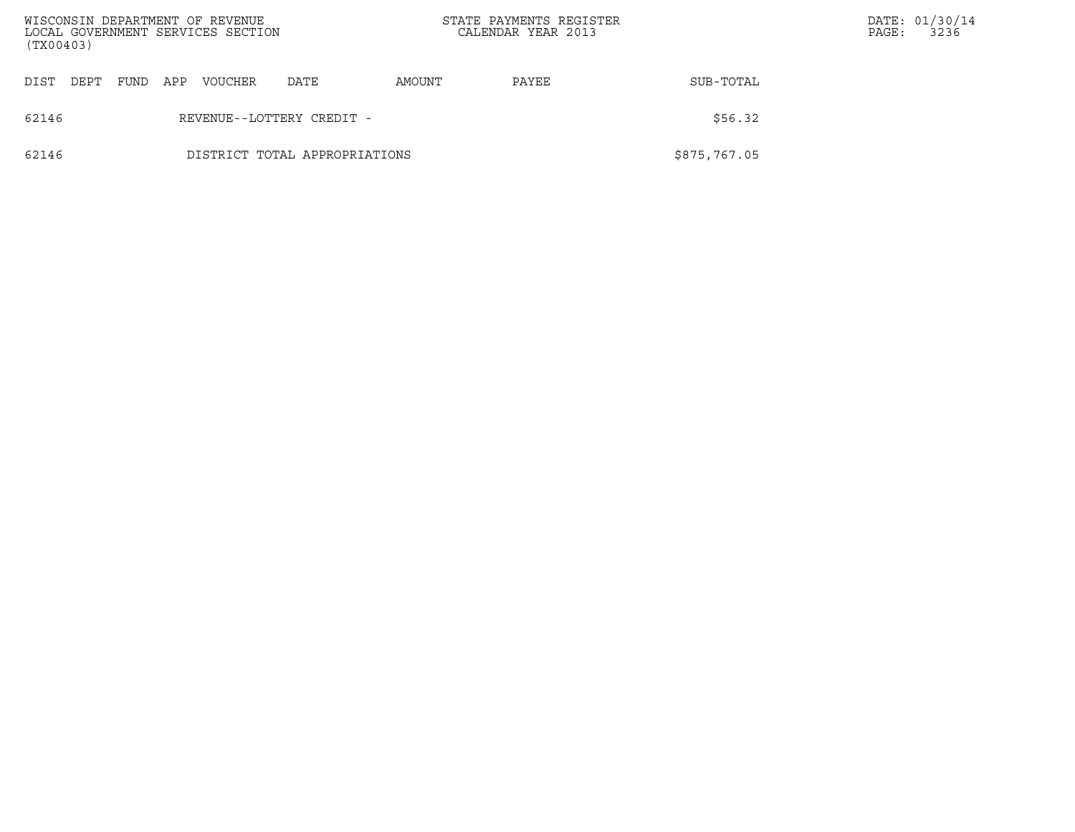| (TX00403)    | WISCONSIN DEPARTMENT OF REVENUE<br>LOCAL GOVERNMENT SERVICES SECTION |      |     |         |      |        | STATE PAYMENTS REGISTER<br>CALENDAR YEAR 2013 |              |  | DATE: 01/30/14<br>3236 |
|--------------|----------------------------------------------------------------------|------|-----|---------|------|--------|-----------------------------------------------|--------------|--|------------------------|
| DIST<br>DEPT |                                                                      | FUND | APP | VOUCHER | DATE | AMOUNT | PAYEE                                         | SUB-TOTAL    |  |                        |
| 62146        | REVENUE--LOTTERY CREDIT -                                            |      |     |         |      |        |                                               | \$56.32      |  |                        |
| 62146        | DISTRICT TOTAL APPROPRIATIONS                                        |      |     |         |      |        |                                               | \$875,767.05 |  |                        |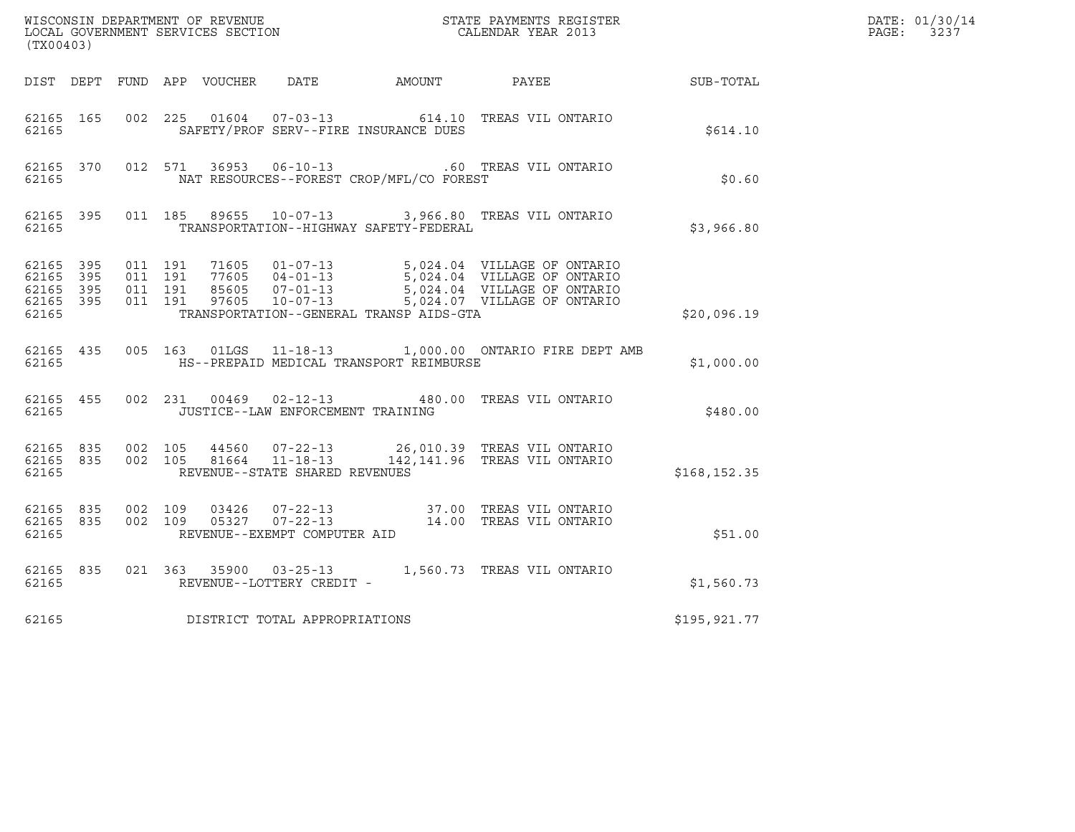| (TX00403)                                                 |  |                                         |                                               | WISCONSIN DEPARTMENT OF REVENUE<br>LOCAL GOVERNMENT SERVICES SECTION TERMS CONFINENTS REGISTER<br>CALENDAR YEAR 2013                                                                                      |               | DATE: 01/30/14<br>PAGE: 3237 |
|-----------------------------------------------------------|--|-----------------------------------------|-----------------------------------------------|-----------------------------------------------------------------------------------------------------------------------------------------------------------------------------------------------------------|---------------|------------------------------|
|                                                           |  |                                         |                                               | DIST DEPT FUND APP VOUCHER DATE AMOUNT PAYEE SUB-TOTAL                                                                                                                                                    |               |                              |
| 62165 165<br>62165                                        |  |                                         | SAFETY/PROF SERV--FIRE INSURANCE DUES         | 002 225 01604 07-03-13 614.10 TREAS VIL ONTARIO                                                                                                                                                           | \$614.10      |                              |
| 62165                                                     |  |                                         | NAT RESOURCES--FOREST CROP/MFL/CO FOREST      | 62165 370 012 571 36953 06-10-13 .60 TREAS VIL ONTARIO                                                                                                                                                    | \$0.60        |                              |
| 62165                                                     |  |                                         | TRANSPORTATION--HIGHWAY SAFETY-FEDERAL        | 62165 395 011 185 89655 10-07-13 3,966.80 TREAS VIL ONTARIO                                                                                                                                               | \$3,966.80    |                              |
| 62165 395<br>62165 395<br>62165 395<br>62165 395<br>62165 |  |                                         | TRANSPORTATION--GENERAL TRANSP AIDS-GTA       |                                                                                                                                                                                                           | \$20,096.19   |                              |
|                                                           |  |                                         | 62165 MS--PREPAID MEDICAL TRANSPORT REIMBURSE | 62165 435 005 163 01LGS 11-18-13 1,000.00 ONTARIO FIRE DEPT AMB                                                                                                                                           | \$1,000.00    |                              |
|                                                           |  | 62165 JUSTICE--LAW ENFORCEMENT TRAINING |                                               | 62165 455 002 231 00469 02-12-13 480.00 TREAS VIL ONTARIO                                                                                                                                                 | \$480.00      |                              |
| 62165                                                     |  | REVENUE--STATE SHARED REVENUES          |                                               | $\begin{array}{cccc} 62165 & 835 & 002 & 105 & 44560 & 07-22-13 & 26,010.39 & \text{TREAS VIL ONTARIO} \\ 62165 & 835 & 002 & 105 & 81664 & 11-18-13 & 142,141.96 & \text{TREAS VIL ONTARIO} \end{array}$ | \$168, 152.35 |                              |
| 62165 835<br>62165 835<br>62165                           |  | REVENUE--EXEMPT COMPUTER AID            |                                               | 002 109 03426 07-22-13 37.00 TREAS VIL ONTARIO<br>002 109 05327 07-22-13 14.00 TREAS VIL ONTARIO                                                                                                          | \$51.00       |                              |
| 62165 835<br>62165                                        |  | REVENUE--LOTTERY CREDIT -               |                                               | 021 363 35900 03-25-13 1,560.73 TREAS VIL ONTARIO                                                                                                                                                         | \$1,560.73    |                              |
| 62165                                                     |  | DISTRICT TOTAL APPROPRIATIONS           |                                               |                                                                                                                                                                                                           | \$195,921.77  |                              |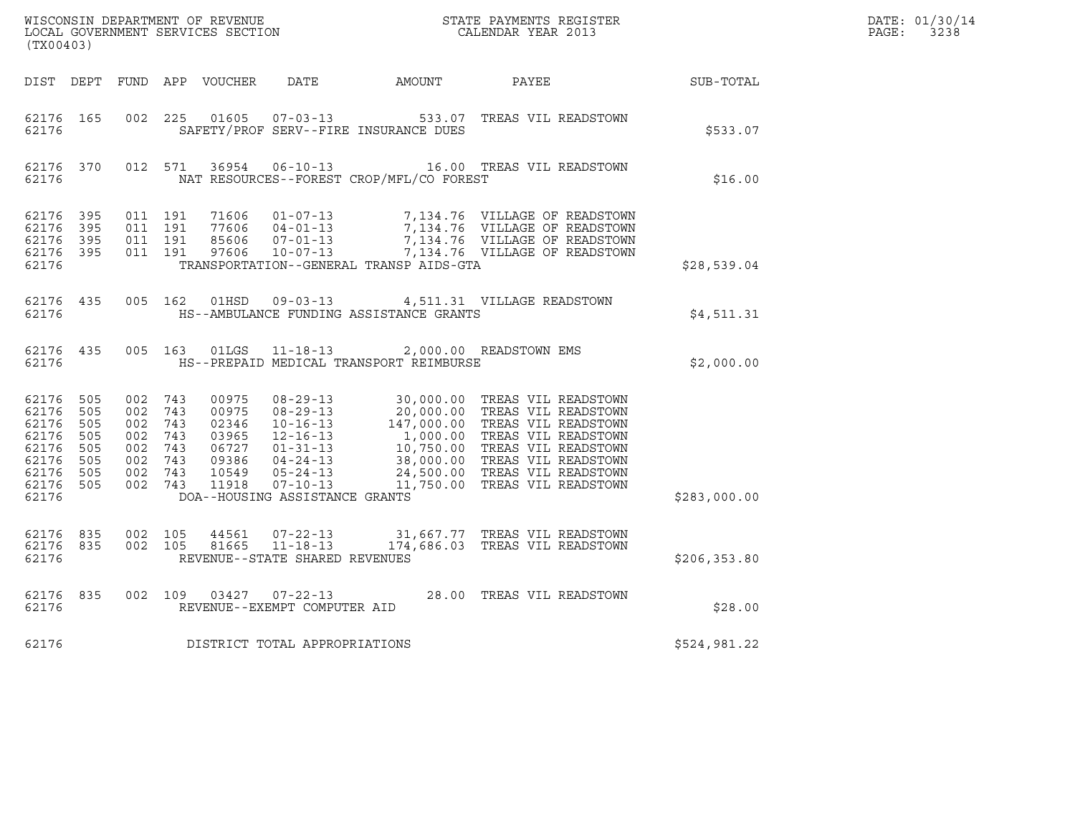| (TX00403)                                                                                 |                                 |                                                                                      |  |       |                                |                                                                                                    |                                                                                                                                                                                                                                            |               | DATE: 01/30/14<br>$\mathtt{PAGE:}$<br>3238 |
|-------------------------------------------------------------------------------------------|---------------------------------|--------------------------------------------------------------------------------------|--|-------|--------------------------------|----------------------------------------------------------------------------------------------------|--------------------------------------------------------------------------------------------------------------------------------------------------------------------------------------------------------------------------------------------|---------------|--------------------------------------------|
| DIST DEPT                                                                                 |                                 |                                                                                      |  |       |                                |                                                                                                    |                                                                                                                                                                                                                                            |               |                                            |
| 62176 165<br>62176                                                                        |                                 | 002 225                                                                              |  | 01605 |                                | SAFETY/PROF SERV--FIRE INSURANCE DUES                                                              | 07-03-13 533.07 TREAS VIL READSTOWN                                                                                                                                                                                                        | \$533.07      |                                            |
| 62176                                                                                     |                                 | 62176 370 012 571                                                                    |  |       |                                | NAT RESOURCES--FOREST CROP/MFL/CO FOREST                                                           | 36954   06-10-13   16.00   TREAS VIL READSTOWN                                                                                                                                                                                             | \$16.00       |                                            |
| 62176 395<br>62176<br>62176<br>62176                                                      | 395<br>395<br>62176 395         | 011 191<br>011 191<br>011 191<br>011 191                                             |  |       |                                | TRANSPORTATION--GENERAL TRANSP AIDS-GTA                                                            | 71606  01-07-13  7,134.76  VILLAGE OF READSTOWN<br>77606  04-01-13  7,134.76  VILLAGE OF READSTOWN<br>85606  07-01-13  7,134.76  VILLAGE OF READSTOWN<br>97606  10-07-13  7,134.76  VILLAGE OF READSTOWN                                   | \$28,539.04   |                                            |
| 62176 435<br>62176                                                                        |                                 |                                                                                      |  |       |                                | HS--AMBULANCE FUNDING ASSISTANCE GRANTS                                                            | 005 162 01HSD 09-03-13 4,511.31 VILLAGE READSTOWN                                                                                                                                                                                          | \$4,511.31    |                                            |
| 62176                                                                                     |                                 |                                                                                      |  |       |                                | 62176 435 005 163 01LGS 11-18-13 2,000.00 READSTOWN EMS<br>HS--PREPAID MEDICAL TRANSPORT REIMBURSE |                                                                                                                                                                                                                                            | \$2,000.00    |                                            |
| 62176 505<br>62176<br>62176<br>62176<br>62176<br>62176<br>62176 505<br>62176 505<br>62176 | 505<br>505<br>505<br>505<br>505 | 002 743<br>002 743<br>002 743<br>002 743<br>002 743<br>002 743<br>002 743<br>002 743 |  |       | DOA--HOUSING ASSISTANCE GRANTS |                                                                                                    | 00975 08-29-13 30,000.00 TREAS VIL READSTOWN<br>00975 08-29-13 20,000.00 TREAS VIL READSTOWN<br>02346 10-16-13 147,000.00 TREAS VIL READSTOWN<br>03965 12-16-13 1,000.00 TREAS VIL READSTOWN<br>06727 01-31-13 10,750.00 TREAS VIL READSTO | \$283,000.00  |                                            |
| 62176                                                                                     | 62176 835                       | 62176 835 002 105<br>002 105                                                         |  |       | REVENUE--STATE SHARED REVENUES |                                                                                                    | 44561  07-22-13  31,667.77  TREAS VIL READSTOWN  81665  11-18-13   174,686.03  TREAS VIL READSTOWN                                                                                                                                         | \$206, 353.80 |                                            |
| 62176                                                                                     | 62176 835                       |                                                                                      |  |       | REVENUE--EXEMPT COMPUTER AID   |                                                                                                    | 002 109 03427 07-22-13 28.00 TREAS VIL READSTOWN                                                                                                                                                                                           | \$28.00       |                                            |
| 62176                                                                                     |                                 |                                                                                      |  |       | DISTRICT TOTAL APPROPRIATIONS  |                                                                                                    |                                                                                                                                                                                                                                            | \$524,981.22  |                                            |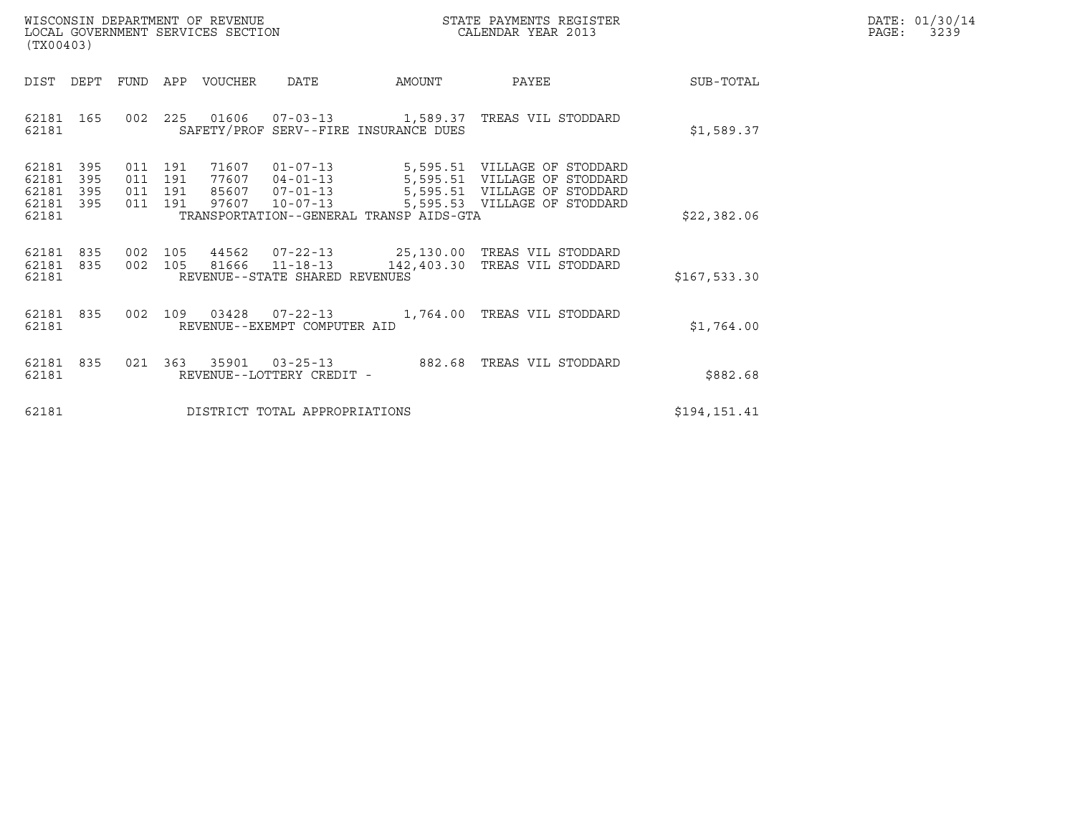| WISCONSIN DEPARTMENT OF REVENUE   | STATE PAYMENTS REGISTER | DATE: 01/30/14 |
|-----------------------------------|-------------------------|----------------|
| LOCAL GOVERNMENT SERVICES SECTION | CALENDAR YEAR 2013      | 3239<br>PAGE:  |

| (TX00403)                                         |            |                                          | WISCONSIN DEPARTMENT OF REVENUE<br>LOCAL GOVERNMENT SERVICES SECTION |                                                                                        |                                         | STATE PAYMENTS REGISTER<br>CALENDAR YEAR 2013                                                                                | DATE: 01/30/14<br>PAGE:<br>3239 |  |
|---------------------------------------------------|------------|------------------------------------------|----------------------------------------------------------------------|----------------------------------------------------------------------------------------|-----------------------------------------|------------------------------------------------------------------------------------------------------------------------------|---------------------------------|--|
| DIST DEPT                                         |            |                                          | FUND APP VOUCHER                                                     | DATE                                                                                   | AMOUNT                                  | PAYEE                                                                                                                        | SUB-TOTAL                       |  |
| 62181 165<br>62181                                |            |                                          |                                                                      |                                                                                        | SAFETY/PROF SERV--FIRE INSURANCE DUES   | 002  225  01606  07-03-13  1,589.37  TREAS VIL STODDARD                                                                      | \$1,589.37                      |  |
| 62181 395<br>62181<br>62181<br>62181 395<br>62181 | 395<br>395 | 011 191<br>011 191<br>011 191<br>011 191 | 71607<br>77607<br>97607                                              | $01 - 07 - 13$<br>$04 - 01 - 13$<br>$07 - 01 - 13$<br>85607 07-01-13<br>$10 - 07 - 13$ | TRANSPORTATION--GENERAL TRANSP AIDS-GTA | 5,595.51 VILLAGE OF STODDARD<br>5,595.51 VILLAGE OF STODDARD<br>5,595.51 VILLAGE OF STODDARD<br>5,595.53 VILLAGE OF STODDARD | \$22,382.06                     |  |
| 62181 835<br>62181 835<br>62181                   |            |                                          | 002 105 81666                                                        | $11 - 18 - 13$<br>REVENUE--STATE SHARED REVENUES                                       | 142,403.30                              | 002 105 44562 07-22-13 25,130.00 TREAS VIL STODDARD<br>TREAS VIL STODDARD                                                    | \$167,533.30                    |  |
| 62181 835<br>62181                                |            |                                          |                                                                      | REVENUE--EXEMPT COMPUTER AID                                                           |                                         | 002 109 03428 07-22-13 1,764.00 TREAS VIL STODDARD                                                                           | \$1,764.00                      |  |
| 62181 835<br>62181                                |            |                                          |                                                                      | REVENUE--LOTTERY CREDIT -                                                              |                                         | 021  363  35901  03-25-13  882.68  TREAS VIL STODDARD                                                                        | \$882.68                        |  |
| 62181                                             |            |                                          |                                                                      | DISTRICT TOTAL APPROPRIATIONS                                                          |                                         |                                                                                                                              | \$194,151.41                    |  |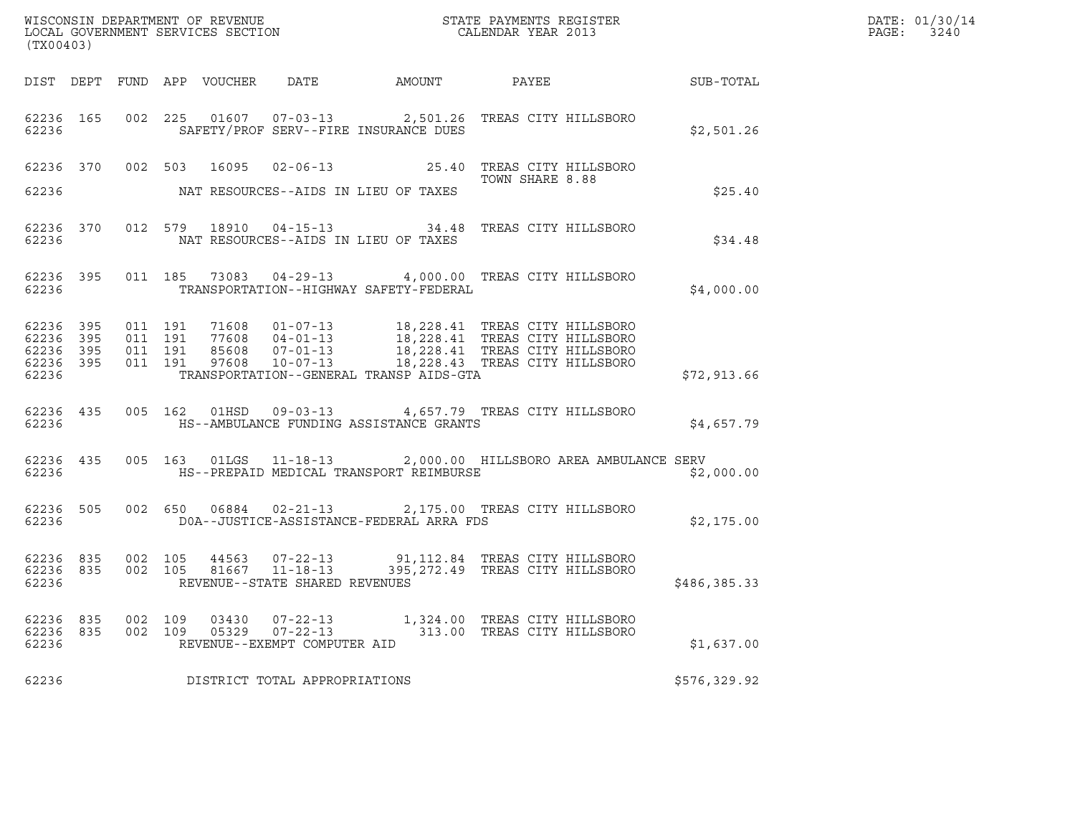| (TX00403)               |            |            |            |                |                                                            |                                                                                                                                                                                                                                                                                                                                                                      |                                                              |              | WISCONSIN DEPARTMENT OF REVENUE<br>LOCAL GOVERNMENT SERVICES SECTION FOR THE STATE PAYMENTS REGISTER<br>(TWO 0.000) PAGE: 3240 |
|-------------------------|------------|------------|------------|----------------|------------------------------------------------------------|----------------------------------------------------------------------------------------------------------------------------------------------------------------------------------------------------------------------------------------------------------------------------------------------------------------------------------------------------------------------|--------------------------------------------------------------|--------------|--------------------------------------------------------------------------------------------------------------------------------|
|                         |            |            |            |                |                                                            |                                                                                                                                                                                                                                                                                                                                                                      |                                                              |              |                                                                                                                                |
| 62236                   |            |            |            |                |                                                            | 62236 165 002 225 01607 07-03-13 2,501.26 TREAS CITY HILLSBORO<br>SAFETY/PROF SERV--FIRE INSURANCE DUES                                                                                                                                                                                                                                                              |                                                              | \$2,501.26   |                                                                                                                                |
|                         |            |            |            |                |                                                            | 62236 370 002 503 16095 02-06-13 25.40 TREAS CITY HILLSBORO                                                                                                                                                                                                                                                                                                          | TOWN SHARE 8.88                                              |              |                                                                                                                                |
| 62236                   |            |            |            |                |                                                            | NAT RESOURCES--AIDS IN LIEU OF TAXES                                                                                                                                                                                                                                                                                                                                 |                                                              | \$25.40      |                                                                                                                                |
| 62236                   |            |            |            |                |                                                            | 62236 370 012 579 18910 04-15-13 34.48 TREAS CITY HILLSBORO<br>NAT RESOURCES--AIDS IN LIEU OF TAXES                                                                                                                                                                                                                                                                  |                                                              | \$34.48      |                                                                                                                                |
|                         |            |            |            |                |                                                            | 62236 395 011 185 73083 04-29-13 4,000.00 TREAS CITY HILLSBORO<br>62236 TRANSPORTATION--HIGHWAY SAFETY-FEDERAL                                                                                                                                                                                                                                                       |                                                              | \$4,000.00   |                                                                                                                                |
| 62236                   |            |            |            |                |                                                            | $\begin{array}{cccccccc} 62236 & 395 & 011 & 191 & 71608 & 01-07-13 & & 18,228.41 & \text{TREAS CITY HILLSBORO} \\ 62236 & 395 & 011 & 191 & 77608 & 04-01-13 & & 18,228.41 & \text{TREAS CITY HILLSBORO} \\ 62236 & 395 & 011 & 191 & 85608 & 07-01-13 & & 18,228.41 & \text{TREAS CITY HILLSBORO} \\ 62236 & 395 & 011$<br>TRANSPORTATION--GENERAL TRANSP AIDS-GTA |                                                              | \$72,913.66  |                                                                                                                                |
| 62236                   |            |            |            |                |                                                            | 62236 435 005 162 01HSD 09-03-13 4,657.79 TREAS CITY HILLSBORO<br>HS--AMBULANCE FUNDING ASSISTANCE GRANTS                                                                                                                                                                                                                                                            |                                                              | \$4,657.79   |                                                                                                                                |
|                         |            |            |            |                |                                                            | 62236 435 005 163 01LGS 11-18-13 2,000.00 HILLSBORO AREA AMBULANCE SERV                                                                                                                                                                                                                                                                                              |                                                              | \$2,000.00   |                                                                                                                                |
|                         |            |            |            |                |                                                            | 62236 505 002 650 06884 02-21-13 2,175.00 TREAS CITY HILLSBORO<br>62236 DOA--JUSTICE-ASSISTANCE-FEDERAL ARRA FDS                                                                                                                                                                                                                                                     |                                                              | \$2,175.00   |                                                                                                                                |
| 62236                   |            |            |            |                | REVENUE--STATE SHARED REVENUES                             | 62236 835 002 105 44563 07-22-13 91,112.84 TREAS CITY HILLSBORO<br>62236 835 002 105 81667 11-18-13 395,272.49 TREAS CITY HILLSBORO                                                                                                                                                                                                                                  |                                                              | \$486,385.33 |                                                                                                                                |
| 62236<br>62236<br>62236 | 835<br>835 | 002<br>002 | 109<br>109 | 03430<br>05329 | 07-22-13<br>$07 - 22 - 13$<br>REVENUE--EXEMPT COMPUTER AID |                                                                                                                                                                                                                                                                                                                                                                      | 1,324.00 TREAS CITY HILLSBORO<br>313.00 TREAS CITY HILLSBORO | \$1,637.00   |                                                                                                                                |
| 62236                   |            |            |            |                | DISTRICT TOTAL APPROPRIATIONS                              |                                                                                                                                                                                                                                                                                                                                                                      |                                                              | \$576,329.92 |                                                                                                                                |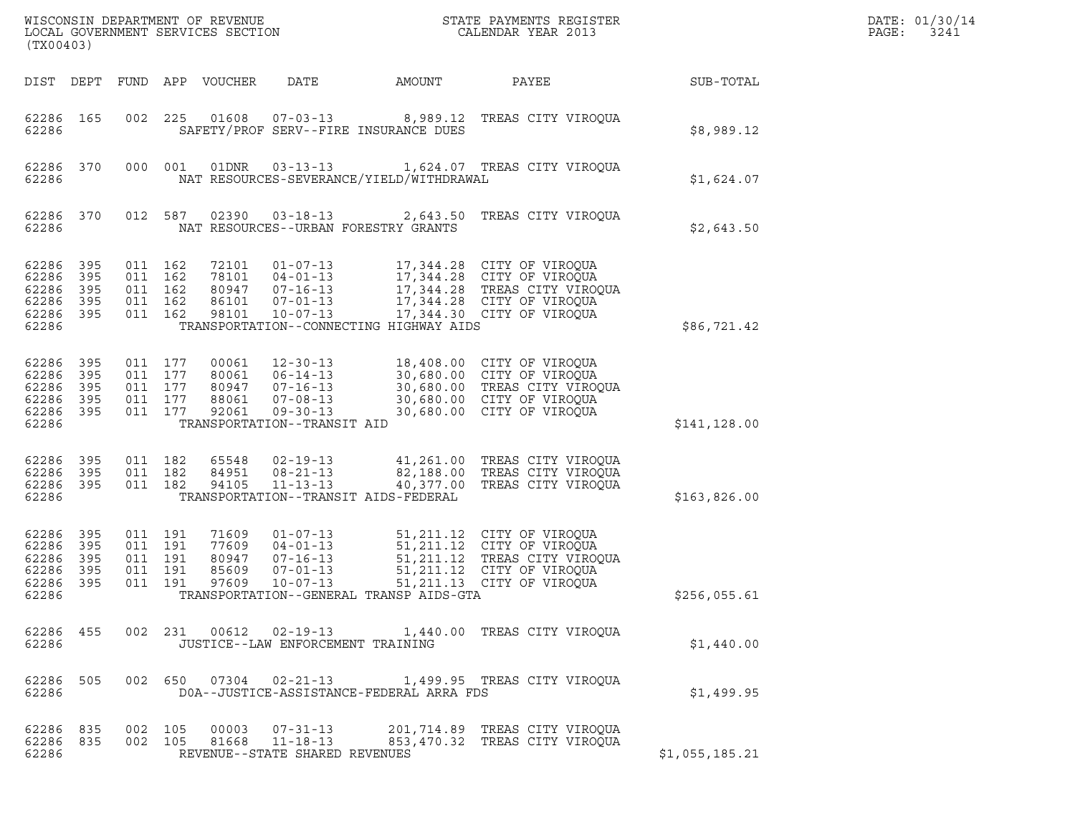| WISCONSIN DEPARTMENT OF REVENUE<br>LOCAL GOVERNMENT SERVICES SECTION<br>(TX00403) |                                |                                                     |         |                                           |                                                                                                                       |                                                                         | STATE PAYMENTS REGISTER<br>CALENDAR YEAR 2013                                                                                                     |                | DATE: 01/30/14<br>PAGE:<br>3241 |
|-----------------------------------------------------------------------------------|--------------------------------|-----------------------------------------------------|---------|-------------------------------------------|-----------------------------------------------------------------------------------------------------------------------|-------------------------------------------------------------------------|---------------------------------------------------------------------------------------------------------------------------------------------------|----------------|---------------------------------|
|                                                                                   |                                |                                                     |         | DIST DEPT FUND APP VOUCHER                | DATE                                                                                                                  | AMOUNT                                                                  | PAYEE                                                                                                                                             | SUB-TOTAL      |                                 |
| 62286 165<br>62286                                                                |                                | 002 225                                             |         | 01608                                     | $07 - 03 - 13$                                                                                                        | SAFETY/PROF SERV--FIRE INSURANCE DUES                                   | 8,989.12 TREAS CITY VIROQUA                                                                                                                       | \$8,989.12     |                                 |
| 62286 370<br>62286                                                                |                                | 000 001                                             |         | 01DNR                                     | $03 - 13 - 13$                                                                                                        | 1,624.07 TREAS CITY VIROOUA<br>NAT RESOURCES-SEVERANCE/YIELD/WITHDRAWAL | \$1,624.07                                                                                                                                        |                |                                 |
| 62286 370<br>62286                                                                |                                |                                                     | 012 587 | 02390                                     | $03 - 18 - 13$                                                                                                        | NAT RESOURCES--URBAN FORESTRY GRANTS                                    | 2,643.50 TREAS CITY VIROQUA                                                                                                                       | \$2,643.50     |                                 |
| 62286 395<br>62286<br>62286<br>62286<br>62286 395<br>62286                        | 395<br>395<br>395              | 011 162<br>011 162<br>011 162<br>011 162<br>011 162 |         | 72101<br>78101<br>80947<br>86101<br>98101 | $01 - 07 - 13$<br>$04 - 01 - 13$<br>$07 - 16 - 13$<br>$07 - 01 - 13$<br>$10 - 07 - 13$                                | TRANSPORTATION--CONNECTING HIGHWAY AIDS                                 | 17,344.28 CITY OF VIROQUA<br>17,344.28 CITY OF VIROQUA<br>17,344.28 TREAS CITY VIROQUA<br>17,344.28 CITY OF VIROQUA<br>17,344.30 CITY OF VIROQUA  | \$86,721.42    |                                 |
| 62286 395<br>62286<br>62286<br>62286 395<br>62286 395<br>62286                    | 395<br>395                     | 011 177<br>011 177<br>011 177<br>011 177<br>011 177 |         | 00061<br>80061<br>80947<br>88061<br>92061 | $12 - 30 - 13$<br>$06 - 14 - 13$<br>$07 - 16 - 13$<br>$07 - 08 - 13$<br>$09 - 30 - 13$<br>TRANSPORTATION--TRANSIT AID |                                                                         | 18,408.00 CITY OF VIROQUA<br>30,680.00 CITY OF VIROQUA<br>30,680.00 TREAS CITY VIROQUA<br>30,680.00 CITY OF VIROQUA<br>30,680.00 CITY OF VIROQUA  | \$141, 128.00  |                                 |
| 62286 395<br>62286 395<br>62286 395<br>62286                                      |                                | 011 182<br>011 182<br>011 182                       |         | 65548<br>84951<br>94105                   | $02 - 19 - 13$<br>$08 - 21 - 13$<br>$11 - 13 - 13$                                                                    | TRANSPORTATION--TRANSIT AIDS-FEDERAL                                    | 41,261.00 TREAS CITY VIROQUA<br>82,188.00 TREAS CITY VIROQUA<br>40,377.00 TREAS CITY VIROQUA                                                      | \$163,826.00   |                                 |
| 62286 395<br>62286<br>62286<br>62286<br>62286<br>62286                            | 395<br>- 395<br>- 395<br>- 395 | 011 191<br>011 191<br>011 191<br>011 191<br>011 191 |         | 71609<br>77609<br>80947<br>85609<br>97609 | $01 - 07 - 13$<br>$04 - 01 - 13$<br>$07 - 16 - 13$<br>$07 - 01 - 13$<br>$10 - 07 - 13$                                | TRANSPORTATION--GENERAL TRANSP AIDS-GTA                                 | 51,211.12 CITY OF VIROQUA<br>51,211.12 CITY OF VIROQUA<br>51,211.12 TREAS CITY VIROQUA<br>51,211.12 CITY OF VIROQUA<br>51, 211.13 CITY OF VIROOUA | \$256,055.61   |                                 |
| 62286 455<br>62286                                                                |                                |                                                     |         |                                           | JUSTICE--LAW ENFORCEMENT TRAINING                                                                                     |                                                                         | 002 231 00612 02-19-13 1,440.00 TREAS CITY VIROQUA                                                                                                | \$1,440.00     |                                 |
| 62286                                                                             | 62286 505                      |                                                     |         |                                           |                                                                                                                       | DOA--JUSTICE-ASSISTANCE-FEDERAL ARRA FDS                                | 002 650 07304 02-21-13 1,499.95 TREAS CITY VIROQUA                                                                                                | \$1,499.95     |                                 |
| 62286 835<br>62286                                                                | 62286 835                      | 002 105<br>002 105                                  |         |                                           | 00003 07-31-13<br>81668 11-18-13<br>REVENUE--STATE SHARED REVENUES                                                    |                                                                         | 201,714.89 TREAS CITY VIROQUA<br>853,470.32 TREAS CITY VIROOUA                                                                                    | \$1,055,185.21 |                                 |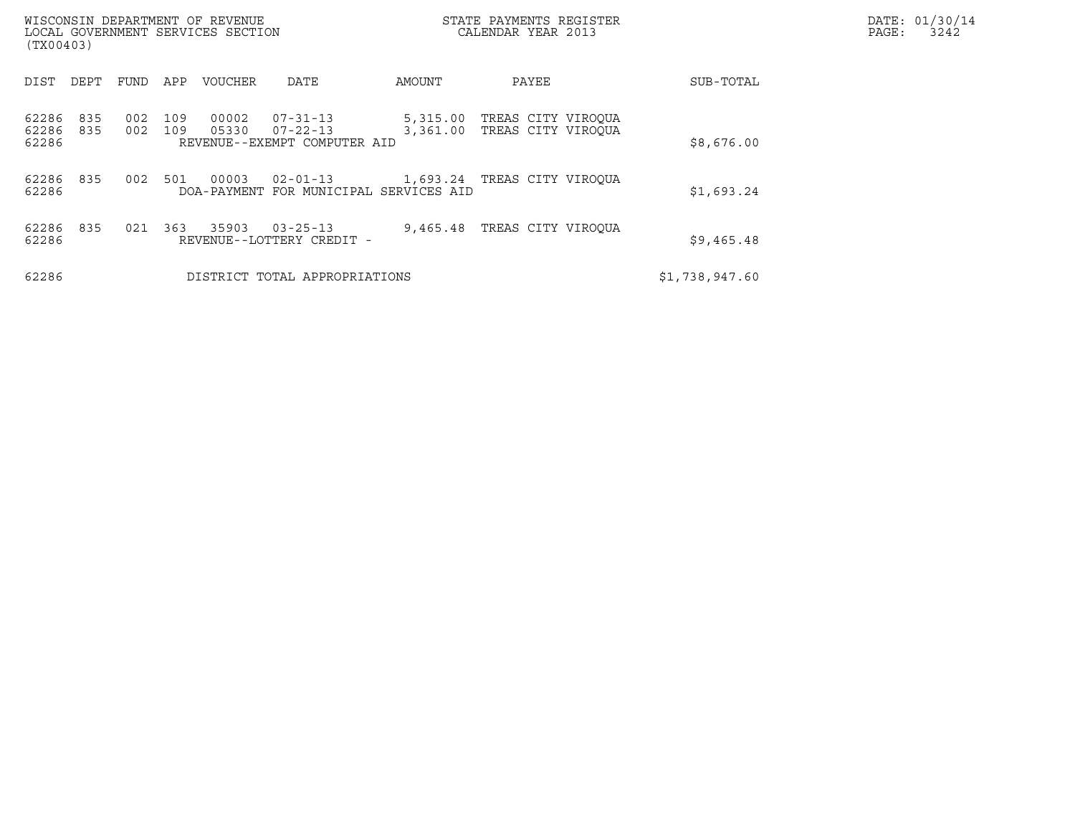| WISCONSIN DEPARTMENT OF REVENUE<br>LOCAL GOVERNMENT SERVICES SECTION<br>(TX00403) |            |            |            |                |                                                            | STATE PAYMENTS REGISTER<br>CALENDAR YEAR 2013 |                                          |                | DATE: 01/30/14<br>PAGE:<br>3242 |
|-----------------------------------------------------------------------------------|------------|------------|------------|----------------|------------------------------------------------------------|-----------------------------------------------|------------------------------------------|----------------|---------------------------------|
| DIST                                                                              | DEPT       | FUND       | APP        | <b>VOUCHER</b> | DATE                                                       | AMOUNT                                        | PAYEE                                    | SUB-TOTAL      |                                 |
| 62286<br>62286<br>62286                                                           | 835<br>835 | 002<br>002 | 109<br>109 | 00002<br>05330 | 07-31-13<br>$07 - 22 - 13$<br>REVENUE--EXEMPT COMPUTER AID | 5,315.00<br>3,361.00                          | TREAS CITY VIROQUA<br>TREAS CITY VIROOUA | \$8,676.00     |                                 |
| 62286<br>62286                                                                    | 835        | 002        | 501        | 00003          | $02 - 01 - 13$<br>DOA-PAYMENT FOR MUNICIPAL SERVICES AID   |                                               | 1,693.24 TREAS CITY VIROQUA              | \$1,693.24     |                                 |
| 62286<br>62286                                                                    | 835        | 021        | 363        | 35903          | $03 - 25 - 13$<br>REVENUE--LOTTERY CREDIT -                | 9,465.48                                      | TREAS CITY VIROQUA                       | \$9,465.48     |                                 |
| 62286                                                                             |            |            |            |                | DISTRICT TOTAL APPROPRIATIONS                              |                                               |                                          | \$1,738,947.60 |                                 |